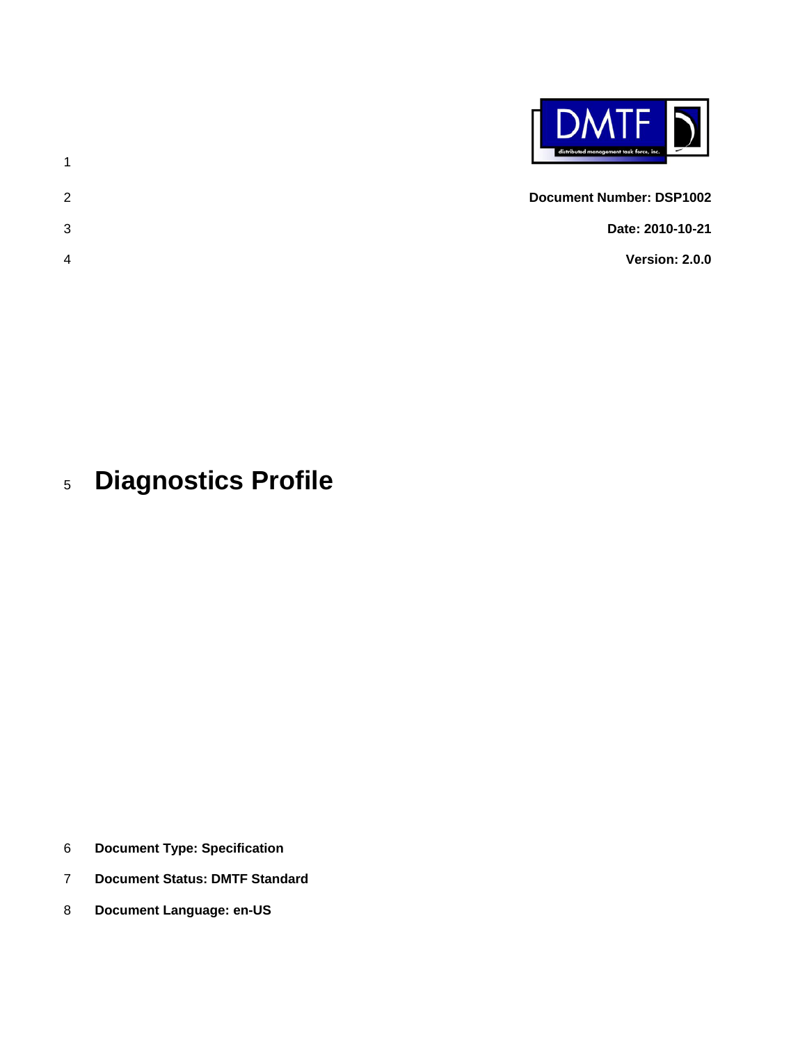

**Document Number: DSP1002 Date: 2010-10-21 Version: 2.0.0** 

# **Diagnostics Profile**

- **Document Type: Specification**
- **Document Status: DMTF Standard**
- **Document Language: en-US**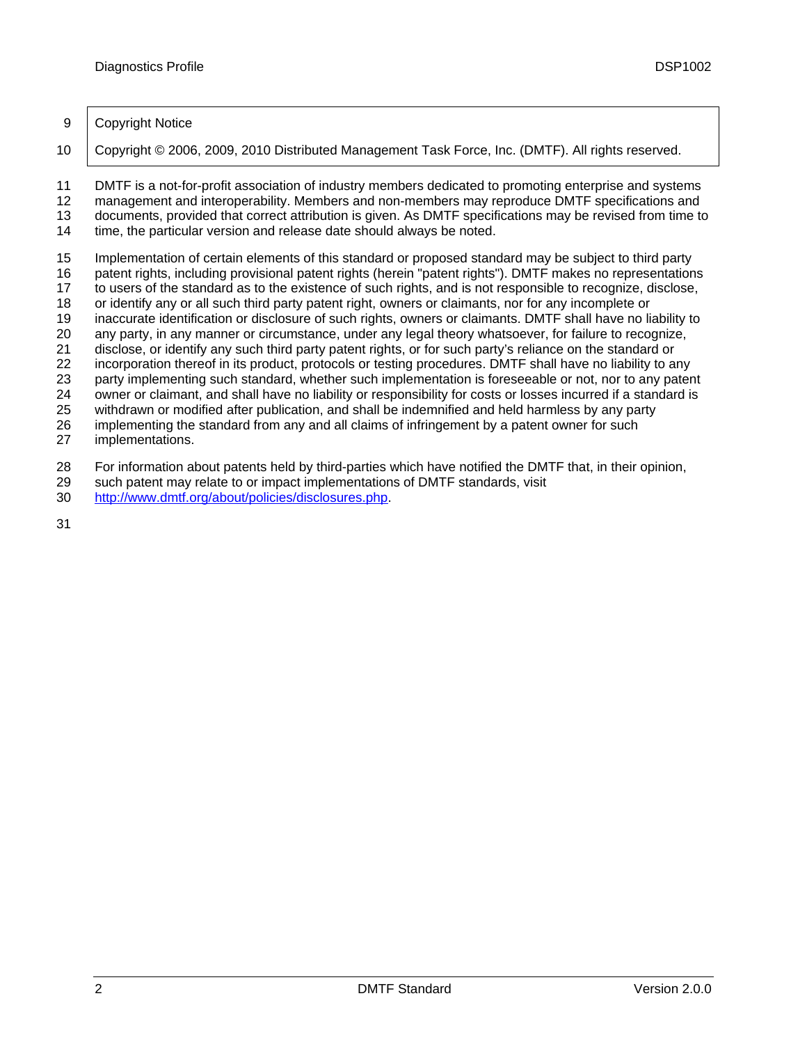### 9 Copyright Notice

10 Copyright © 2006, 2009, 2010 Distributed Management Task Force, Inc. (DMTF). All rights reserved.

11 DMTF is a not-for-profit association of industry members dedicated to promoting enterprise and systems

12 management and interoperability. Members and non-members may reproduce DMTF specifications and 13 documents, provided that correct attribution is given. As DMTF specifications may be revised from time to

14 time, the particular version and release date should always be noted.

- 15 Implementation of certain elements of this standard or proposed standard may be subject to third party
- 16 patent rights, including provisional patent rights (herein "patent rights"). DMTF makes no representations
- 17 to users of the standard as to the existence of such rights, and is not responsible to recognize, disclose,
- 18 or identify any or all such third party patent right, owners or claimants, nor for any incomplete or<br>19 inaccurate identification or disclosure of such rights, owners or claimants. DMTF shall have no li
- inaccurate identification or disclosure of such rights, owners or claimants. DMTF shall have no liability to
- 20 any party, in any manner or circumstance, under any legal theory whatsoever, for failure to recognize, 21 disclose, or identify any such third party patent rights, or for such party's reliance on the standard or
- 22 incorporation thereof in its product, protocols or testing procedures. DMTF shall have no liability to any
- 23 party implementing such standard, whether such implementation is foreseeable or not, nor to any patent
- 

24 owner or claimant, and shall have no liability or responsibility for costs or losses incurred if a standard is<br>25 withdrawn or modified after publication, and shall be indemnified and held harmless by any party withdrawn or modified after publication, and shall be indemnified and held harmless by any party

26 implementing the standard from any and all claims of infringement by a patent owner for such

- 27 implementations.
- 28 For information about patents held by third-parties which have notified the DMTF that, in their opinion,
- 29 such patent may relate to or impact implementations of DMTF standards, visit
- 30 <http://www.dmtf.org/about/policies/disclosures.php>.
- 31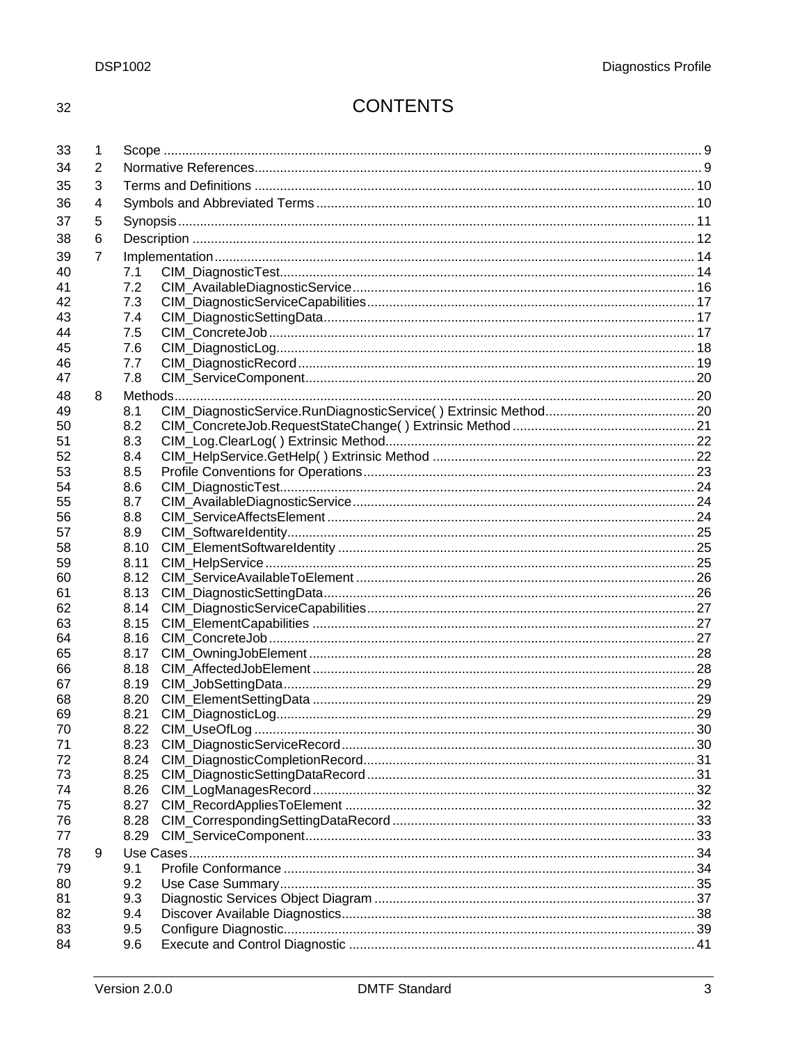### 32

# **CONTENTS**

| 34<br>2<br>35<br>3<br>36<br>4<br>37<br>5<br>38<br>6<br>39<br>7<br>7.1<br>40<br>7.2<br>41<br>7.3<br>42<br>43<br>7.4<br>7.5<br>44<br>45<br>7.6<br>7.7<br>46<br>7.8<br>47<br>48<br>8<br>49<br>8.1<br>8.2<br>50<br>8.3<br>51<br>52<br>8.4<br>53<br>8.5<br>54<br>8.6<br>8.7<br>55<br>56<br>8.8<br>57<br>8.9<br>8.10<br>58<br>8.11<br>59<br>8.12<br>60<br>8.13<br>61<br>62<br>8.14<br>8.15<br>63<br>8.16<br>64<br>8.17<br>65<br>8.18<br>66<br>67<br>8.19<br>8.20<br>68<br>69<br>8.21<br>70<br>8.22<br>8.23<br>71<br>72<br>8.24<br>73<br>8.25<br>8.26<br>74<br>8.27<br>75<br>8.28<br>76<br>8.29<br>77<br>78<br>9<br>9.1<br>79<br>9.2<br>80<br>81<br>9.3<br>82<br>9.4<br>83<br>9.5<br>84 | 33 | 1 |     |  |
|----------------------------------------------------------------------------------------------------------------------------------------------------------------------------------------------------------------------------------------------------------------------------------------------------------------------------------------------------------------------------------------------------------------------------------------------------------------------------------------------------------------------------------------------------------------------------------------------------------------------------------------------------------------------------------|----|---|-----|--|
|                                                                                                                                                                                                                                                                                                                                                                                                                                                                                                                                                                                                                                                                                  |    |   |     |  |
|                                                                                                                                                                                                                                                                                                                                                                                                                                                                                                                                                                                                                                                                                  |    |   |     |  |
|                                                                                                                                                                                                                                                                                                                                                                                                                                                                                                                                                                                                                                                                                  |    |   |     |  |
|                                                                                                                                                                                                                                                                                                                                                                                                                                                                                                                                                                                                                                                                                  |    |   |     |  |
|                                                                                                                                                                                                                                                                                                                                                                                                                                                                                                                                                                                                                                                                                  |    |   |     |  |
|                                                                                                                                                                                                                                                                                                                                                                                                                                                                                                                                                                                                                                                                                  |    |   |     |  |
|                                                                                                                                                                                                                                                                                                                                                                                                                                                                                                                                                                                                                                                                                  |    |   |     |  |
|                                                                                                                                                                                                                                                                                                                                                                                                                                                                                                                                                                                                                                                                                  |    |   |     |  |
|                                                                                                                                                                                                                                                                                                                                                                                                                                                                                                                                                                                                                                                                                  |    |   |     |  |
|                                                                                                                                                                                                                                                                                                                                                                                                                                                                                                                                                                                                                                                                                  |    |   |     |  |
|                                                                                                                                                                                                                                                                                                                                                                                                                                                                                                                                                                                                                                                                                  |    |   |     |  |
|                                                                                                                                                                                                                                                                                                                                                                                                                                                                                                                                                                                                                                                                                  |    |   |     |  |
|                                                                                                                                                                                                                                                                                                                                                                                                                                                                                                                                                                                                                                                                                  |    |   |     |  |
|                                                                                                                                                                                                                                                                                                                                                                                                                                                                                                                                                                                                                                                                                  |    |   |     |  |
|                                                                                                                                                                                                                                                                                                                                                                                                                                                                                                                                                                                                                                                                                  |    |   |     |  |
|                                                                                                                                                                                                                                                                                                                                                                                                                                                                                                                                                                                                                                                                                  |    |   |     |  |
|                                                                                                                                                                                                                                                                                                                                                                                                                                                                                                                                                                                                                                                                                  |    |   |     |  |
|                                                                                                                                                                                                                                                                                                                                                                                                                                                                                                                                                                                                                                                                                  |    |   |     |  |
|                                                                                                                                                                                                                                                                                                                                                                                                                                                                                                                                                                                                                                                                                  |    |   |     |  |
|                                                                                                                                                                                                                                                                                                                                                                                                                                                                                                                                                                                                                                                                                  |    |   |     |  |
|                                                                                                                                                                                                                                                                                                                                                                                                                                                                                                                                                                                                                                                                                  |    |   |     |  |
|                                                                                                                                                                                                                                                                                                                                                                                                                                                                                                                                                                                                                                                                                  |    |   |     |  |
|                                                                                                                                                                                                                                                                                                                                                                                                                                                                                                                                                                                                                                                                                  |    |   |     |  |
|                                                                                                                                                                                                                                                                                                                                                                                                                                                                                                                                                                                                                                                                                  |    |   |     |  |
|                                                                                                                                                                                                                                                                                                                                                                                                                                                                                                                                                                                                                                                                                  |    |   |     |  |
|                                                                                                                                                                                                                                                                                                                                                                                                                                                                                                                                                                                                                                                                                  |    |   |     |  |
|                                                                                                                                                                                                                                                                                                                                                                                                                                                                                                                                                                                                                                                                                  |    |   |     |  |
|                                                                                                                                                                                                                                                                                                                                                                                                                                                                                                                                                                                                                                                                                  |    |   |     |  |
|                                                                                                                                                                                                                                                                                                                                                                                                                                                                                                                                                                                                                                                                                  |    |   |     |  |
|                                                                                                                                                                                                                                                                                                                                                                                                                                                                                                                                                                                                                                                                                  |    |   |     |  |
|                                                                                                                                                                                                                                                                                                                                                                                                                                                                                                                                                                                                                                                                                  |    |   |     |  |
|                                                                                                                                                                                                                                                                                                                                                                                                                                                                                                                                                                                                                                                                                  |    |   |     |  |
|                                                                                                                                                                                                                                                                                                                                                                                                                                                                                                                                                                                                                                                                                  |    |   |     |  |
|                                                                                                                                                                                                                                                                                                                                                                                                                                                                                                                                                                                                                                                                                  |    |   |     |  |
|                                                                                                                                                                                                                                                                                                                                                                                                                                                                                                                                                                                                                                                                                  |    |   |     |  |
|                                                                                                                                                                                                                                                                                                                                                                                                                                                                                                                                                                                                                                                                                  |    |   |     |  |
|                                                                                                                                                                                                                                                                                                                                                                                                                                                                                                                                                                                                                                                                                  |    |   |     |  |
|                                                                                                                                                                                                                                                                                                                                                                                                                                                                                                                                                                                                                                                                                  |    |   |     |  |
|                                                                                                                                                                                                                                                                                                                                                                                                                                                                                                                                                                                                                                                                                  |    |   |     |  |
|                                                                                                                                                                                                                                                                                                                                                                                                                                                                                                                                                                                                                                                                                  |    |   |     |  |
|                                                                                                                                                                                                                                                                                                                                                                                                                                                                                                                                                                                                                                                                                  |    |   |     |  |
|                                                                                                                                                                                                                                                                                                                                                                                                                                                                                                                                                                                                                                                                                  |    |   |     |  |
|                                                                                                                                                                                                                                                                                                                                                                                                                                                                                                                                                                                                                                                                                  |    |   |     |  |
|                                                                                                                                                                                                                                                                                                                                                                                                                                                                                                                                                                                                                                                                                  |    |   |     |  |
|                                                                                                                                                                                                                                                                                                                                                                                                                                                                                                                                                                                                                                                                                  |    |   |     |  |
|                                                                                                                                                                                                                                                                                                                                                                                                                                                                                                                                                                                                                                                                                  |    |   |     |  |
|                                                                                                                                                                                                                                                                                                                                                                                                                                                                                                                                                                                                                                                                                  |    |   |     |  |
|                                                                                                                                                                                                                                                                                                                                                                                                                                                                                                                                                                                                                                                                                  |    |   |     |  |
|                                                                                                                                                                                                                                                                                                                                                                                                                                                                                                                                                                                                                                                                                  |    |   | 9.6 |  |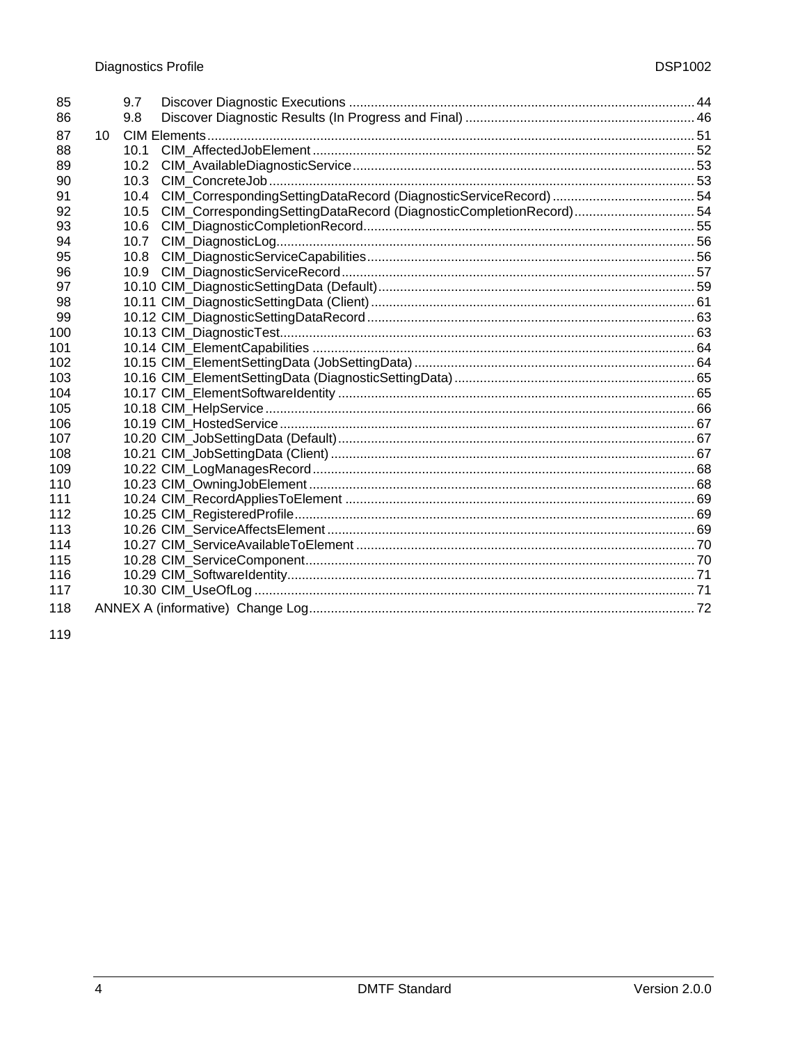| 85         |    | 9.7  |                                                                    |  |
|------------|----|------|--------------------------------------------------------------------|--|
| 86         |    | 9.8  |                                                                    |  |
| 87         | 10 |      |                                                                    |  |
| 88         |    | 10.1 |                                                                    |  |
| 89         |    | 10.2 |                                                                    |  |
| 90         |    | 10.3 |                                                                    |  |
| 91         |    | 10.4 |                                                                    |  |
| 92         |    | 10.5 | CIM_CorrespondingSettingDataRecord (DiagnosticCompletionRecord) 54 |  |
| 93         |    | 10.6 |                                                                    |  |
| 94         |    | 10.7 |                                                                    |  |
| 95         |    | 10.8 |                                                                    |  |
| 96         |    | 10.9 |                                                                    |  |
| 97         |    |      |                                                                    |  |
| 98         |    |      |                                                                    |  |
| 99         |    |      |                                                                    |  |
| 100        |    |      |                                                                    |  |
| 101        |    |      |                                                                    |  |
| 102        |    |      |                                                                    |  |
| 103        |    |      |                                                                    |  |
| 104        |    |      |                                                                    |  |
| 105        |    |      |                                                                    |  |
| 106        |    |      |                                                                    |  |
| 107        |    |      |                                                                    |  |
| 108<br>109 |    |      |                                                                    |  |
| 110        |    |      |                                                                    |  |
| 111        |    |      |                                                                    |  |
| 112        |    |      |                                                                    |  |
| 113        |    |      |                                                                    |  |
| 114        |    |      |                                                                    |  |
| 115        |    |      |                                                                    |  |
| 116        |    |      |                                                                    |  |
| 117        |    |      |                                                                    |  |
| 118        |    |      |                                                                    |  |
|            |    |      |                                                                    |  |

119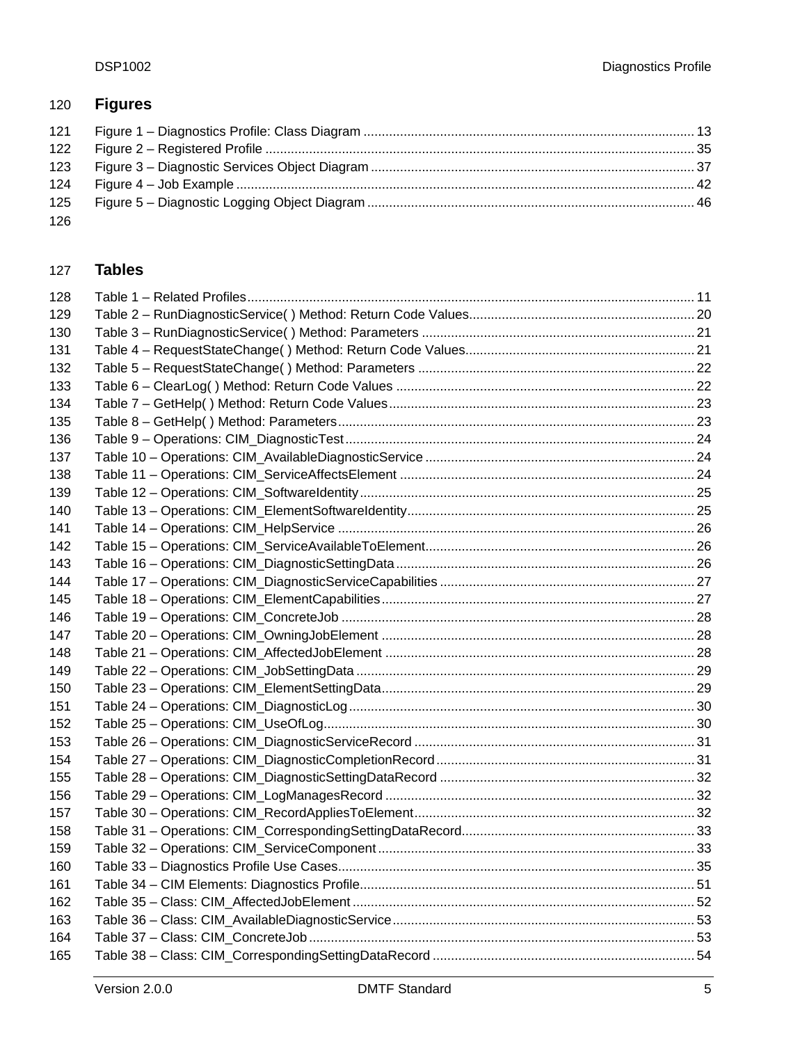# 120 **Figures**

| 121 |  |
|-----|--|
| 122 |  |
| 123 |  |
| 124 |  |
| 125 |  |
| 126 |  |

# 127 **Tables**

| 128 |  |
|-----|--|
| 129 |  |
| 130 |  |
| 131 |  |
| 132 |  |
| 133 |  |
| 134 |  |
| 135 |  |
| 136 |  |
| 137 |  |
| 138 |  |
| 139 |  |
| 140 |  |
| 141 |  |
| 142 |  |
| 143 |  |
| 144 |  |
| 145 |  |
| 146 |  |
| 147 |  |
| 148 |  |
| 149 |  |
| 150 |  |
| 151 |  |
| 152 |  |
| 153 |  |
| 154 |  |
| 155 |  |
| 156 |  |
| 157 |  |
| 158 |  |
| 159 |  |
| 160 |  |
| 161 |  |
| 162 |  |
| 163 |  |
| 164 |  |
| 165 |  |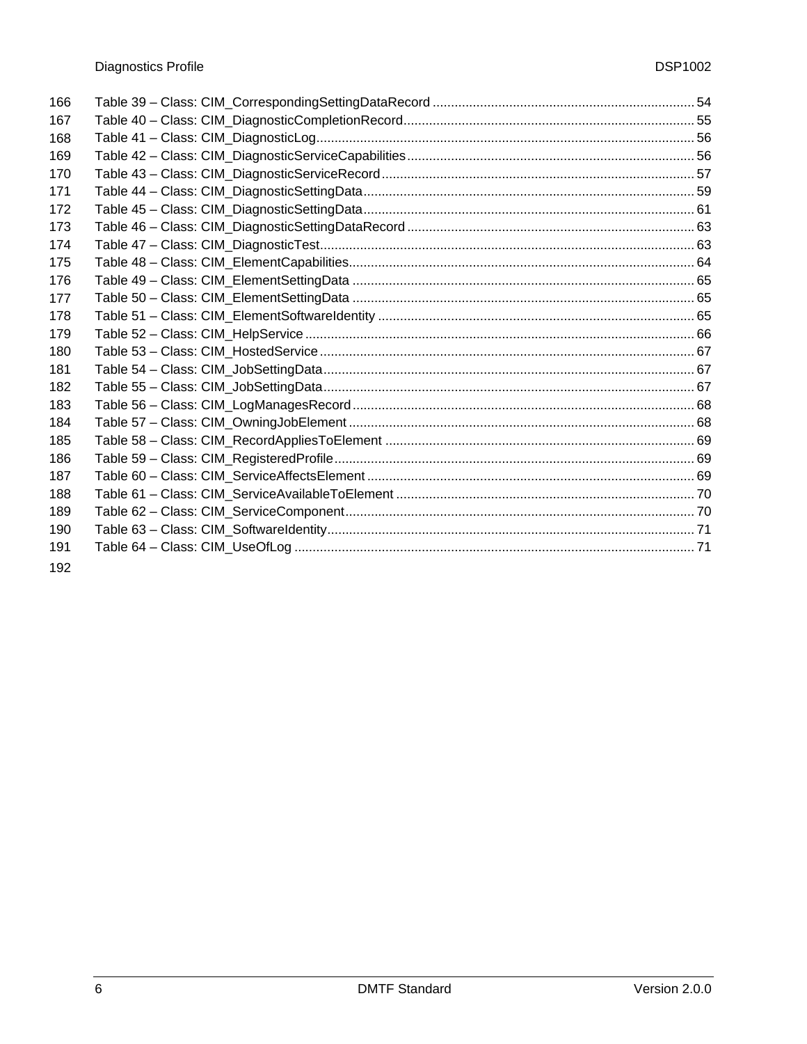| 166 |  |
|-----|--|
| 167 |  |
| 168 |  |
| 169 |  |
| 170 |  |
| 171 |  |
| 172 |  |
| 173 |  |
| 174 |  |
| 175 |  |
| 176 |  |
| 177 |  |
| 178 |  |
| 179 |  |
| 180 |  |
| 181 |  |
| 182 |  |
| 183 |  |
| 184 |  |
| 185 |  |
| 186 |  |
| 187 |  |
| 188 |  |
| 189 |  |
| 190 |  |
| 191 |  |
|     |  |

192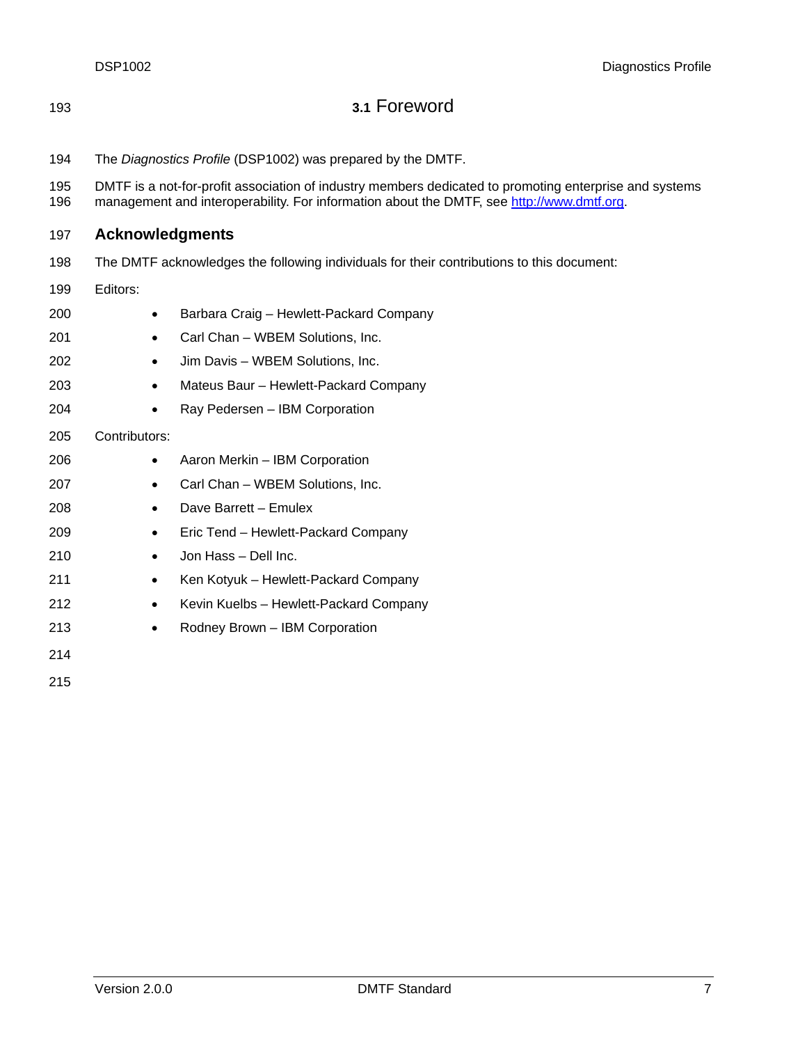| 193        | 3.1 Foreword                                                                                                                                                                                        |  |  |  |  |
|------------|-----------------------------------------------------------------------------------------------------------------------------------------------------------------------------------------------------|--|--|--|--|
| 194        | The Diagnostics Profile (DSP1002) was prepared by the DMTF.                                                                                                                                         |  |  |  |  |
| 195<br>196 | DMTF is a not-for-profit association of industry members dedicated to promoting enterprise and systems<br>management and interoperability. For information about the DMTF, see http://www.dmtf.org. |  |  |  |  |
| 197        | <b>Acknowledgments</b>                                                                                                                                                                              |  |  |  |  |
| 198        | The DMTF acknowledges the following individuals for their contributions to this document:                                                                                                           |  |  |  |  |
| 199        | Editors:                                                                                                                                                                                            |  |  |  |  |
| 200        | Barbara Craig - Hewlett-Packard Company<br>$\bullet$                                                                                                                                                |  |  |  |  |
| 201        | Carl Chan - WBEM Solutions, Inc.<br>$\bullet$                                                                                                                                                       |  |  |  |  |
| 202        | Jim Davis - WBEM Solutions, Inc.<br>٠                                                                                                                                                               |  |  |  |  |
| 203        | Mateus Baur - Hewlett-Packard Company<br>٠                                                                                                                                                          |  |  |  |  |
| 204        | Ray Pedersen - IBM Corporation<br>$\bullet$                                                                                                                                                         |  |  |  |  |
| 205        | Contributors:                                                                                                                                                                                       |  |  |  |  |
| 206        | Aaron Merkin - IBM Corporation<br>$\bullet$                                                                                                                                                         |  |  |  |  |
| 207        | Carl Chan - WBEM Solutions, Inc.<br>$\bullet$                                                                                                                                                       |  |  |  |  |
| 208        | Dave Barrett - Emulex<br>٠                                                                                                                                                                          |  |  |  |  |
| 209        | Eric Tend - Hewlett-Packard Company<br>$\bullet$                                                                                                                                                    |  |  |  |  |
| 210        | Jon Hass - Dell Inc.<br>$\bullet$                                                                                                                                                                   |  |  |  |  |
| 211        | Ken Kotyuk - Hewlett-Packard Company<br>$\bullet$                                                                                                                                                   |  |  |  |  |
| 212        | Kevin Kuelbs - Hewlett-Packard Company<br>$\bullet$                                                                                                                                                 |  |  |  |  |
| 213        | Rodney Brown - IBM Corporation<br>$\bullet$                                                                                                                                                         |  |  |  |  |
| 214        |                                                                                                                                                                                                     |  |  |  |  |
| 215        |                                                                                                                                                                                                     |  |  |  |  |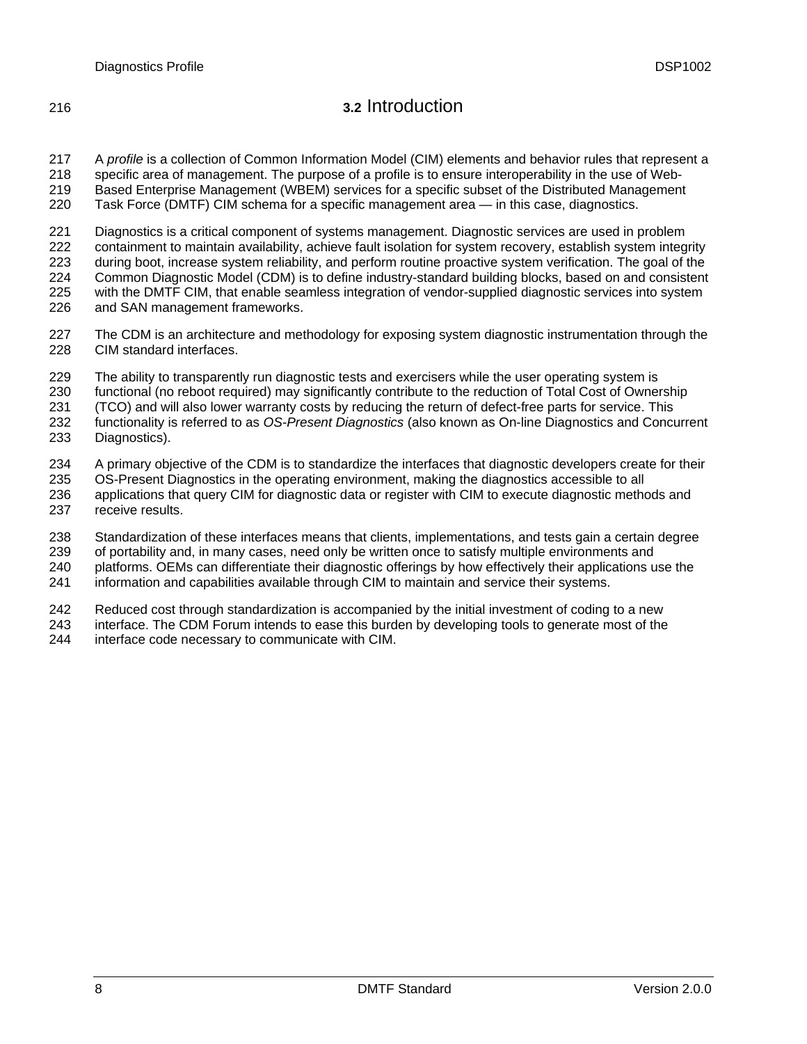# 216 **3.2** Introduction

217 A *profile* is a collection of Common Information Model (CIM) elements and behavior rules that represent a 218 specific area of management. The purpose of a profile is to ensure interoperability in the use of Web-219 Based Enterprise Management (WBEM) services for a specific subset of the Distributed Management

220 Task Force (DMTF) CIM schema for a specific management area — in this case, diagnostics.

221 Diagnostics is a critical component of systems management. Diagnostic services are used in problem 222 containment to maintain availability, achieve fault isolation for system recovery, establish system integrity 223 during boot, increase system reliability, and perform routine proactive system verification. The goal of the 224 Common Diagnostic Model (CDM) is to define industry-standard building blocks, based on and consistent 225 with the DMTF CIM, that enable seamless integration of vendor-supplied diagnostic services into system 226 and SAN management frameworks.

- 227 The CDM is an architecture and methodology for exposing system diagnostic instrumentation through the 228 CIM standard interfaces.
- 229 The ability to transparently run diagnostic tests and exercisers while the user operating system is
- 230 functional (no reboot required) may significantly contribute to the reduction of Total Cost of Ownership
- 231 (TCO) and will also lower warranty costs by reducing the return of defect-free parts for service. This
- 232 functionality is referred to as *OS-Present Diagnostics* (also known as On-line Diagnostics and Concurrent
- 233 Diagnostics).
- 234 A primary objective of the CDM is to standardize the interfaces that diagnostic developers create for their
- 235 OS-Present Diagnostics in the operating environment, making the diagnostics accessible to all
- 236 applications that query CIM for diagnostic data or register with CIM to execute diagnostic methods and 237 receive results.
- 238 Standardization of these interfaces means that clients, implementations, and tests gain a certain degree
- 239 of portability and, in many cases, need only be written once to satisfy multiple environments and
- 240 platforms. OEMs can differentiate their diagnostic offerings by how effectively their applications use the
- 241 information and capabilities available through CIM to maintain and service their systems.
- 242 Reduced cost through standardization is accompanied by the initial investment of coding to a new
- 243 interface. The CDM Forum intends to ease this burden by developing tools to generate most of the
- 244 interface code necessary to communicate with CIM.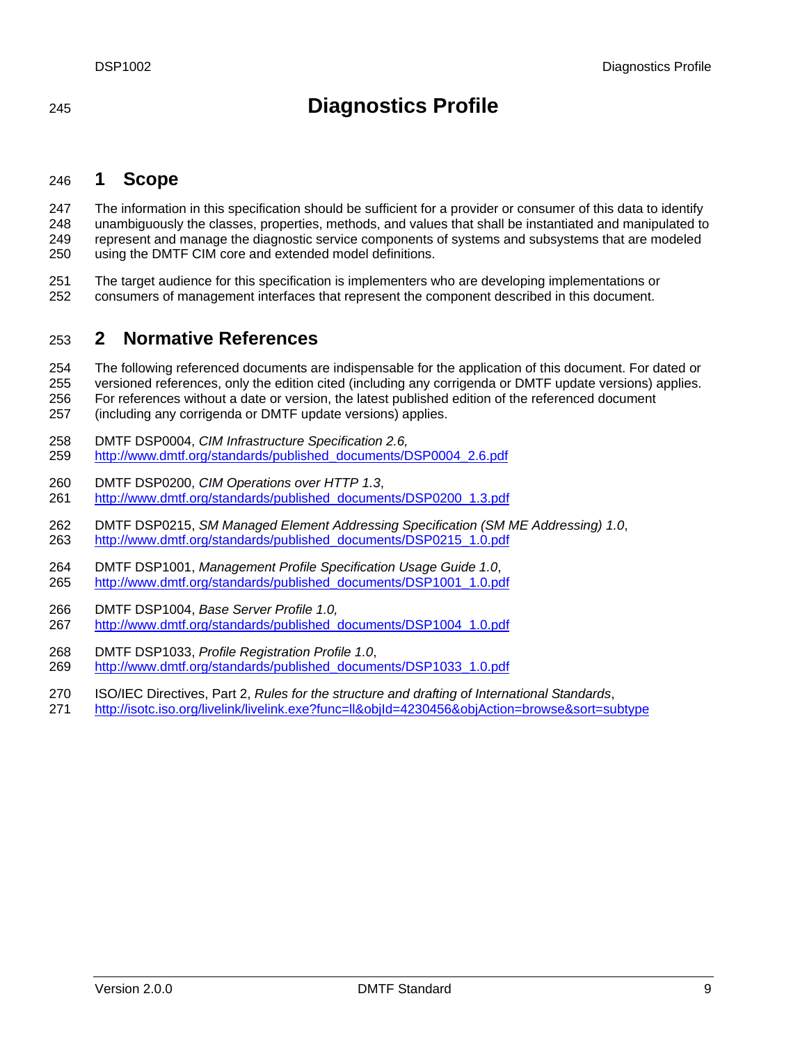# <span id="page-8-0"></span><sup>245</sup>**Diagnostics Profile**

# <span id="page-8-1"></span>246 **1 Scope**

247 The information in this specification should be sufficient for a provider or consumer of this data to identify 248 unambiguously the classes, properties, methods, and values that shall be instantiated and manipulated to 249 represent and manage the diagnostic service components of systems and subsystems that are modeled 250 using the DMTF CIM core and extended model definitions.

251 The target audience for this specification is implementers who are developing implementations or 252 consumers of management interfaces that represent the component described in this document.

# <span id="page-8-2"></span>253 **2 Normative References**

- 254 The following referenced documents are indispensable for the application of this document. For dated or
- 255 versioned references, only the edition cited (including any corrigenda or DMTF update versions) applies.
- 256 For references without a date or version, the latest published edition of the referenced document
- 257 (including any corrigenda or DMTF update versions) applies.
- 258 DMTF DSP0004, *CIM Infrastructure Specification 2.6,*
- 259 [http://www.dmtf.org/standards/published\\_documents/DSP0004\\_2.6.pdf](http://www.dmtf.org/standards/published_documents/DSP0004_2.6.pdf)
- 260 DMTF DSP0200, *CIM Operations over HTTP 1.3*,
- 261 [http://www.dmtf.org/standards/published\\_documents/DSP0200\\_1.3.pdf](http://www.dmtf.org/standards/published_documents/DSP0200_1.3.pdf)
- 262 DMTF DSP0215, *SM Managed Element Addressing Specification (SM ME Addressing) 1.0*, 263 [http://www.dmtf.org/standards/published\\_documents/DSP0215\\_1.0.pdf](http://www.dmtf.org/standards/published_documents/DSP0215_1.0.pdf)
- 264 DMTF DSP1001, *Management Profile Specification Usage Guide 1.0*, 265 [http://www.dmtf.org/standards/published\\_documents/DSP1001\\_1.0.pdf](http://www.dmtf.org/standards/published_documents/DSP1001_1.0.pdf)
- 266 DMTF DSP1004, *Base Server Profile 1.0,*
- 267 [http://www.dmtf.org/standards/published\\_documents/DSP1004\\_1.0.pdf](http://www.dmtf.org/standards/published_documents/DSP1004_1.0.pdf)
- 268 DMTF DSP1033, *Profile Registration Profile 1.0*,
- 269 [http://www.dmtf.org/standards/published\\_documents/DSP1033\\_1.0.pdf](http://www.dmtf.org/standards/published_documents/DSP1033_1.0.pdf)
- 270 ISO/IEC Directives, Part 2, *Rules for the structure and drafting of International Standards*,
- 271 <http://isotc.iso.org/livelink/livelink.exe?func=ll&objId=4230456&objAction=browse&sort=subtype>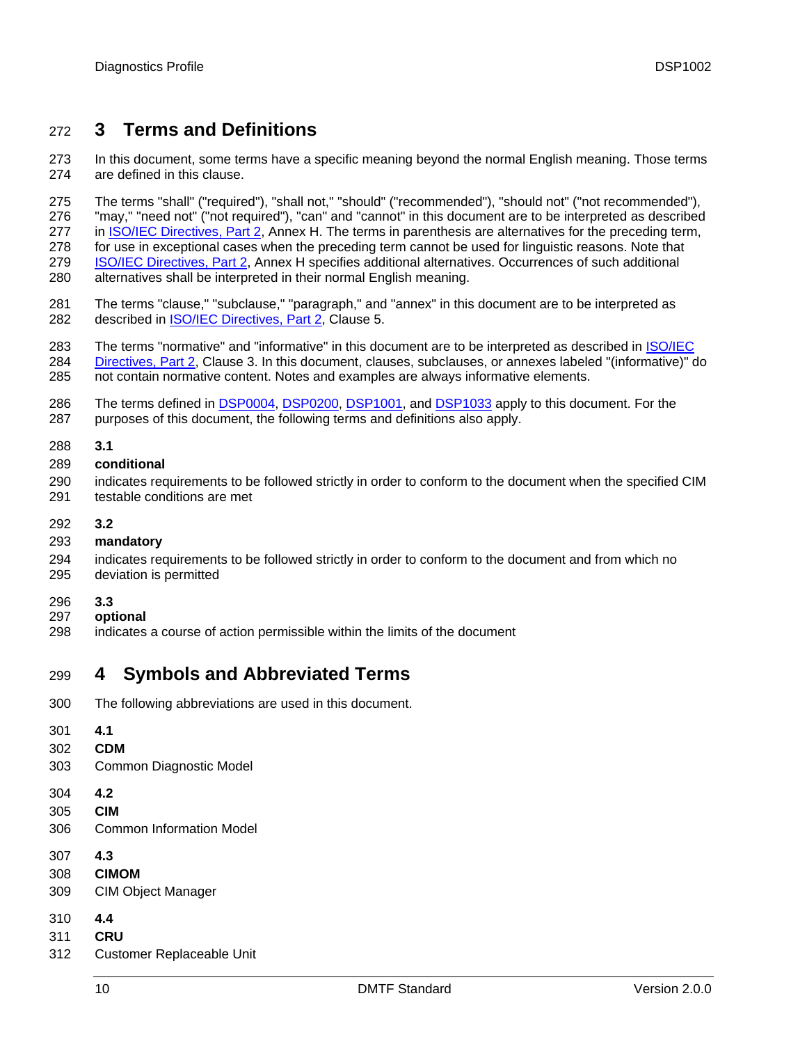# <span id="page-9-1"></span><span id="page-9-0"></span>272 **3 Terms and Definitions**

273 In this document, some terms have a specific meaning beyond the normal English meaning. Those terms 274 are defined in this clause.

275 The terms "shall" ("required"), "shall not," "should" ("recommended"), "should not" ("not recommended"), 276 "may," "need not" ("not required"), "can" and "cannot" in this document are to be interpreted as described 277 in [ISO/IEC Directives, Part 2](#page-8-0), Annex H. The terms in parenthesis are alternatives for the preceding term, 278 for use in exceptional cases when the preceding term cannot be used for linguistic reasons. Note that 279 [ISO/IEC Directives, Part 2,](#page-8-0) Annex H specifies additional alternatives. Occurrences of such additional 280 alternatives shall be interpreted in their normal English meaning.

281 The terms "clause," "subclause," "paragraph," and "annex" in this document are to be interpreted as 282 described in [ISO/IEC Directives, Part 2](#page-8-0), Clause 5.

283 The terms "normative" and "informative" in this document are to be interpreted as described in **ISO/IEC** 284 [Directives, Par](#page-8-0)t 2, Clause 3. In this document, clauses, subclauses, or annexes labeled "(informative)" do

285 not contain normative content. Notes and examples are always informative elements.

- 286 The terms defined in [DSP0004, DSP0200](#page-8-0), [DSP1001,](#page-8-0) and [DSP1033](#page-8-0) apply to this document. For the 287 purposes of this document, the following terms and definitions also apply.
- 288 **3.1**

### 289 **conditional**

- 290 indicates requirements to be followed strictly in order to conform to the document when the specified CIM 291 testable conditions are met
- 292 **3.2**
- 293 **mandatory**
- 294 indicates requirements to be followed strictly in order to conform to the document and from which no 295 deviation is permitted
- 296 **3.3**
- 297 **optional**
- 298 indicates a course of action permissible within the limits of the document

# <span id="page-9-2"></span>299 **4 Symbols and Abbreviated Terms**

- 300 The following abbreviations are used in this document.
- 301 **4.1**
- 302 **CDM**
- 303 Common Diagnostic Model
- 304 **4.2**
- 305 **CIM**
- 306 Common Information Model
- 307 **4.3**
- 308 **CIMOM**
- 309 CIM Object Manager
- 310 **4.4**
- 311 **CRU**
- 312 Customer Replaceable Unit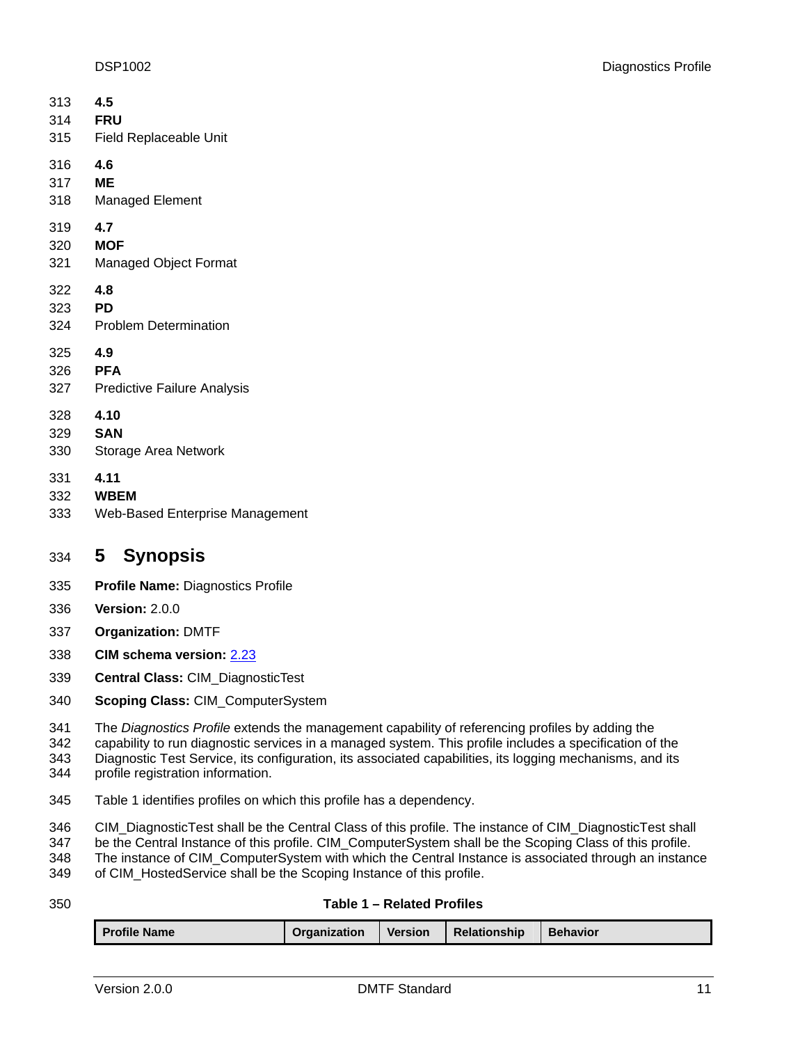<span id="page-10-0"></span>

| 313.  | -4.5                                   |
|-------|----------------------------------------|
| 314   | <b>FRU</b>                             |
| 315 — | <b>Field Replaceable Unit</b>          |
| 316   | 4.6                                    |
| 317   | <b>ME</b>                              |
| 318 — | <b>Managed Element</b>                 |
| 319   | 4.7                                    |
| 320   | <b>MOF</b>                             |
| 321   | Managed Object Format                  |
| 322   | 4.8                                    |
| 323   | <b>PD</b>                              |
|       | 324 Problem Determination              |
| 325   | 4.9                                    |
|       | 326 PFA                                |
| 327   | Predictive Failure Analysis            |
| 328   | 4.10                                   |
| 329   | <b>SAN</b>                             |
| 330   | Storage Area Network                   |
| 331   | 4.11                                   |
| 332   | <b>WBEM</b>                            |
| 333   | <b>Web-Based Enterprise Management</b> |

# <span id="page-10-1"></span>334 **5 Synopsis**

- 335 **Profile Name:** Diagnostics Profile
- 336 **Version:** 2.0.0
- 337 **Organization:** DMTF
- 338 **CIM schema version:** [2.23](http://www.dmtf.org/standards/cim/cim_schema_v211)
- 339 **Central Class:** CIM\_DiagnosticTest
- 340 **Scoping Class:** CIM\_ComputerSystem
- 341 The *Diagnostics Profile* extends the management capability of referencing profiles by adding the
- 342 capability to run diagnostic services in a managed system. This profile includes a specification of the
- 343 Diagnostic Test Service, its configuration, its associated capabilities, its logging mechanisms, and its 344 profile registration information.
- 345 [Table 1](#page-10-2) identifies profiles on which this profile has a dependency.
- 346 CIM DiagnosticTest shall be the Central Class of this profile. The instance of CIM DiagnosticTest shall
- 347 be the Central Instance of this profile. CIM\_ComputerSystem shall be the Scoping Class of this profile.
- 348 The instance of CIM\_ComputerSystem with which the Central Instance is associated through an instance
- 349 of CIM HostedService shall be the Scoping Instance of this profile.

### <span id="page-10-2"></span>350 **Table 1 – Related Profiles**

| Profile Name<br>Relationship<br><b>Behavior</b><br>Version<br>Organization |
|----------------------------------------------------------------------------|
|----------------------------------------------------------------------------|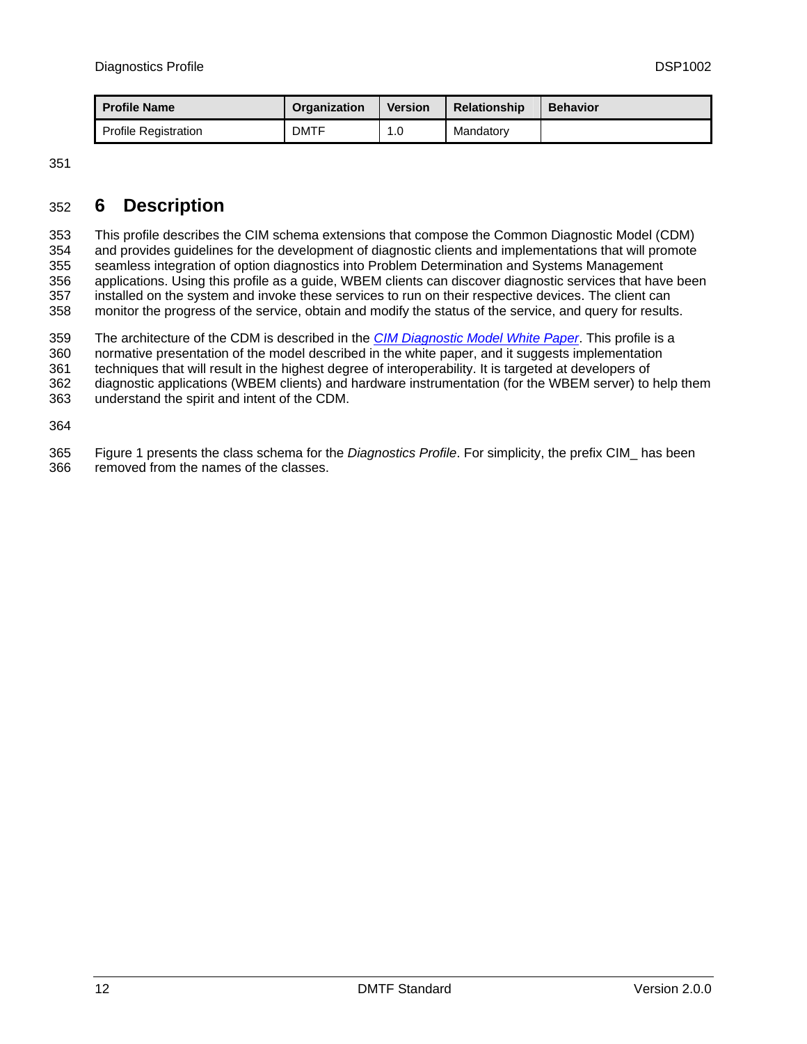<span id="page-11-0"></span>

| <b>Profile Name</b>         | <b>Organization</b> | <b>Version</b> | <b>Relationship</b> | <b>Behavior</b> |
|-----------------------------|---------------------|----------------|---------------------|-----------------|
| <b>Profile Registration</b> | <b>DMTF</b>         | 1.0            | Mandatory           |                 |

351

# <span id="page-11-1"></span>352 **6 Description**

353 This profile describes the CIM schema extensions that compose the Common Diagnostic Model (CDM) 354 and provides guidelines for the development of diagnostic clients and implementations that will promote 355 seamless integration of option diagnostics into Problem Determination and Systems Management 356 applications. Using this profile as a guide, WBEM clients can discover diagnostic services that have been 357 installed on the system and invoke these services to run on their respective devices. The client can 358 monitor the progress of the service, obtain and modify the status of the service, and query for results.

359 The architecture of the CDM is described in the *[CIM Diagnostic Model White Paper](#page-72-0)*. This profile is a 360 normative presentation of the model described in the white paper, and it suggests implementation

361 techniques that will result in the highest degree of interoperability. It is targeted at developers of

362 diagnostic applications (WBEM clients) and hardware instrumentation (for the WBEM server) to help them

363 understand the spirit and intent of the CDM.

364

365 [Figure 1](#page-12-1) presents the class schema for the *Diagnostics Profile*. For simplicity, the prefix CIM\_ has been

366 removed from the names of the classes.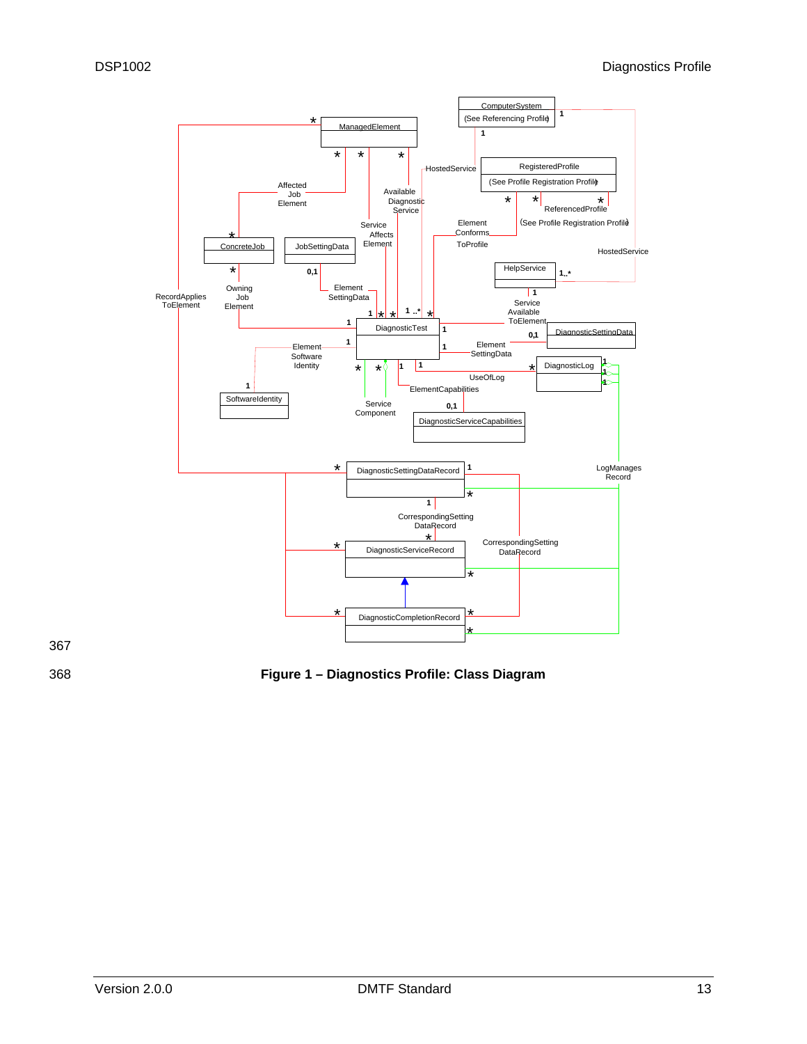<span id="page-12-0"></span>

367

<span id="page-12-1"></span>368 **Figure 1 – Diagnostics Profile: Class Diagram**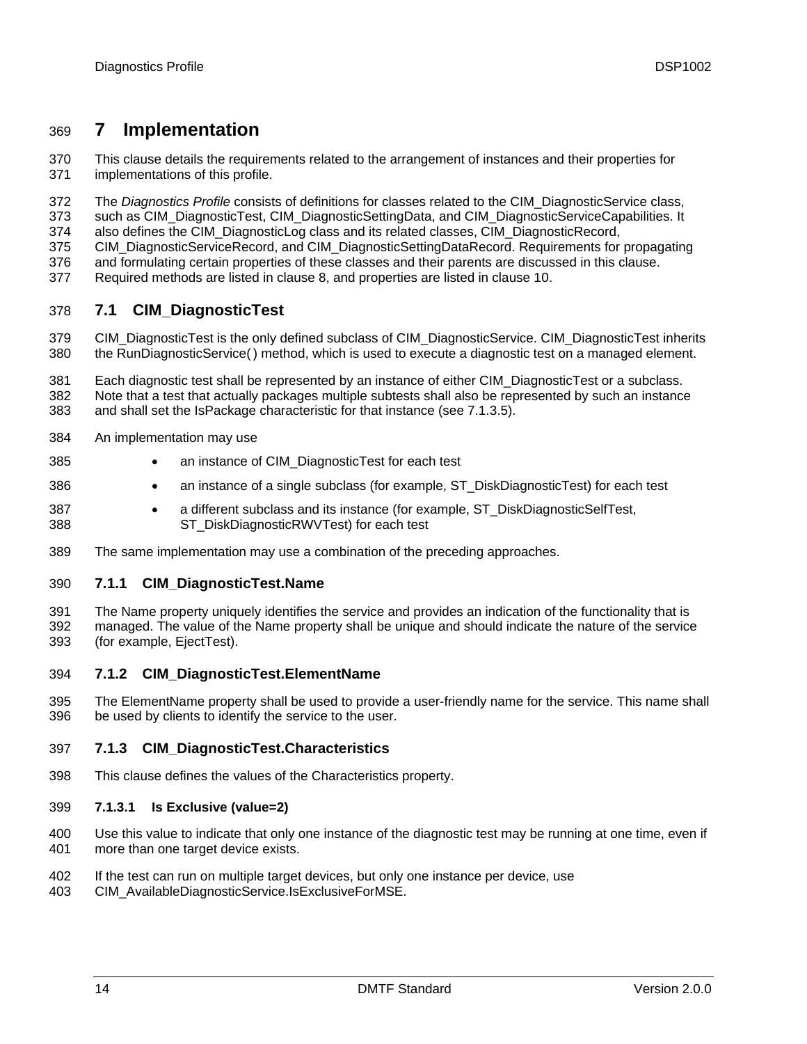# <span id="page-13-1"></span><span id="page-13-0"></span>369 **7 Implementation**

370 This clause details the requirements related to the arrangement of instances and their properties for 371 implementations of this profile.

372 The *Diagnostics Profile* consists of definitions for classes related to the CIM\_DiagnosticService class,

373 such as CIM\_DiagnosticTest, CIM\_DiagnosticSettingData, and CIM\_DiagnosticServiceCapabilities. It

374 also defines the CIM\_DiagnosticLog class and its related classes, CIM\_DiagnosticRecord,

375 CIM\_DiagnosticServiceRecord, and CIM\_DiagnosticSettingDataRecord. Requirements for propagating

376 and formulating certain properties of these classes and their parents are discussed in this clause.

377 Required methods are listed in clause 8, and properties are listed in clause 1[0.](#page-50-3)

# <span id="page-13-2"></span>378 **7.1 CIM\_DiagnosticTest**

379 CIM\_DiagnosticTest is the only defined subclass of CIM\_DiagnosticService. CIM\_DiagnosticTest inherits 380 the RunDiagnosticService() method, which is used to execute a diagnostic test on a managed element.

381 Each diagnostic test shall be represented by an instance of either CIM\_DiagnosticTest or a subclass. 382 Note that a test that actually packages multiple subtests shall also be represented by such an instance 383 and shall set the IsPackage characteristic for that instance (see [7.1.3.5](#page-14-0)).

- 384 An implementation may use
- 385 an instance of CIM\_DiagnosticTest for each test
- 386 an instance of a single subclass (for example, ST\_DiskDiagnosticTest) for each test
- 387 a different subclass and its instance (for example, ST\_DiskDiagnosticSelfTest, 388 ST\_DiskDiagnosticRWVTest) for each test
- 389 The same implementation may use a combination of the preceding approaches.

### 390 **7.1.1 CIM\_DiagnosticTest.Name**

391 The Name property uniquely identifies the service and provides an indication of the functionality that is 392 managed. The value of the Name property shall be unique and should indicate the nature of the service 393 (for example, EjectTest).

- 394 **7.1.2 CIM\_DiagnosticTest.ElementName**
- 395 The ElementName property shall be used to provide a user-friendly name for the service. This name shall 396 be used by clients to identify the service to the user.

### 397 **7.1.3 CIM\_DiagnosticTest.Characteristics**

398 This clause defines the values of the Characteristics property.

### 399 **7.1.3.1 Is Exclusive (value=2)**

- 400 Use this value to indicate that only one instance of the diagnostic test may be running at one time, even if 401 more than one target device exists.
- 402 If the test can run on multiple target devices, but only one instance per device, use
- 403 CIM\_AvailableDiagnosticService.IsExclusiveForMSE.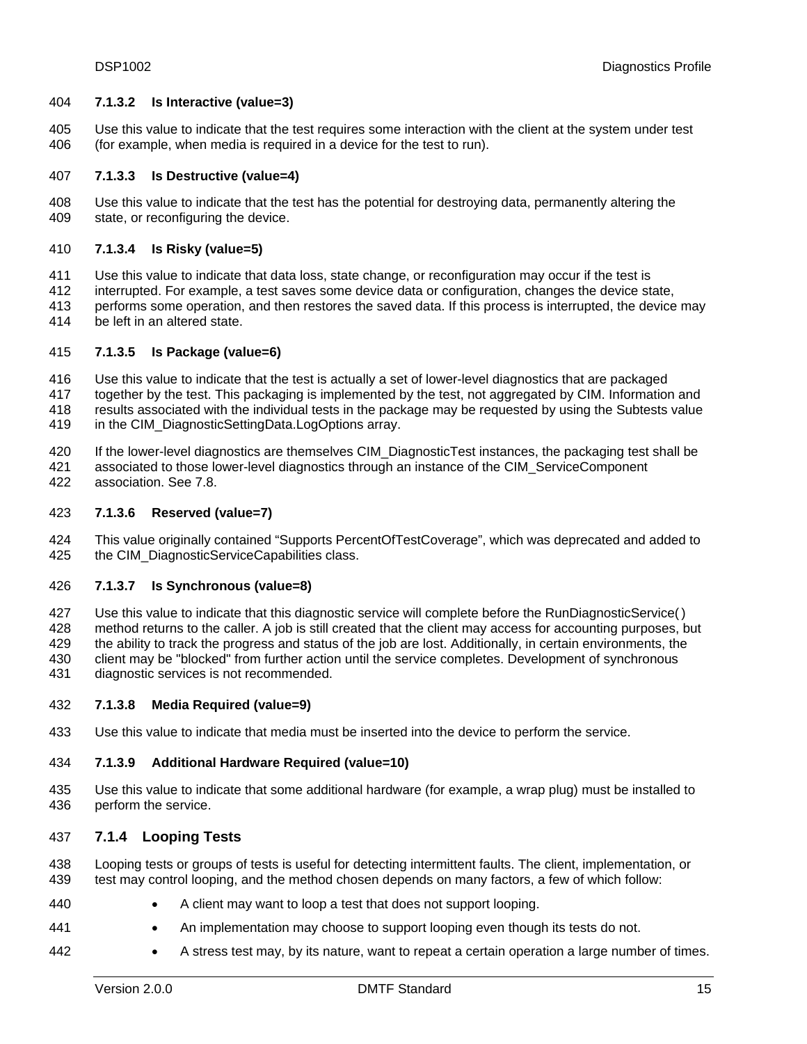### 404 **7.1.3.2 Is Interactive (value=3)**

405 Use this value to indicate that the test requires some interaction with the client at the system under test 406 (for example, when media is required in a device for the test to run).

### 407 **7.1.3.3 Is Destructive (value=4)**

408 Use this value to indicate that the test has the potential for destroying data, permanently altering the 409 state, or reconfiguring the device.

### 410 **7.1.3.4 Is Risky (value=5)**

411 Use this value to indicate that data loss, state change, or reconfiguration may occur if the test is 412 interrupted. For example, a test saves some device data or configuration, changes the device state, 413 performs some operation, and then restores the saved data. If this process is interrupted, the device may 414 be left in an altered state.

### <span id="page-14-0"></span>415 **7.1.3.5 Is Package (value=6)**

416 Use this value to indicate that the test is actually a set of lower-level diagnostics that are packaged 417 together by the test. This packaging is implemented by the test, not aggregated by CIM. Information and 418 results associated with the individual tests in the package may be requested by using the Subtests value 419 in the CIM DiagnosticSettingData.LogOptions array.

- 420 If the lower-level diagnostics are themselves CIM\_DiagnosticTest instances, the packaging test shall be 421 associated to those lower-level diagnostics through an instance of the CIM\_ServiceComponent 422 association. See [7.8](#page-19-1).
- 

### 423 **7.1.3.6 Reserved (value=7)**

424 This value originally contained "Supports PercentOfTestCoverage", which was deprecated and added to 425 the CIM DiagnosticServiceCapabilities class.

### 426 **7.1.3.7 Is Synchronous (value=8)**

427 Use this value to indicate that this diagnostic service will complete before the RunDiagnosticService() 428 method returns to the caller. A job is still created that the client may access for accounting purposes, but 429 the ability to track the progress and status of the job are lost. Additionally, in certain environments, the 430 client may be "blocked" from further action until the service completes. Development of synchronous 431 diagnostic services is not recommended.

### 432 **7.1.3.8 Media Required (value=9)**

433 Use this value to indicate that media must be inserted into the device to perform the service.

### 434 **7.1.3.9 Additional Hardware Required (value=10)**

435 Use this value to indicate that some additional hardware (for example, a wrap plug) must be installed to 436 perform the service.

### 437 **7.1.4 Looping Tests**

- 438 Looping tests or groups of tests is useful for detecting intermittent faults. The client, implementation, or 439 test may control looping, and the method chosen depends on many factors, a few of which follow:
- 440 A client may want to loop a test that does not support looping.
- 441 An implementation may choose to support looping even though its tests do not.
- 442 A stress test may, by its nature, want to repeat a certain operation a large number of times.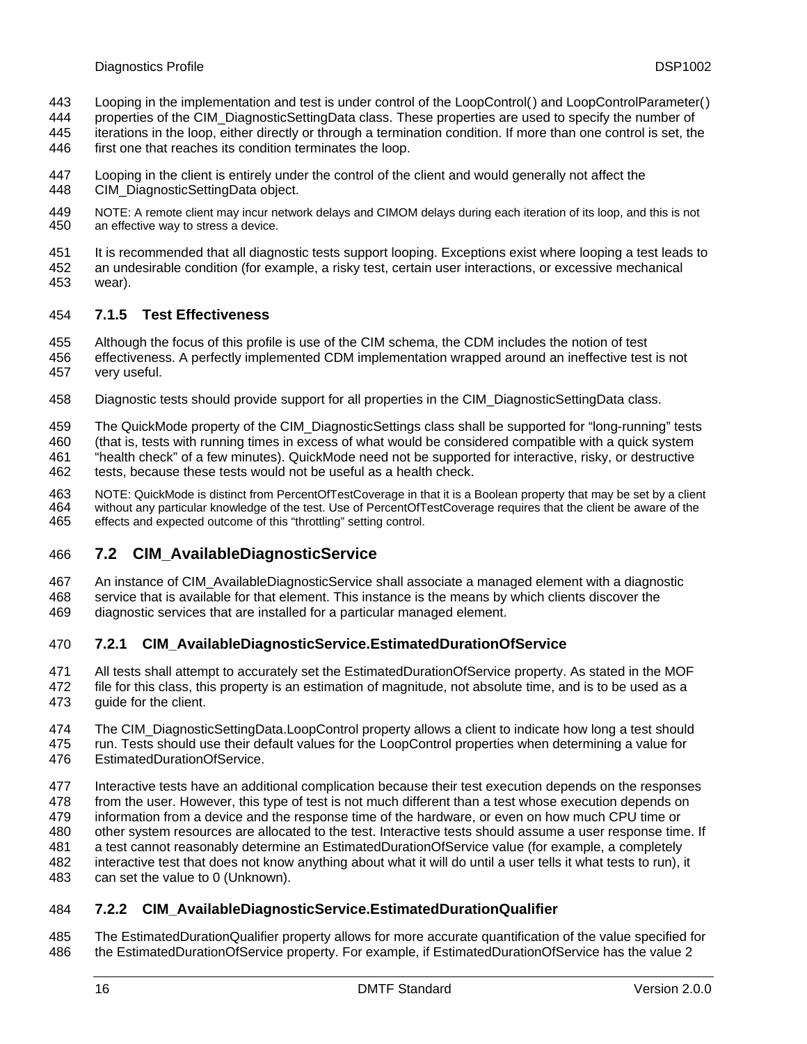- <span id="page-15-0"></span>443 Looping in the implementation and test is under control of the LoopControl() and LoopControlParameter()
- 444 properties of the CIM\_DiagnosticSettingData class. These properties are used to specify the number of
- 445 iterations in the loop, either directly or through a termination condition. If more than one control is set, the 446 first one that reaches its condition terminates the loop.
- 447 Looping in the client is entirely under the control of the client and would generally not affect the 448 CIM DiagnosticSettingData object.
- 449 NOTE: A remote client may incur network delays and CIMOM delays during each iteration of its loop, and this is not 450 an effective way to stress a device.
- 451 It is recommended that all diagnostic tests support looping. Exceptions exist where looping a test leads to 452 an undesirable condition (for example, a risky test, certain user interactions, or excessive mechanical 453 wear).

## 454 **7.1.5 Test Effectiveness**

- 455 Although the focus of this profile is use of the CIM schema, the CDM includes the notion of test
- 456 effectiveness. A perfectly implemented CDM implementation wrapped around an ineffective test is not 457 very useful.
- 458 Diagnostic tests should provide support for all properties in the CIM\_DiagnosticSettingData class.
- 459 The QuickMode property of the CIM\_DiagnosticSettings class shall be supported for "long-running" tests
- 460 (that is, tests with running times in excess of what would be considered compatible with a quick system
- 461 "health check" of a few minutes). QuickMode need not be supported for interactive, risky, or destructive
- 462 tests, because these tests would not be useful as a health check.
- 463 NOTE: QuickMode is distinct from PercentOfTestCoverage in that it is a Boolean property that may be set by a client 464 without any particular knowledge of the test. Use of PercentOfTestCoverage requires that the client be aware of the 465 effects and expected outcome of this "throttling" setting control.

# <span id="page-15-1"></span>466 **7.2 CIM\_AvailableDiagnosticService**

467 An instance of CIM\_AvailableDiagnosticService shall associate a managed element with a diagnostic 468 service that is available for that element. This instance is the means by which clients discover the 469 diagnostic services that are installed for a particular managed element.

# 470 **7.2.1 CIM\_AvailableDiagnosticService.EstimatedDurationOfService**

- 471 All tests shall attempt to accurately set the EstimatedDurationOfService property. As stated in the MOF 472 file for this class, this property is an estimation of magnitude, not absolute time, and is to be used as a 473 guide for the client.
- 474 The CIM DiagnosticSettingData.LoopControl property allows a client to indicate how long a test should 475 run. Tests should use their default values for the LoopControl properties when determining a value for 476 EstimatedDurationOfService.
- 477 Interactive tests have an additional complication because their test execution depends on the responses 478 from the user. However, this type of test is not much different than a test whose execution depends on 479 information from a device and the response time of the hardware, or even on how much CPU time or 480 other system resources are allocated to the test. Interactive tests should assume a user response time. If 481 a test cannot reasonably determine an EstimatedDurationOfService value (for example, a completely 482 interactive test that does not know anything about what it will do until a user tells it what tests to run), it 483 can set the value to 0 (Unknown).

# 484 **7.2.2 CIM\_AvailableDiagnosticService.EstimatedDurationQualifier**

485 The EstimatedDurationQualifier property allows for more accurate quantification of the value specified for 486 the EstimatedDurationOfService property. For example, if EstimatedDurationOfService has the value 2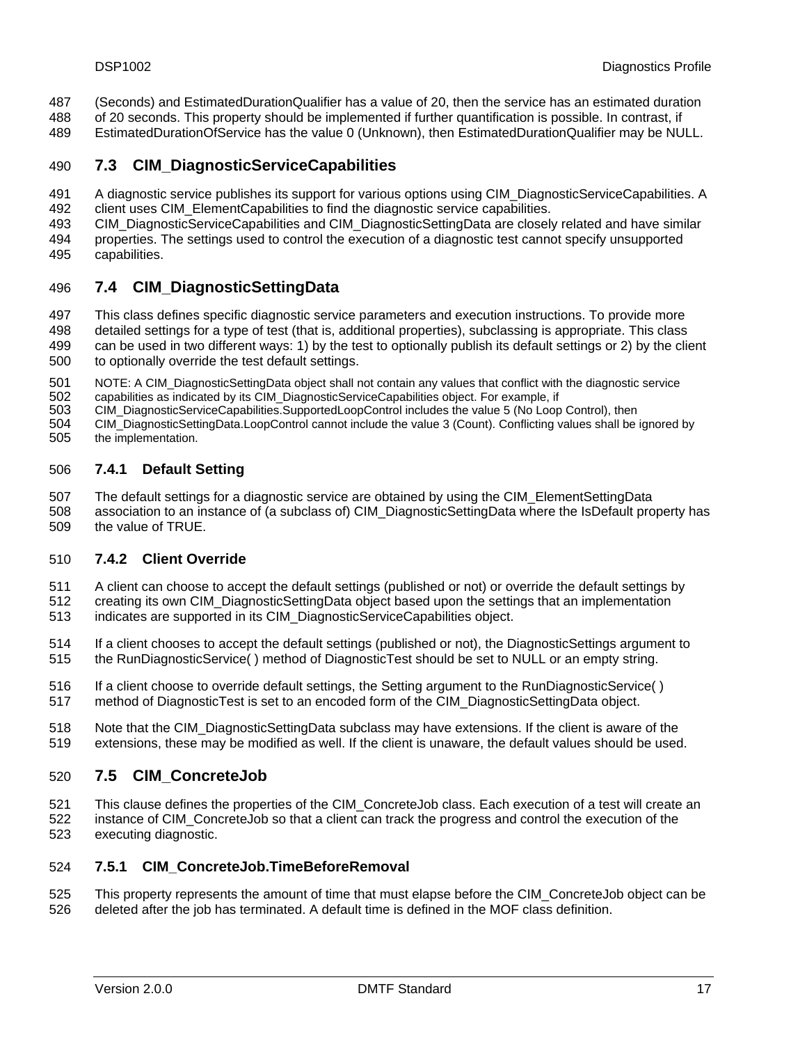- <span id="page-16-0"></span>487 (Seconds) and EstimatedDurationQualifier has a value of 20, then the service has an estimated duration
- 488 of 20 seconds. This property should be implemented if further quantification is possible. In contrast, if
- 489 EstimatedDurationOfService has the value 0 (Unknown), then EstimatedDurationQualifier may be NULL.

## <span id="page-16-1"></span>490 **7.3 CIM\_DiagnosticServiceCapabilities**

- 491 A diagnostic service publishes its support for various options using CIM\_DiagnosticServiceCapabilities. A
- 492 client uses CIM\_ElementCapabilities to find the diagnostic service capabilities.
- 493 CIM\_DiagnosticServiceCapabilities and CIM\_DiagnosticSettingData are closely related and have similar
- 494 properties. The settings used to control the execution of a diagnostic test cannot specify unsupported 495 capabilities.

# <span id="page-16-2"></span>496 **7.4 CIM\_DiagnosticSettingData**

497 This class defines specific diagnostic service parameters and execution instructions. To provide more 498 detailed settings for a type of test (that is, additional properties), subclassing is appropriate. This class 499 can be used in two different ways: 1) by the test to optionally publish its default settings or 2) by the client 500 to optionally override the test default settings.

- 501 NOTE: A CIM\_DiagnosticSettingData object shall not contain any values that conflict with the diagnostic service
- 502 capabilities as indicated by its CIM\_DiagnosticServiceCapabilities object. For example, if
- 503 CIM\_DiagnosticServiceCapabilities.SupportedLoopControl includes the value 5 (No Loop Control), then<br>504 CIM DiagnosticSettingData.LoopControl cannot include the value 3 (Count). Conflicting values shall be
- 504 CIM\_DiagnosticSettingData.LoopControl cannot include the value 3 (Count). Conflicting values shall be ignored by 505 the implementation.

## 506 **7.4.1 Default Setting**

- 507 The default settings for a diagnostic service are obtained by using the CIM\_ElementSettingData 508 association to an instance of (a subclass of) CIM\_DiagnosticSettingData where the IsDefault property has 509 the value of TRUE.
- 510 **7.4.2 Client Override**
- 511 A client can choose to accept the default settings (published or not) or override the default settings by
- 512 creating its own CIM\_DiagnosticSettingData object based upon the settings that an implementation 513 indicates are supported in its CIM\_DiagnosticServiceCapabilities object.
- 
- 514 If a client chooses to accept the default settings (published or not), the DiagnosticSettings argument to 515 the RunDiagnosticService( ) method of DiagnosticTest should be set to NULL or an empty string.
- 516 If a client choose to override default settings, the Setting argument to the RunDiagnosticService() 517 method of DiagnosticTest is set to an encoded form of the CIM\_DiagnosticSettingData object.
- 518 Note that the CIM\_DiagnosticSettingData subclass may have extensions. If the client is aware of the 519 extensions, these may be modified as well. If the client is unaware, the default values should be used.

# <span id="page-16-3"></span>520 **7.5 CIM\_ConcreteJob**

- 521 This clause defines the properties of the CIM\_ConcreteJob class. Each execution of a test will create an 522 instance of CIM\_ConcreteJob so that a client can track the progress and control the execution of the
- 523 executing diagnostic.

### 524 **7.5.1 CIM\_ConcreteJob.TimeBeforeRemoval**

525 This property represents the amount of time that must elapse before the CIM\_ConcreteJob object can be 526 deleted after the job has terminated. A default time is defined in the MOF class definition.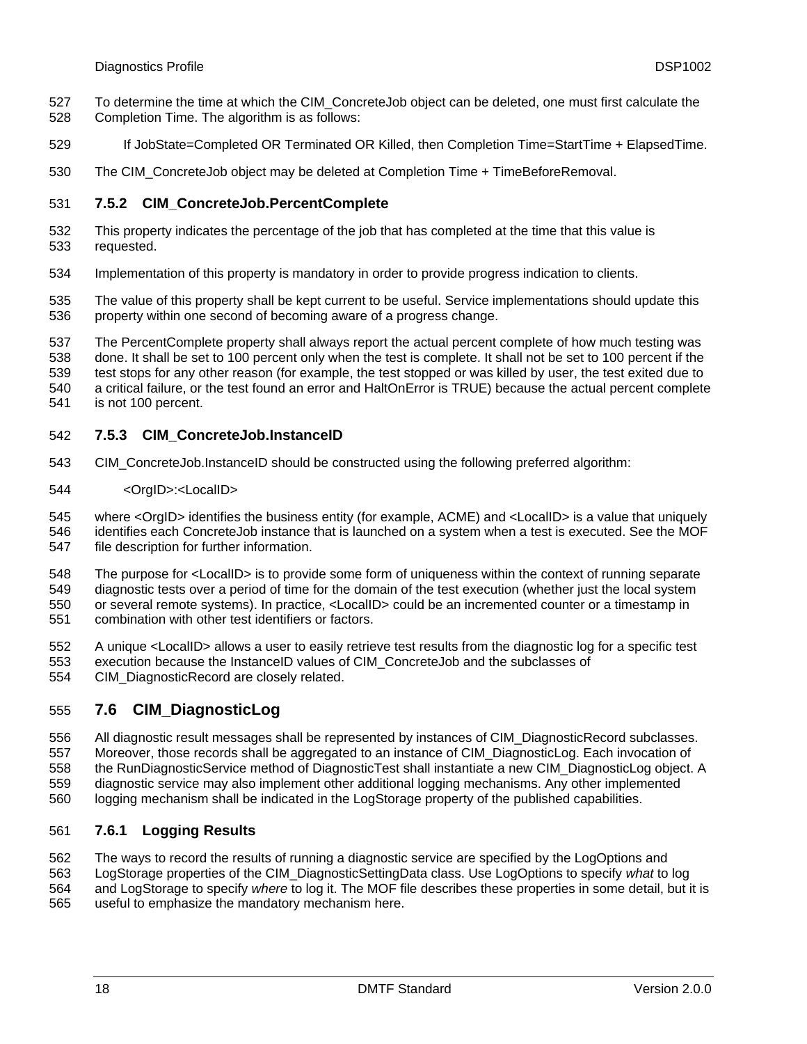- <span id="page-17-0"></span>527 To determine the time at which the CIM\_ConcreteJob object can be deleted, one must first calculate the 528 Completion Time. The algorithm is as follows:
- 529 If JobState=Completed OR Terminated OR Killed, then Completion Time=StartTime + ElapsedTime.
- 530 The CIM\_ConcreteJob object may be deleted at Completion Time + TimeBeforeRemoval.

### 531 **7.5.2 CIM\_ConcreteJob.PercentComplete**

- 532 This property indicates the percentage of the job that has completed at the time that this value is 533 requested.
- 534 Implementation of this property is mandatory in order to provide progress indication to clients.
- 535 The value of this property shall be kept current to be useful. Service implementations should update this 536 property within one second of becoming aware of a progress change.
- 537 The PercentComplete property shall always report the actual percent complete of how much testing was 538 done. It shall be set to 100 percent only when the test is complete. It shall not be set to 100 percent if the 539 test stops for any other reason (for example, the test stopped or was killed by user, the test exited due to 540 a critical failure, or the test found an error and HaltOnError is TRUE) because the actual percent complete 541 is not 100 percent.

## 542 **7.5.3 CIM\_ConcreteJob.InstanceID**

543 CIM\_ConcreteJob.InstanceID should be constructed using the following preferred algorithm:

### 544 <OrgID>:<LocalID>

545 where <OrgID> identifies the business entity (for example, ACME) and <LocalID> is a value that uniquely 546 identifies each ConcreteJob instance that is launched on a system when a test is executed. See the MOF 547 file description for further information.

548 The purpose for <LocalID> is to provide some form of uniqueness within the context of running separate 549 diagnostic tests over a period of time for the domain of the test execution (whether just the local system 550 or several remote systems). In practice, <LocalID> could be an incremented counter or a timestamp in 551 combination with other test identifiers or factors.

- 552 A unique <LocalID> allows a user to easily retrieve test results from the diagnostic log for a specific test
- 553 execution because the InstanceID values of CIM\_ConcreteJob and the subclasses of
- 554 CIM\_DiagnosticRecord are closely related.

# <span id="page-17-1"></span>555 **7.6 CIM\_DiagnosticLog**

556 All diagnostic result messages shall be represented by instances of CIM\_DiagnosticRecord subclasses.

- 557 Moreover, those records shall be aggregated to an instance of CIM\_DiagnosticLog. Each invocation of
- 558 the RunDiagnosticService method of DiagnosticTest shall instantiate a new CIM\_DiagnosticLog object. A
- 559 diagnostic service may also implement other additional logging mechanisms. Any other implemented
- 560 logging mechanism shall be indicated in the LogStorage property of the published capabilities.

# 561 **7.6.1 Logging Results**

562 The ways to record the results of running a diagnostic service are specified by the LogOptions and 563 LogStorage properties of the CIM\_DiagnosticSettingData class. Use LogOptions to specify *what* to log 564 and LogStorage to specify *where* to log it. The MOF file describes these properties in some detail, but it is 565 useful to emphasize the mandatory mechanism here.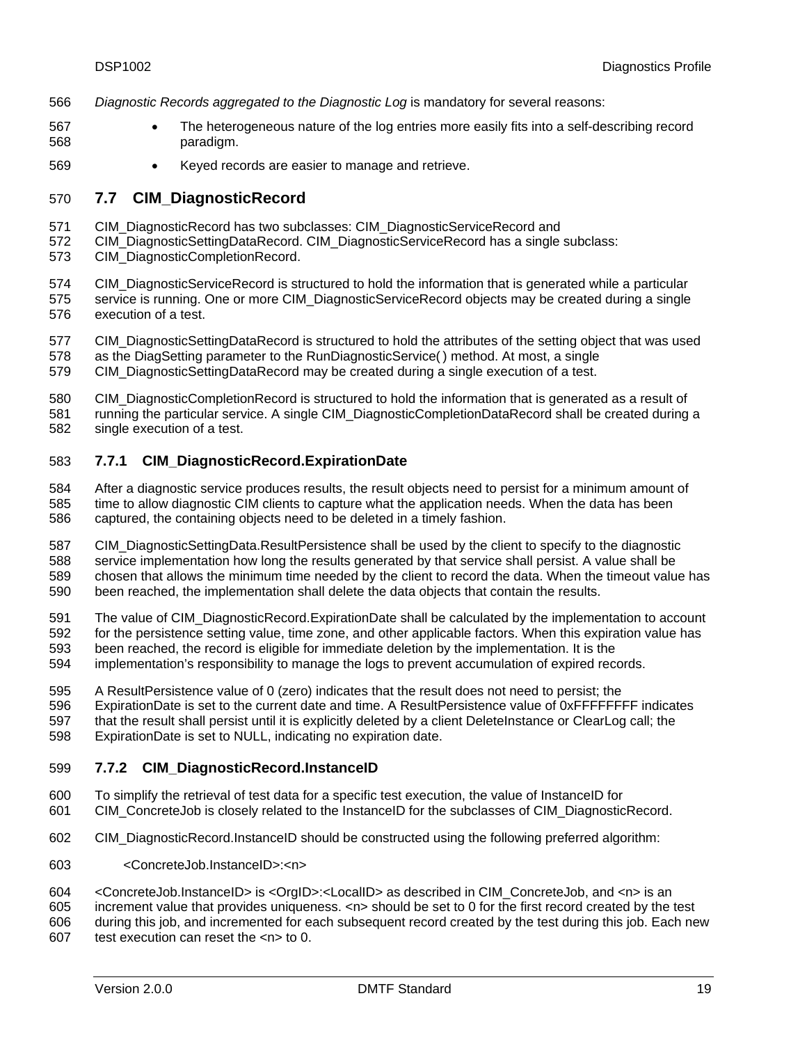- <span id="page-18-0"></span>566 *Diagnostic Records aggregated to the Diagnostic Log* is mandatory for several reasons:
- 567 The heterogeneous nature of the log entries more easily fits into a self-describing record 568 paradigm.
- 569 Keyed records are easier to manage and retrieve.

# <span id="page-18-1"></span>570 **7.7 CIM\_DiagnosticRecord**

- 571 CIM\_DiagnosticRecord has two subclasses: CIM\_DiagnosticServiceRecord and
- 572 CIM\_DiagnosticSettingDataRecord. CIM\_DiagnosticServiceRecord has a single subclass:
- 573 CIM\_DiagnosticCompletionRecord.
- 574 CIM DiagnosticServiceRecord is structured to hold the information that is generated while a particular 575 service is running. One or more CIM\_DiagnosticServiceRecord objects may be created during a single 576 execution of a test.
- 577 CIM\_DiagnosticSettingDataRecord is structured to hold the attributes of the setting object that was used 578 as the DiagSetting parameter to the RunDiagnosticService( ) method. At most, a single
- 579 CIM\_DiagnosticSettingDataRecord may be created during a single execution of a test.
- 580 CIM\_DiagnosticCompletionRecord is structured to hold the information that is generated as a result of 581 running the particular service. A single CIM DiagnosticCompletionDataRecord shall be created during a
- 582 single execution of a test.
- 583 **7.7.1 CIM\_DiagnosticRecord.ExpirationDate**

584 After a diagnostic service produces results, the result objects need to persist for a minimum amount of 585 time to allow diagnostic CIM clients to capture what the application needs. When the data has been 586 captured, the containing objects need to be deleted in a timely fashion.

- 587 CIM\_DiagnosticSettingData.ResultPersistence shall be used by the client to specify to the diagnostic
- 588 service implementation how long the results generated by that service shall persist. A value shall be 589 chosen that allows the minimum time needed by the client to record the data. When the timeout value has
- 590 been reached, the implementation shall delete the data objects that contain the results.
- 591 The value of CIM\_DiagnosticRecord.ExpirationDate shall be calculated by the implementation to account
- 592 for the persistence setting value, time zone, and other applicable factors. When this expiration value has 593 been reached, the record is eligible for immediate deletion by the implementation. It is the
- 594 implementation's responsibility to manage the logs to prevent accumulation of expired records.
- 595 A ResultPersistence value of 0 (zero) indicates that the result does not need to persist; the
- 596 ExpirationDate is set to the current date and time. A ResultPersistence value of 0xFFFFFFFF indicates
- 597 that the result shall persist until it is explicitly deleted by a client DeleteInstance or ClearLog call; the
- 598 ExpirationDate is set to NULL, indicating no expiration date.

### 599 **7.7.2 CIM\_DiagnosticRecord.InstanceID**

- 600 To simplify the retrieval of test data for a specific test execution, the value of InstanceID for
- 601 CIM\_ConcreteJob is closely related to the InstanceID for the subclasses of CIM\_DiagnosticRecord.
- 602 CIM\_DiagnosticRecord.InstanceID should be constructed using the following preferred algorithm:
- 603 <ConcreteJob.InstanceID>:<n>
- 604 <ConcreteJob.InstanceID> is <OrgID>:<LocalID> as described in CIM\_ConcreteJob, and <n> is an
- 605 increment value that provides uniqueness. <n> should be set to 0 for the first record created by the test

606 during this job, and incremented for each subsequent record created by the test during this job. Each new 607 test execution can reset the <n> to 0.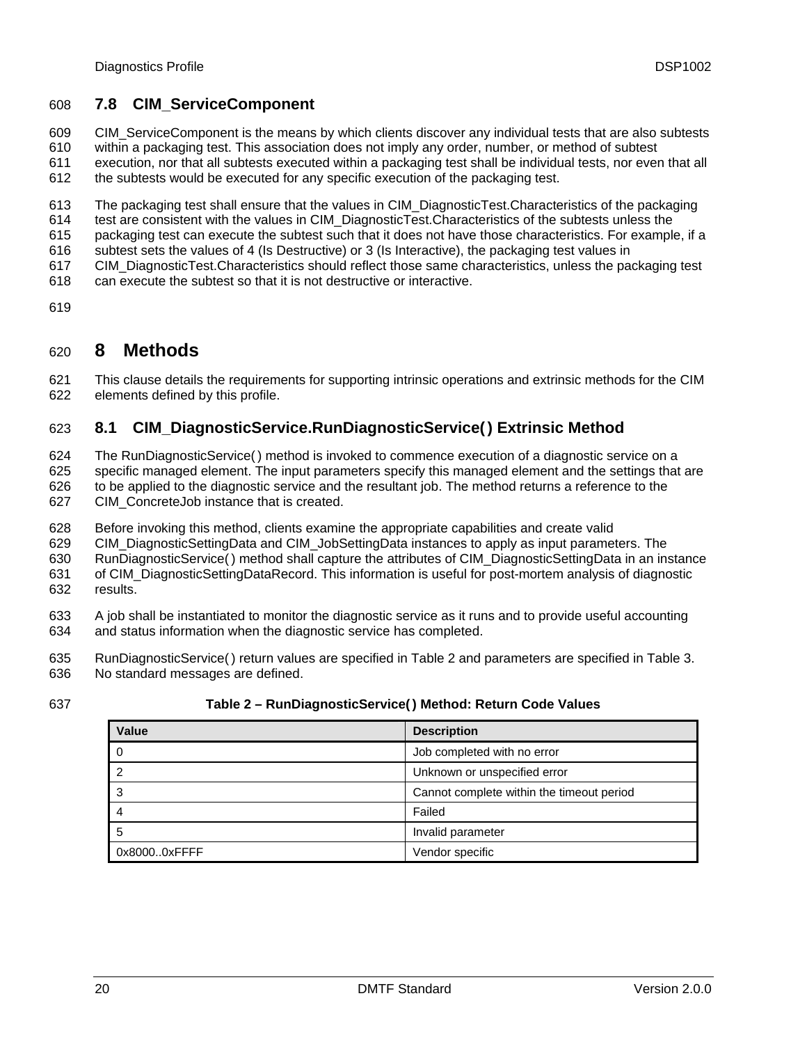# <span id="page-19-1"></span><span id="page-19-0"></span>608 **7.8 CIM\_ServiceComponent**

- 609 CIM\_ServiceComponent is the means by which clients discover any individual tests that are also subtests
- 610 within a packaging test. This association does not imply any order, number, or method of subtest
- 611 execution, nor that all subtests executed within a packaging test shall be individual tests, nor even that all 612 the subtests would be executed for any specific execution of the packaging test.
- 613 The packaging test shall ensure that the values in CIM\_DiagnosticTest.Characteristics of the packaging
- 614 test are consistent with the values in CIM\_DiagnosticTest.Characteristics of the subtests unless the
- 615 packaging test can execute the subtest such that it does not have those characteristics. For example, if a
- 616 subtest sets the values of 4 (Is Destructive) or 3 (Is Interactive), the packaging test values in
- 617 CIM\_DiagnosticTest.Characteristics should reflect those same characteristics, unless the packaging test
- 618 can execute the subtest so that it is not destructive or interactive.
- 619

# <span id="page-19-2"></span>620 **8 Methods**

621 This clause details the requirements for supporting intrinsic operations and extrinsic methods for the CIM 622 elements defined by this profile.

# <span id="page-19-3"></span>623 **8.1 CIM\_DiagnosticService.RunDiagnosticService() Extrinsic Method**

624 The RunDiagnosticService( ) method is invoked to commence execution of a diagnostic service on a 625 specific managed element. The input parameters specify this managed element and the settings that are 626 to be applied to the diagnostic service and the resultant job. The method returns a reference to the 627 CIM\_ConcreteJob instance that is created.

628 Before invoking this method, clients examine the appropriate capabilities and create valid

- 629 CIM\_DiagnosticSettingData and CIM\_JobSettingData instances to apply as input parameters. The
- 630 RunDiagnosticService() method shall capture the attributes of CIM\_DiagnosticSettingData in an instance
- 631 of CIM\_DiagnosticSettingDataRecord. This information is useful for post-mortem analysis of diagnostic 632 results.

633 A job shall be instantiated to monitor the diagnostic service as it runs and to provide useful accounting 634 and status information when the diagnostic service has completed.

- 635 RunDiagnosticService() return values are specified in [Table 2](#page-19-4) and parameters are specified in [Table 3](#page-20-2). 636 No standard messages are defined.
- <span id="page-19-4"></span>

### 637 **Table 2 – RunDiagnosticService( ) Method: Return Code Values**

| <b>Value</b> | <b>Description</b>                        |
|--------------|-------------------------------------------|
| - 0          | Job completed with no error               |
| ◠            | Unknown or unspecified error              |
| 3            | Cannot complete within the timeout period |
|              | Failed                                    |
| 5            | Invalid parameter                         |
| 0x80000xFFFF | Vendor specific                           |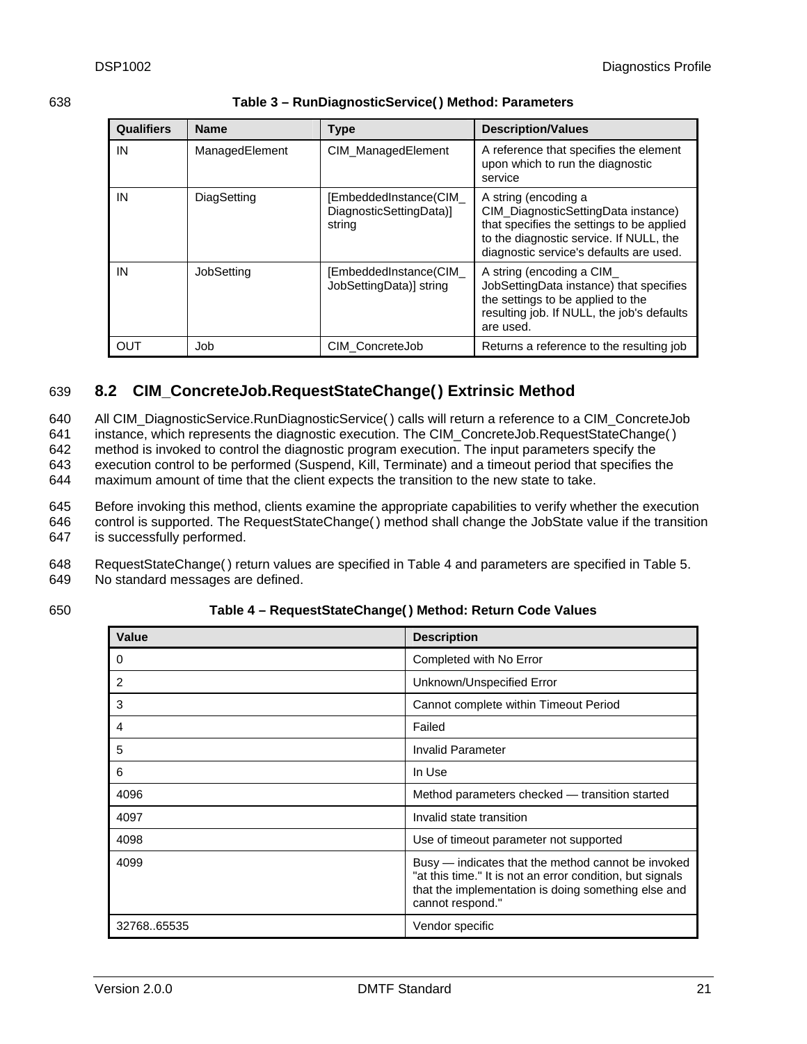<span id="page-20-2"></span><span id="page-20-0"></span>

| Table 3 – RunDiagnosticService() Method: Parameters |
|-----------------------------------------------------|

| <b>Qualifiers</b><br><b>Name</b> |                | <b>Type</b>                                                | <b>Description/Values</b>                                                                                                                                                                      |  |
|----------------------------------|----------------|------------------------------------------------------------|------------------------------------------------------------------------------------------------------------------------------------------------------------------------------------------------|--|
| IN                               | ManagedElement | CIM_ManagedElement                                         | A reference that specifies the element<br>upon which to run the diagnostic<br>service                                                                                                          |  |
| IN                               | DiagSetting    | [EmbeddedInstance(CIM<br>DiagnosticSettingData)]<br>string | A string (encoding a<br>CIM DiagnosticSettingData instance)<br>that specifies the settings to be applied<br>to the diagnostic service. If NULL, the<br>diagnostic service's defaults are used. |  |
| IN                               | JobSetting     | [EmbeddedInstance(CIM<br>JobSettingData)] string           | A string (encoding a CIM<br>JobSettingData instance) that specifies<br>the settings to be applied to the<br>resulting job. If NULL, the job's defaults<br>are used.                            |  |
| <b>OUT</b>                       | Job            | CIM ConcreteJob                                            | Returns a reference to the resulting job                                                                                                                                                       |  |

# <span id="page-20-1"></span>639 **8.2 CIM\_ConcreteJob.RequestStateChange() Extrinsic Method**

640 All CIM\_DiagnosticService.RunDiagnosticService( ) calls will return a reference to a CIM\_ConcreteJob 641 instance, which represents the diagnostic execution. The CIM\_ConcreteJob.RequestStateChange( ) 642 method is invoked to control the diagnostic program execution. The input parameters specify the 643 execution control to be performed (Suspend, Kill, Terminate) and a timeout period that specifies the 644 maximum amount of time that the client expects the transition to the new state to take.

645 Before invoking this method, clients examine the appropriate capabilities to verify whether the execution 646 control is supported. The RequestStateChange() method shall change the JobState value if the transition 647 is successfully performed.

648 RequestStateChange( ) return values are specified in [Table 4](#page-20-3) and parameters are specified in [Table 5.](#page-21-3) 649 No standard messages are defined.

### <span id="page-20-3"></span>650 **Table 4 – RequestStateChange( ) Method: Return Code Values**

| Value      | <b>Description</b>                                                                                                                                                                         |
|------------|--------------------------------------------------------------------------------------------------------------------------------------------------------------------------------------------|
| 0          | Completed with No Error                                                                                                                                                                    |
| 2          | Unknown/Unspecified Error                                                                                                                                                                  |
| 3          | Cannot complete within Timeout Period                                                                                                                                                      |
| 4          | Failed                                                                                                                                                                                     |
| 5          | <b>Invalid Parameter</b>                                                                                                                                                                   |
| 6          | In Use                                                                                                                                                                                     |
| 4096       | Method parameters checked — transition started                                                                                                                                             |
| 4097       | Invalid state transition                                                                                                                                                                   |
| 4098       | Use of timeout parameter not supported                                                                                                                                                     |
| 4099       | Busy — indicates that the method cannot be invoked<br>"at this time." It is not an error condition, but signals<br>that the implementation is doing something else and<br>cannot respond." |
| 3276865535 | Vendor specific                                                                                                                                                                            |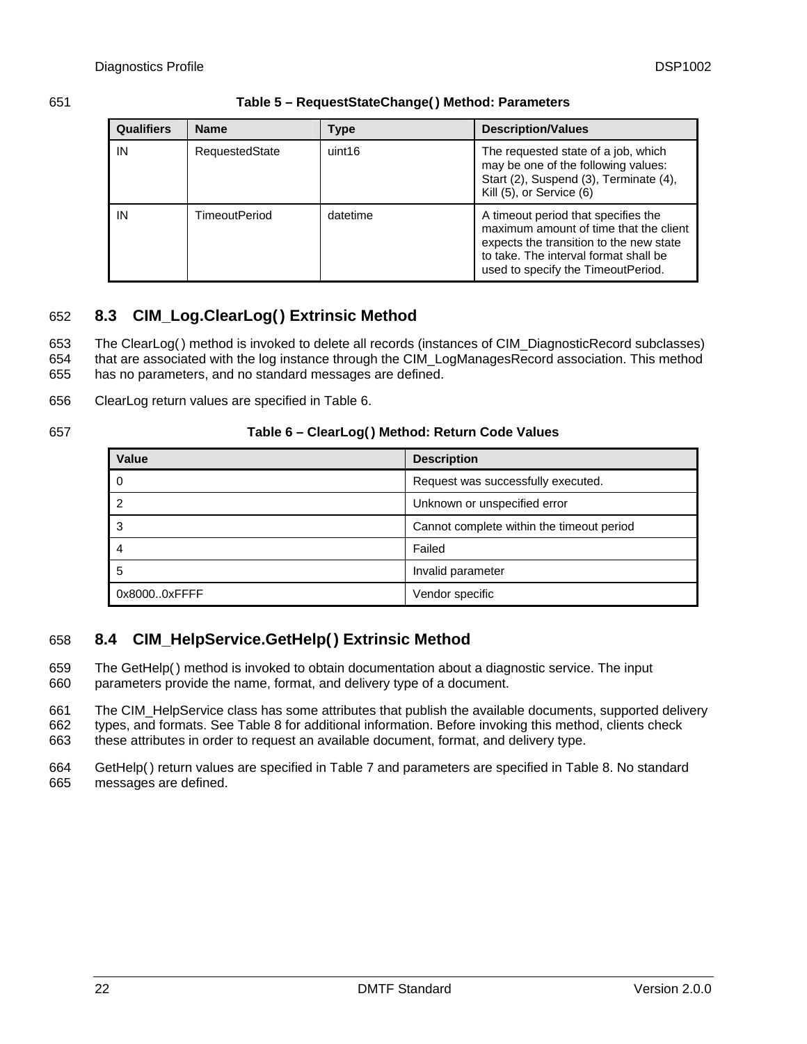<span id="page-21-3"></span><span id="page-21-0"></span>

651 **Table 5 – RequestStateChange( ) Method: Parameters** 

| <b>Qualifiers</b> | <b>Name</b>          | Type     | <b>Description/Values</b>                                                                                                                                                                               |
|-------------------|----------------------|----------|---------------------------------------------------------------------------------------------------------------------------------------------------------------------------------------------------------|
| IN                | RequestedState       | uint16   | The requested state of a job, which<br>may be one of the following values:<br>Start (2), Suspend (3), Terminate (4),<br>Kill (5), or Service (6)                                                        |
| IN                | <b>TimeoutPeriod</b> | datetime | A timeout period that specifies the<br>maximum amount of time that the client<br>expects the transition to the new state<br>to take. The interval format shall be<br>used to specify the TimeoutPeriod. |

# <span id="page-21-1"></span>652 **8.3 CIM\_Log.ClearLog() Extrinsic Method**

653 The ClearLog( ) method is invoked to delete all records (instances of CIM\_DiagnosticRecord subclasses) 654 that are associated with the log instance through the CIM\_LogManagesRecord association. This method 655 has no parameters, and no standard messages are defined.

656 ClearLog return values are specified in [Table 6](#page-21-4).

<span id="page-21-4"></span>

## 657 **Table 6 – ClearLog( ) Method: Return Code Values**

| Value        | <b>Description</b>                        |
|--------------|-------------------------------------------|
| 0            | Request was successfully executed.        |
| 2            | Unknown or unspecified error              |
| 3            | Cannot complete within the timeout period |
|              | Failed                                    |
| 5            | Invalid parameter                         |
| 0x80000xFFFF | Vendor specific                           |

# <span id="page-21-2"></span>658 **8.4 CIM\_HelpService.GetHelp() Extrinsic Method**

659 The GetHelp() method is invoked to obtain documentation about a diagnostic service. The input 660 parameters provide the name, format, and delivery type of a document.

661 The CIM\_HelpService class has some attributes that publish the available documents, supported delivery 662 types, and formats. See [Table 8](#page-22-3) for additional information. Before invoking this method, clients check

663 these attributes in order to request an available document, format, and delivery type.

664 GetHelp() return values are specified in [Table 7](#page-22-2) and parameters are specified in [Table 8.](#page-22-3) No standard 665 messages are defined.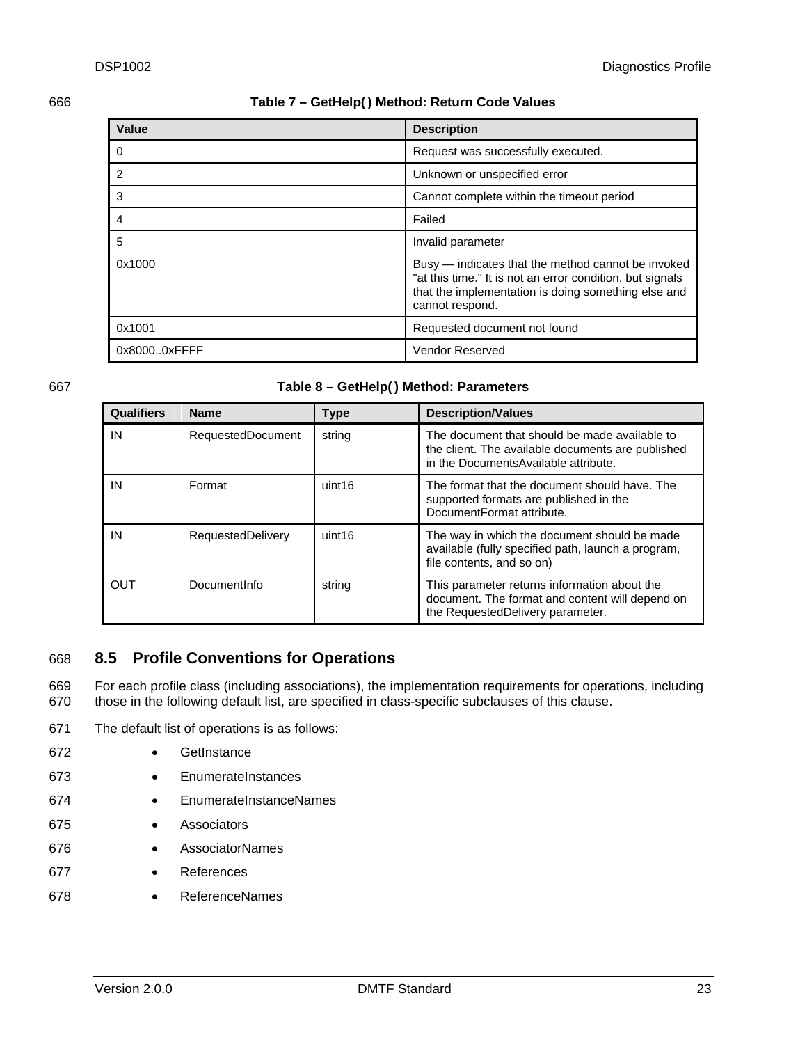### <span id="page-22-2"></span><span id="page-22-0"></span>666 **Table 7 – GetHelp() Method: Return Code Values**

| Value          | <b>Description</b>                                                                                                                                                                        |
|----------------|-------------------------------------------------------------------------------------------------------------------------------------------------------------------------------------------|
| $\Omega$       | Request was successfully executed.                                                                                                                                                        |
| $\overline{2}$ | Unknown or unspecified error                                                                                                                                                              |
| 3              | Cannot complete within the timeout period                                                                                                                                                 |
| 4              | Failed                                                                                                                                                                                    |
| 5              | Invalid parameter                                                                                                                                                                         |
| 0x1000         | Busy — indicates that the method cannot be invoked<br>"at this time." It is not an error condition, but signals<br>that the implementation is doing something else and<br>cannot respond. |
| 0x1001         | Requested document not found                                                                                                                                                              |
| 0x80000xFFFF   | Vendor Reserved                                                                                                                                                                           |

### <span id="page-22-3"></span>667 **Table 8 – GetHelp() Method: Parameters**

| <b>Qualifiers</b> | <b>Name</b>              | Type   | <b>Description/Values</b>                                                                                                                   |
|-------------------|--------------------------|--------|---------------------------------------------------------------------------------------------------------------------------------------------|
| IN                | <b>RequestedDocument</b> | string | The document that should be made available to<br>the client. The available documents are published<br>in the Documents Available attribute. |
| IN                | Format                   | uint16 | The format that the document should have. The<br>supported formats are published in the<br>DocumentFormat attribute.                        |
| IN                | RequestedDelivery        | uint16 | The way in which the document should be made<br>available (fully specified path, launch a program,<br>file contents, and so on)             |
| <b>OUT</b>        | DocumentInfo             | string | This parameter returns information about the<br>document. The format and content will depend on<br>the RequestedDelivery parameter.         |

# <span id="page-22-1"></span>668 **8.5 Profile Conventions for Operations**

669 For each profile class (including associations), the implementation requirements for operations, including 670 those in the following default list, are specified in class-specific subclauses of this clause.

- 671 The default list of operations is as follows:
- 672 GetInstance
- 673 EnumerateInstances
- 674 EnumerateInstanceNames
- 675 Associators
- 676 AssociatorNames
- 677 References
- 678 ReferenceNames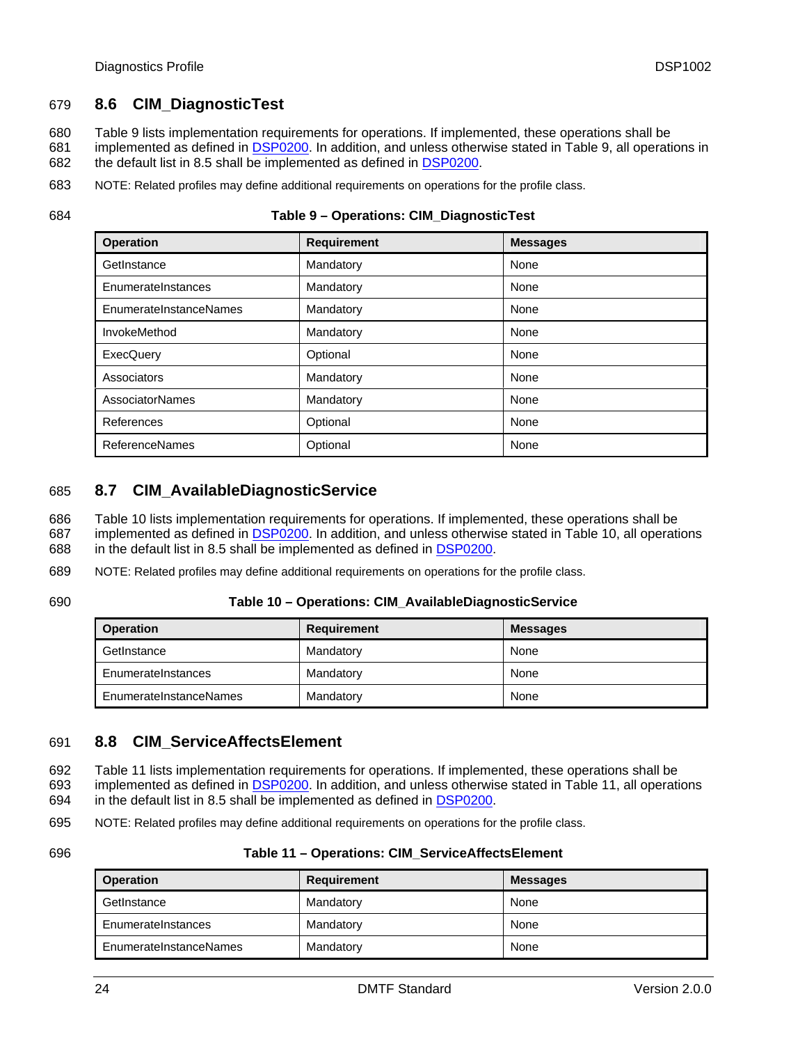# <span id="page-23-1"></span><span id="page-23-0"></span>679 **8.6 CIM\_DiagnosticTest**

680 [Table 9](#page-23-4) lists implementation requirements for operations. If implemented, these operations shall be

681 implemented as defined in [DSP0200](#page-8-0). In addition, and unless otherwise stated in [Table 9](#page-23-4), all operations in 682 the default list in [8.5](#page-22-1) shall be implemented as defined in [DSP0200](#page-8-0).

683 NOTE: Related profiles may define additional requirements on operations for the profile class.

<span id="page-23-4"></span>

684 **Table 9 – Operations: CIM\_DiagnosticTest** 

| <b>Operation</b>       | <b>Requirement</b> | <b>Messages</b> |
|------------------------|--------------------|-----------------|
| GetInstance            | Mandatory          | None            |
| EnumerateInstances     | Mandatory          | None            |
| EnumerateInstanceNames | Mandatory          | None            |
| InvokeMethod           | Mandatory          | None            |
| ExecQuery              | Optional           | None            |
| Associators            | Mandatory          | None            |
| AssociatorNames        | Mandatory          | None            |
| References             | Optional           | None            |
| <b>ReferenceNames</b>  | Optional           | None            |

# <span id="page-23-2"></span>685 **8.7 CIM\_AvailableDiagnosticService**

686 [Table 10](#page-23-5) lists implementation requirements for operations. If implemented, these operations shall be 687 implemented as defined in [DSP0200](#page-8-0). In addition, and unless otherwise stated in [Table 10,](#page-23-5) all operations 688 in the default list in [8.5](#page-22-1) shall be implemented as defined in [DSP0200.](#page-8-0)

689 NOTE: Related profiles may define additional requirements on operations for the profile class.

<span id="page-23-5"></span>

### 690 **Table 10 – Operations: CIM\_AvailableDiagnosticService**

| <b>Operation</b>       | Requirement | <b>Messages</b> |
|------------------------|-------------|-----------------|
| GetInstance            | Mandatory   | None            |
| EnumerateInstances     | Mandatory   | None            |
| EnumerateInstanceNames | Mandatory   | None            |

### <span id="page-23-3"></span>691 **8.8 CIM\_ServiceAffectsElement**

692 [Table 11](#page-23-6) lists implementation requirements for operations. If implemented, these operations shall be

693 implemented as defined in [DSP0200](#page-8-0). In addition, and unless otherwise stated in [Table 11,](#page-23-6) all operations 694 in the default list in [8.5](#page-22-1) shall be implemented as defined in [DSP0200.](#page-8-0)

695 NOTE: Related profiles may define additional requirements on operations for the profile class.

<span id="page-23-6"></span>

### 696 **Table 11 – Operations: CIM\_ServiceAffectsElement**

| <b>Operation</b>       | <b>Requirement</b> | <b>Messages</b> |
|------------------------|--------------------|-----------------|
| GetInstance            | Mandatory          | None            |
| EnumerateInstances     | Mandatory          | None            |
| EnumerateInstanceNames | Mandatory          | None            |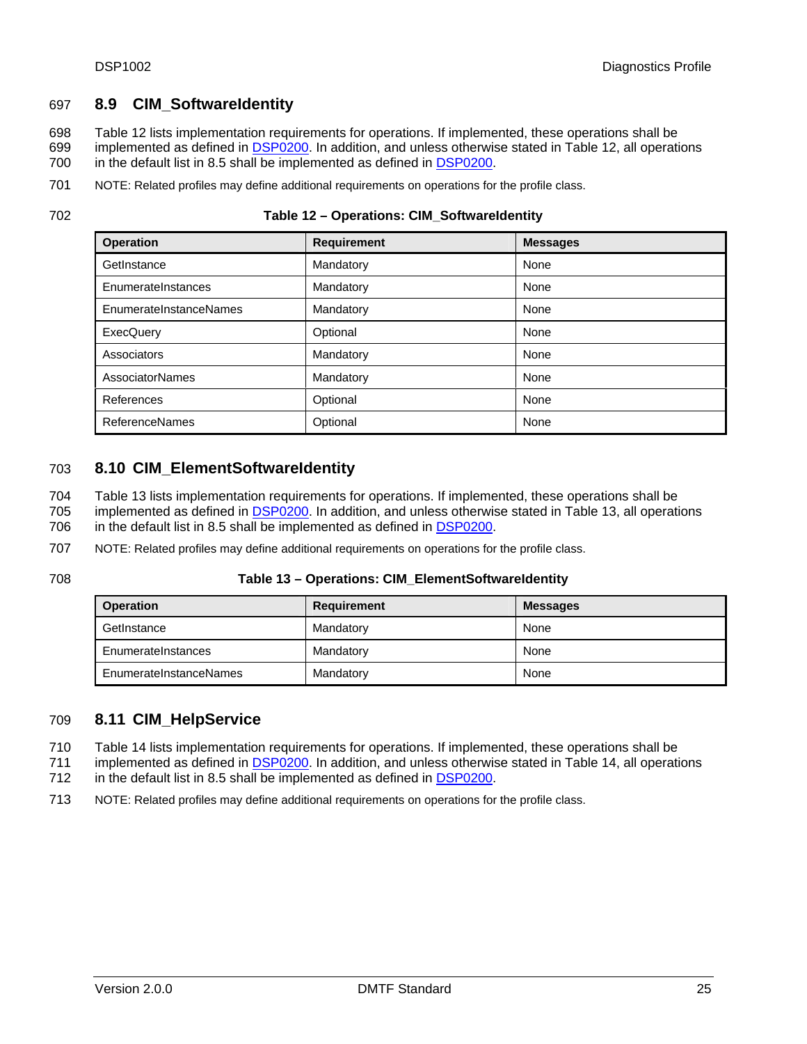## <span id="page-24-1"></span><span id="page-24-0"></span>697 **8.9 CIM\_SoftwareIdentity**

698 [Table 12](#page-24-4) lists implementation requirements for operations. If implemented, these operations shall be 699 implemented as defined in [DSP0200](#page-8-0). In addition, and unless otherwise stated in [Table 12,](#page-24-4) all operations

- 700 in the default list in [8.5](#page-22-1) shall be implemented as defined in [DSP0200.](#page-8-0)
- 701 NOTE: Related profiles may define additional requirements on operations for the profile class.

<span id="page-24-4"></span>

702 **Table 12 – Operations: CIM\_SoftwareIdentity** 

| <b>Operation</b>       | <b>Requirement</b> | <b>Messages</b> |
|------------------------|--------------------|-----------------|
| GetInstance            | Mandatory          | None            |
| EnumerateInstances     | Mandatory          | None            |
| EnumerateInstanceNames | Mandatory          | None            |
| ExecQuery              | Optional           | None            |
| Associators            | Mandatory          | None            |
| <b>AssociatorNames</b> | Mandatory          | None            |
| References             | Optional           | None            |
| ReferenceNames         | Optional           | None            |

# <span id="page-24-2"></span>703 **8.10 CIM\_ElementSoftwareIdentity**

704 [Table 13](#page-24-5) lists implementation requirements for operations. If implemented, these operations shall be

705 implemented as defined in [DSP0200](#page-8-0). In addition, and unless otherwise stated in [Table 13,](#page-24-5) all operations 706 in the default list in [8.5](#page-22-1) shall be implemented as defined in [DSP0200.](#page-8-0)

707 NOTE: Related profiles may define additional requirements on operations for the profile class.

### <span id="page-24-5"></span>708 **Table 13 – Operations: CIM\_ElementSoftwareIdentity**

| <b>Operation</b>       | Requirement | <b>Messages</b> |
|------------------------|-------------|-----------------|
| GetInstance            | Mandatory   | None            |
| EnumerateInstances     | Mandatory   | None            |
| EnumerateInstanceNames | Mandatory   | None            |

### <span id="page-24-3"></span>709 **8.11 CIM\_HelpService**

710 [Table 14](#page-25-3) lists implementation requirements for operations. If implemented, these operations shall be

- 711 implemented as defined in [DSP0200](#page-8-0). In addition, and unless otherwise stated in [Table 14,](#page-25-3) all operations 712 in the default list in [8.5](#page-22-1) shall be implemented as defined in [DSP0200.](#page-8-0)
- 713 NOTE: Related profiles may define additional requirements on operations for the profile class.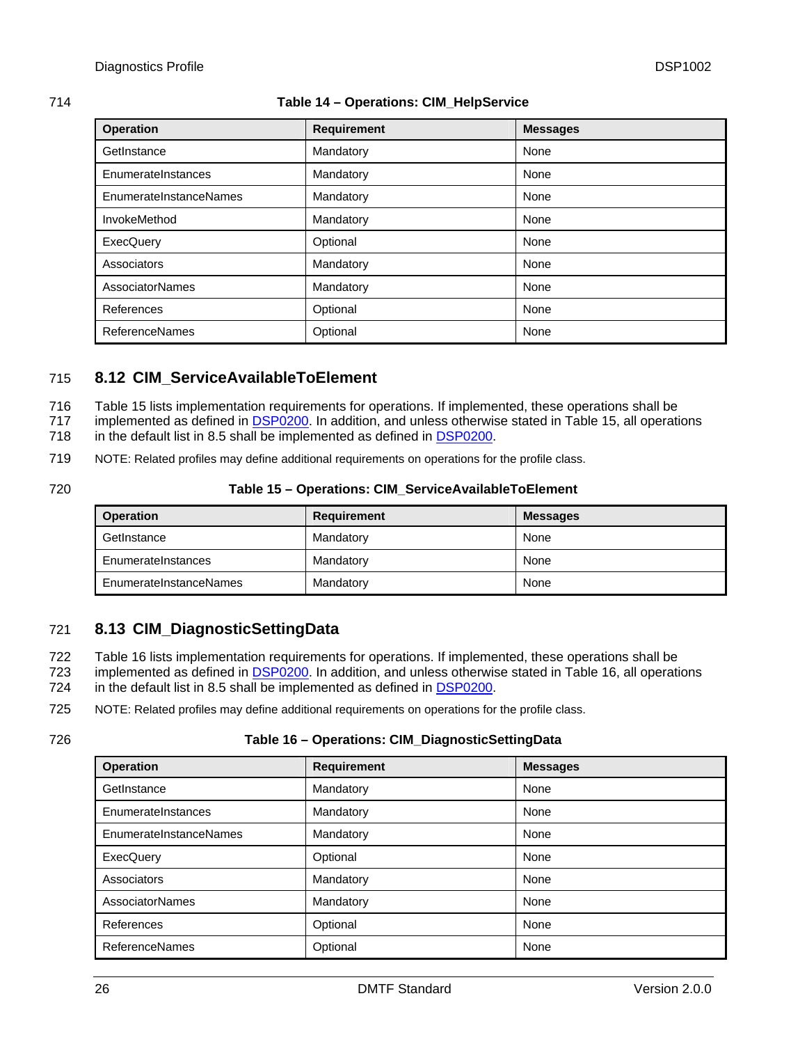### <span id="page-25-3"></span><span id="page-25-0"></span>714 **Table 14 – Operations: CIM\_HelpService**

| <b>Operation</b>       | <b>Requirement</b> | <b>Messages</b> |
|------------------------|--------------------|-----------------|
| GetInstance            | Mandatory          | None            |
| EnumerateInstances     | Mandatory          | None            |
| EnumerateInstanceNames | Mandatory          | None            |
| InvokeMethod           | Mandatory          | None            |
| ExecQuery              | Optional           | None            |
| Associators            | Mandatory          | None            |
| AssociatorNames        | Mandatory          | None            |
| References             | Optional           | None            |
| <b>ReferenceNames</b>  | Optional           | None            |

# <span id="page-25-1"></span>715 **8.12 CIM\_ServiceAvailableToElement**

716 [Table 15](#page-25-4) lists implementation requirements for operations. If implemented, these operations shall be

717 implemented as defined in [DSP0200](#page-8-0). In addition, and unless otherwise stated in [Table 15,](#page-25-4) all operations 718 in the default list in [8.5](#page-22-1) shall be implemented as defined in [DSP0200.](#page-8-0)

719 NOTE: Related profiles may define additional requirements on operations for the profile class.

<span id="page-25-4"></span>

### 720 **Table 15 – Operations: CIM\_ServiceAvailableToElement**

| <b>Operation</b>       | Requirement | <b>Messages</b> |
|------------------------|-------------|-----------------|
| GetInstance            | Mandatory   | None            |
| EnumerateInstances     | Mandatory   | None            |
| EnumerateInstanceNames | Mandatory   | None            |

# <span id="page-25-2"></span>721 **8.13 CIM\_DiagnosticSettingData**

722 [Table 16](#page-25-5) lists implementation requirements for operations. If implemented, these operations shall be

723 implemented as defined in **DSP0200**. In addition, and unless otherwise stated in [Table 16,](#page-25-5) all operations

724 in the default list in [8.5](#page-22-1) shall be implemented as defined in [DSP0200.](#page-8-0)

725 NOTE: Related profiles may define additional requirements on operations for the profile class.

<span id="page-25-5"></span>

### 726 **Table 16 – Operations: CIM\_DiagnosticSettingData**

| <b>Operation</b>       | <b>Requirement</b> | <b>Messages</b> |
|------------------------|--------------------|-----------------|
| GetInstance            | Mandatory          | None            |
| EnumerateInstances     | Mandatory          | None            |
| EnumerateInstanceNames | Mandatory          | None            |
| ExecQuery              | Optional           | None            |
| Associators            | Mandatory          | None            |
| <b>AssociatorNames</b> | Mandatory          | None            |
| References             | Optional           | None            |
| <b>ReferenceNames</b>  | Optional           | None            |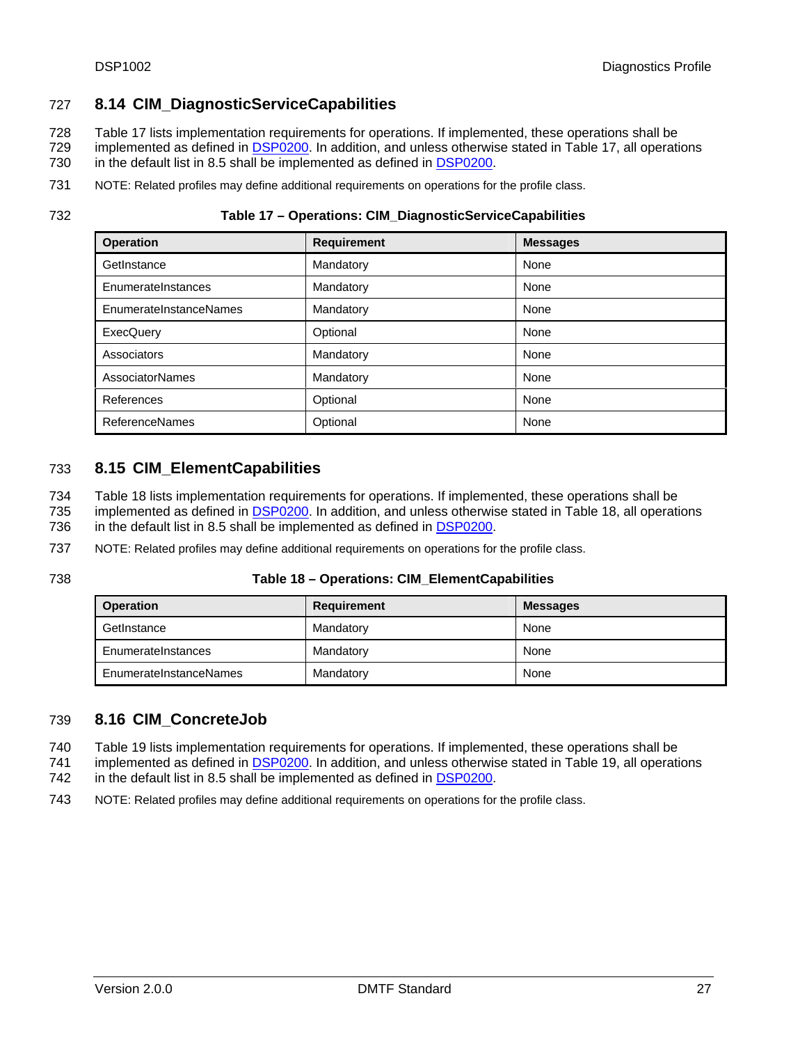# <span id="page-26-1"></span><span id="page-26-0"></span>727 **8.14 CIM\_DiagnosticServiceCapabilities**

728 [Table 17](#page-26-4) lists implementation requirements for operations. If implemented, these operations shall be

729 implemented as defined in [DSP0200](#page-8-0). In addition, and unless otherwise stated in [Table 17,](#page-26-4) all operations

- 730 in the default list in [8.5](#page-22-1) shall be implemented as defined in [DSP0200.](#page-8-0)
- 731 NOTE: Related profiles may define additional requirements on operations for the profile class.

<span id="page-26-4"></span>

732 **Table 17 – Operations: CIM\_DiagnosticServiceCapabilities** 

| <b>Operation</b>       | <b>Requirement</b> | <b>Messages</b> |
|------------------------|--------------------|-----------------|
| GetInstance            | Mandatory          | None            |
| EnumerateInstances     | Mandatory          | None            |
| EnumerateInstanceNames | Mandatory          | None            |
| ExecQuery              | Optional           | None            |
| Associators            | Mandatory          | None            |
| AssociatorNames        | Mandatory          | None            |
| References             | Optional           | None            |
| <b>ReferenceNames</b>  | Optional           | None            |

# <span id="page-26-2"></span>733 **8.15 CIM\_ElementCapabilities**

734 [Table 18](#page-26-5) lists implementation requirements for operations. If implemented, these operations shall be

735 implemented as defined in [DSP0200](#page-8-0). In addition, and unless otherwise stated in [Table 18,](#page-26-5) all operations 736 in the default list in [8.5](#page-22-1) shall be implemented as defined in [DSP0200.](#page-8-0)

737 NOTE: Related profiles may define additional requirements on operations for the profile class.

### <span id="page-26-5"></span>738 **Table 18 – Operations: CIM\_ElementCapabilities**

| <b>Operation</b>              | <b>Requirement</b> | <b>Messages</b> |
|-------------------------------|--------------------|-----------------|
| GetInstance                   | Mandatory          | None            |
| EnumerateInstances            | Mandatory          | None            |
| <b>EnumerateInstanceNames</b> | Mandatory          | None            |

# <span id="page-26-3"></span>739 **8.16 CIM\_ConcreteJob**

740 [Table 19](#page-27-3) lists implementation requirements for operations. If implemented, these operations shall be

- 741 implemented as defined in [DSP0200](#page-8-0). In addition, and unless otherwise stated in [Table 19,](#page-27-3) all operations 742 in the default list in [8.5](#page-22-1) shall be implemented as defined in [DSP0200.](#page-8-0)
- 743 NOTE: Related profiles may define additional requirements on operations for the profile class.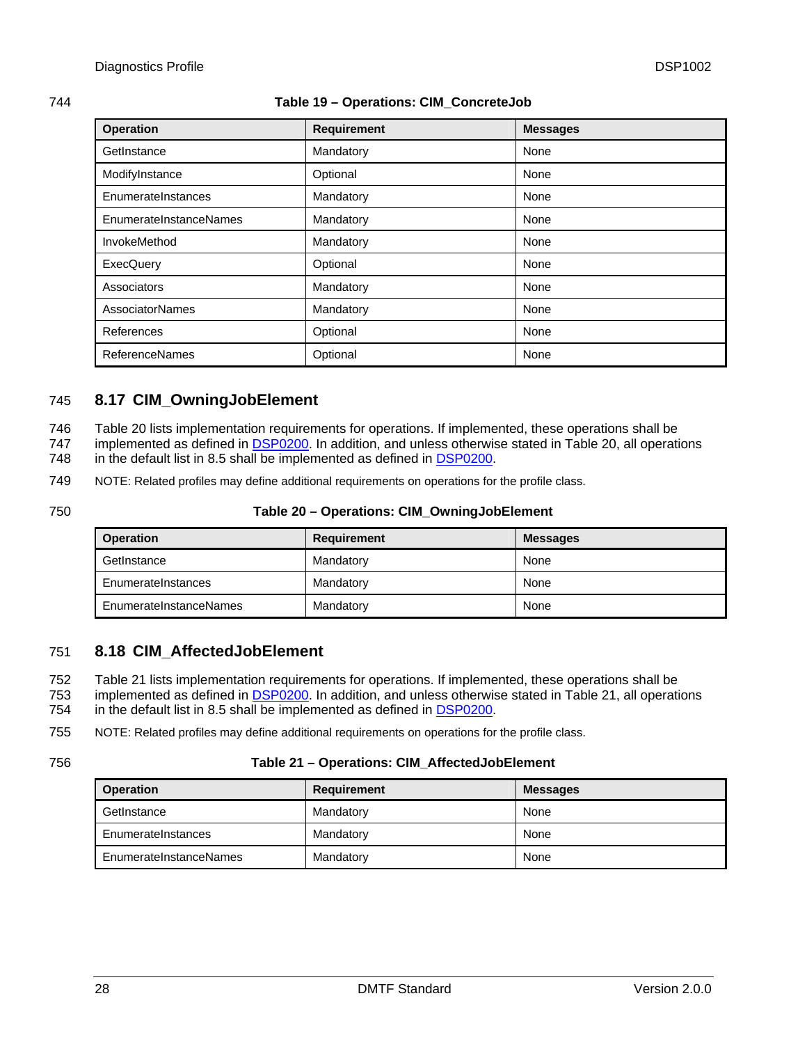### <span id="page-27-3"></span><span id="page-27-0"></span>744 **Table 19 – Operations: CIM\_ConcreteJob**

| <b>Operation</b>       | <b>Requirement</b> | <b>Messages</b> |
|------------------------|--------------------|-----------------|
| GetInstance            | Mandatory          | None            |
| ModifyInstance         | Optional           | None            |
| EnumerateInstances     | Mandatory          | None            |
| EnumerateInstanceNames | Mandatory          | None            |
| InvokeMethod           | Mandatory          | None            |
| ExecQuery              | Optional           | None            |
| Associators            | Mandatory          | None            |
| AssociatorNames        | Mandatory          | None            |
| References             | Optional           | None            |
| <b>ReferenceNames</b>  | Optional           | None            |

# <span id="page-27-1"></span>745 **8.17 CIM\_OwningJobElement**

746 [Table 20](#page-27-4) lists implementation requirements for operations. If implemented, these operations shall be

747 implemented as defined in [DSP0200](#page-8-0). In addition, and unless otherwise stated in [Table 20,](#page-27-4) all operations 748 in the default list in [8.5](#page-22-1) shall be implemented as defined in [DSP0200.](#page-8-0)

749 NOTE: Related profiles may define additional requirements on operations for the profile class.

<span id="page-27-4"></span>

### 750 **Table 20 – Operations: CIM\_OwningJobElement**

| <b>Operation</b>       | <b>Requirement</b> | <b>Messages</b> |
|------------------------|--------------------|-----------------|
| GetInstance            | Mandatory          | None            |
| EnumerateInstances     | Mandatory          | None            |
| EnumerateInstanceNames | Mandatory          | None            |

# <span id="page-27-2"></span>751 **8.18 CIM\_AffectedJobElement**

752 [Table 21](#page-27-5) lists implementation requirements for operations. If implemented, these operations shall be

753 implemented as defined in [DSP0200](#page-8-0). In addition, and unless otherwise stated in [Table 21,](#page-27-5) all operations

754 in the default list in [8.5](#page-22-1) shall be implemented as defined in [DSP0200.](#page-8-0)

755 NOTE: Related profiles may define additional requirements on operations for the profile class.

### <span id="page-27-5"></span>756 **Table 21 – Operations: CIM\_AffectedJobElement**

| <b>Operation</b>       | <b>Requirement</b> | <b>Messages</b> |
|------------------------|--------------------|-----------------|
| GetInstance            | Mandatory          | None            |
| EnumerateInstances     | Mandatory          | None            |
| EnumerateInstanceNames | Mandatory          | None            |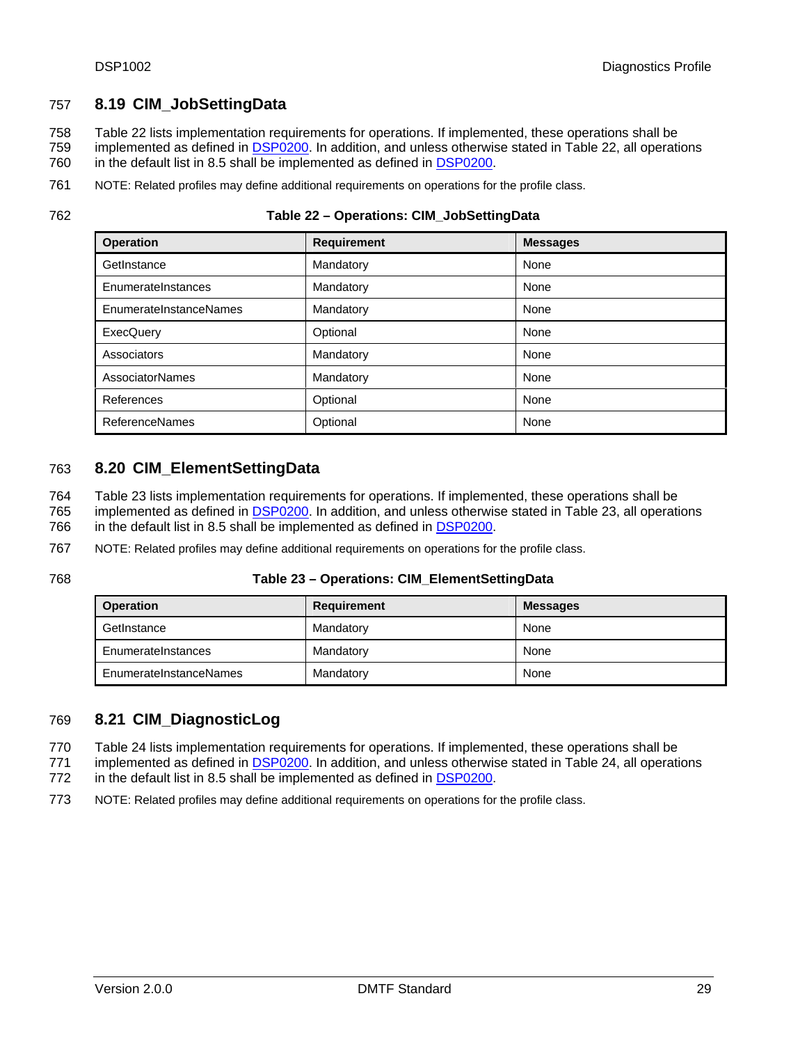# <span id="page-28-1"></span><span id="page-28-0"></span>757 **8.19 CIM\_JobSettingData**

758 [Table 22](#page-28-4) lists implementation requirements for operations. If implemented, these operations shall be

759 implemented as defined in **DSP0200**. In addition, and unless otherwise stated in [Table 22,](#page-28-4) all operations 760 in the default list in [8.5](#page-22-1) shall be implemented as defined in [DSP0200.](#page-8-0)

- 
- 761 NOTE: Related profiles may define additional requirements on operations for the profile class.

<span id="page-28-4"></span>

762 **Table 22 – Operations: CIM\_JobSettingData** 

| <b>Operation</b>       | <b>Requirement</b> | <b>Messages</b> |
|------------------------|--------------------|-----------------|
| GetInstance            | Mandatory          | None            |
| EnumerateInstances     | Mandatory          | None            |
| EnumerateInstanceNames | Mandatory          | None            |
| ExecQuery              | Optional           | None            |
| Associators            | Mandatory          | None            |
| <b>AssociatorNames</b> | Mandatory          | None            |
| References             | Optional           | None            |
| <b>ReferenceNames</b>  | Optional           | None            |

# <span id="page-28-2"></span>763 **8.20 CIM\_ElementSettingData**

764 [Table 23](#page-28-5) lists implementation requirements for operations. If implemented, these operations shall be

765 implemented as defined in [DSP0200](#page-8-0). In addition, and unless otherwise stated in [Table 23,](#page-28-5) all operations 766 in the default list in [8.5](#page-22-1) shall be implemented as defined in [DSP0200.](#page-8-0)

767 NOTE: Related profiles may define additional requirements on operations for the profile class.

### <span id="page-28-5"></span>768 **Table 23 – Operations: CIM\_ElementSettingData**

| <b>Operation</b>       | <b>Requirement</b> | <b>Messages</b> |
|------------------------|--------------------|-----------------|
| GetInstance            | Mandatory          | None            |
| EnumerateInstances     | Mandatory          | None            |
| EnumerateInstanceNames | Mandatory          | None            |

### <span id="page-28-3"></span>769 **8.21 CIM\_DiagnosticLog**

770 [Table 24](#page-29-3) lists implementation requirements for operations. If implemented, these operations shall be

- 771 implemented as defined in [DSP0200](#page-8-0). In addition, and unless otherwise stated in [Table 24,](#page-29-3) all operations 772 in the default list in [8.5](#page-22-1) shall be implemented as defined in [DSP0200.](#page-8-0)
- 773 NOTE: Related profiles may define additional requirements on operations for the profile class.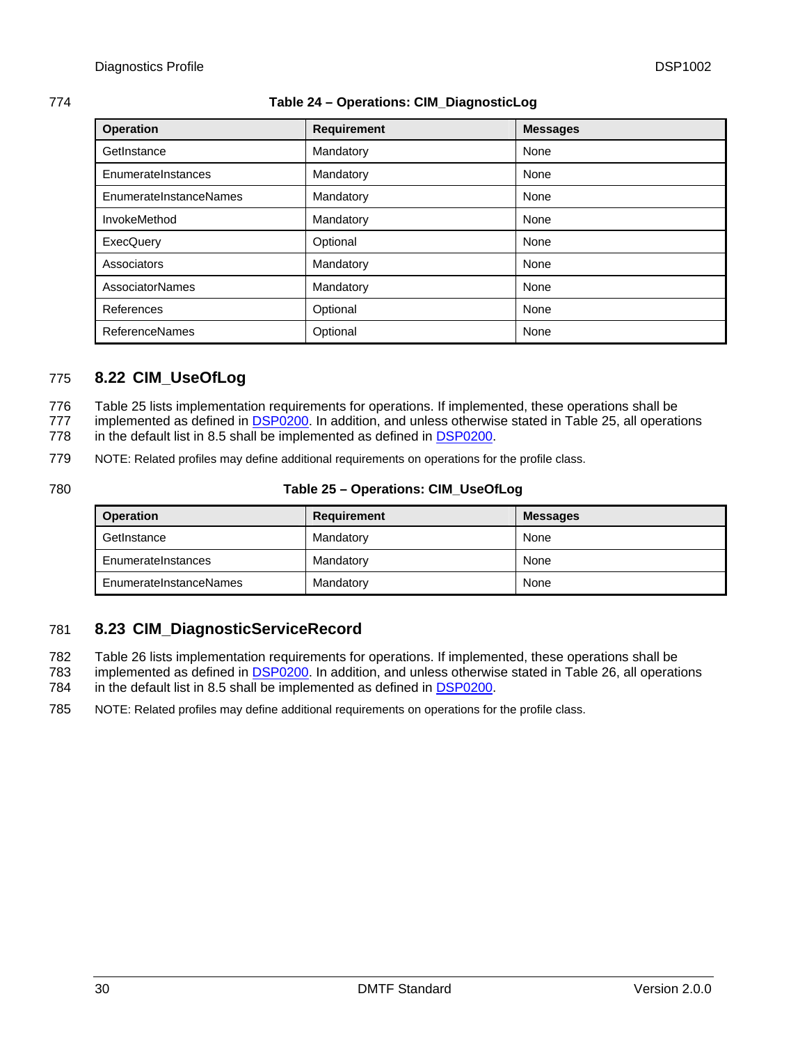### <span id="page-29-3"></span><span id="page-29-0"></span>774 **Table 24 – Operations: CIM\_DiagnosticLog**

| <b>Operation</b>       | <b>Requirement</b> | <b>Messages</b> |
|------------------------|--------------------|-----------------|
| GetInstance            | Mandatory          | None            |
| EnumerateInstances     | Mandatory          | None            |
| EnumerateInstanceNames | Mandatory          | None            |
| InvokeMethod           | Mandatory          | None            |
| ExecQuery              | Optional           | None            |
| Associators            | Mandatory          | None            |
| AssociatorNames        | Mandatory          | None            |
| References             | Optional           | None            |
| <b>ReferenceNames</b>  | Optional           | None            |

# <span id="page-29-1"></span>775 **8.22 CIM\_UseOfLog**

776 [Table 25](#page-29-4) lists implementation requirements for operations. If implemented, these operations shall be

777 implemented as defined in **DSP0200**. In addition, and unless otherwise stated in [Table 25,](#page-29-4) all operations 778 in the default list in [8.5](#page-22-1) shall be implemented as defined in [DSP0200.](#page-8-0)

779 NOTE: Related profiles may define additional requirements on operations for the profile class.

<span id="page-29-4"></span>

### 780 **Table 25 – Operations: CIM\_UseOfLog**

| <b>Operation</b>       | Requirement | <b>Messages</b> |
|------------------------|-------------|-----------------|
| GetInstance            | Mandatory   | None            |
| EnumerateInstances     | Mandatory   | None            |
| EnumerateInstanceNames | Mandatory   | None            |

# <span id="page-29-2"></span>781 **8.23 CIM\_DiagnosticServiceRecord**

782 [Table 26](#page-30-3) lists implementation requirements for operations. If implemented, these operations shall be

783 implemented as defined in **DSP0200**. In addition, and unless otherwise stated in [Table 26,](#page-30-3) all operations 784 in the default list in [8.5](#page-22-1) shall be implemented as defined in [DSP0200.](#page-8-0)

785 NOTE: Related profiles may define additional requirements on operations for the profile class.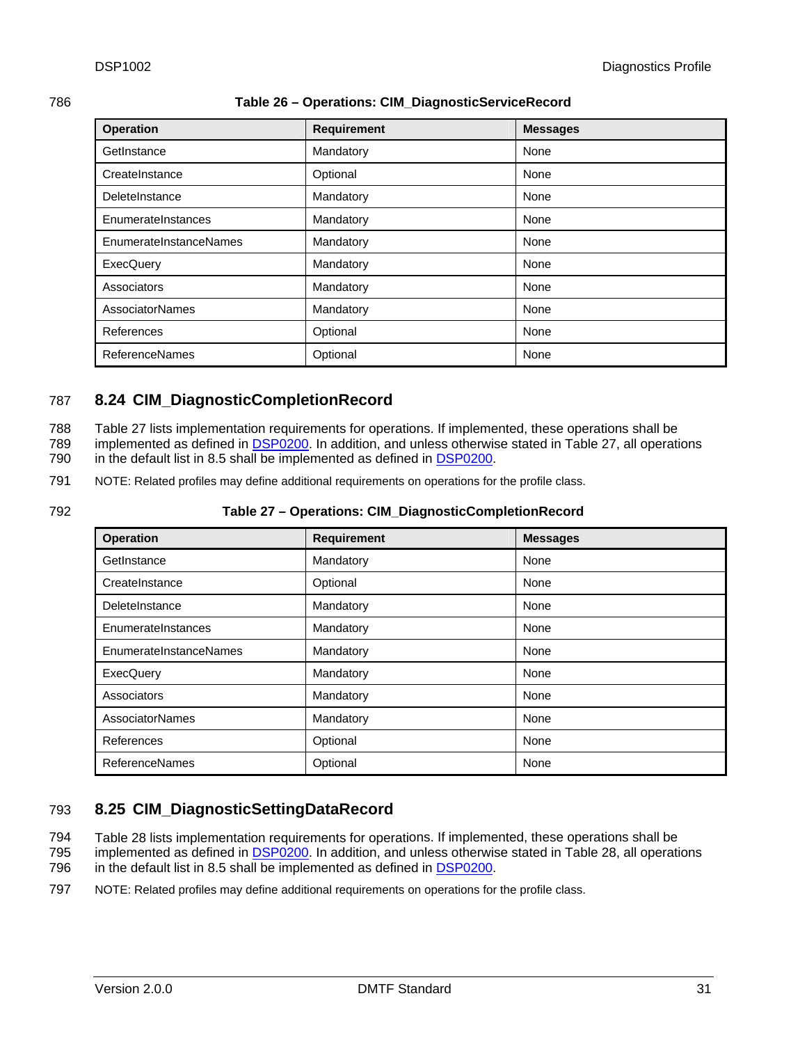<span id="page-30-3"></span><span id="page-30-0"></span>

| 786 | Table 26 - Operations: CIM_DiagnosticServiceRecord |  |
|-----|----------------------------------------------------|--|
|     |                                                    |  |

| <b>Operation</b>       | <b>Requirement</b> | <b>Messages</b> |
|------------------------|--------------------|-----------------|
| GetInstance            | Mandatory          | None            |
| CreateInstance         | Optional           | None            |
| DeleteInstance         | Mandatory          | None            |
| EnumerateInstances     | Mandatory          | None            |
| EnumerateInstanceNames | Mandatory          | None            |
| ExecQuery              | Mandatory          | None            |
| Associators            | Mandatory          | None            |
| <b>AssociatorNames</b> | Mandatory          | None            |
| References             | Optional           | None            |
| <b>ReferenceNames</b>  | Optional           | None            |

# <span id="page-30-1"></span>787 **8.24 CIM\_DiagnosticCompletionRecord**

788 [Table 27](#page-30-4) lists implementation requirements for operations. If implemented, these operations shall be

789 implemented as defined in [DSP0200](#page-8-0). In addition, and unless otherwise stated in [Table 27,](#page-30-4) all operations 790 in the default list in [8.5](#page-22-1) shall be implemented as defined in [DSP0200.](#page-8-0)

791 NOTE: Related profiles may define additional requirements on operations for the profile class.

<span id="page-30-4"></span>

### 792 **Table 27 – Operations: CIM\_DiagnosticCompletionRecord**

| <b>Operation</b>       | <b>Requirement</b> | <b>Messages</b> |
|------------------------|--------------------|-----------------|
| GetInstance            | Mandatory          | None            |
| CreateInstance         | Optional           | None            |
| DeleteInstance         | Mandatory          | None            |
| EnumerateInstances     | Mandatory          | None            |
| EnumerateInstanceNames | Mandatory          | None            |
| ExecQuery              | Mandatory          | None            |
| Associators            | Mandatory          | None            |
| AssociatorNames        | Mandatory          | None            |
| References             | Optional           | None            |
| ReferenceNames         | Optional           | None            |

# <span id="page-30-2"></span>793 **8.25 CIM\_DiagnosticSettingDataRecord**

794 [Table 28](#page-31-3) lists implementation requirements for operations. If implemented, these operations shall be

795 implemented as defined in [DSP0200](#page-8-0). In addition, and unless otherwise stated in [Table 28,](#page-31-3) all operations 796 in the default list in [8.5](#page-22-1) shall be implemented as defined in [DSP0200.](#page-8-0)

797 NOTE: Related profiles may define additional requirements on operations for the profile class.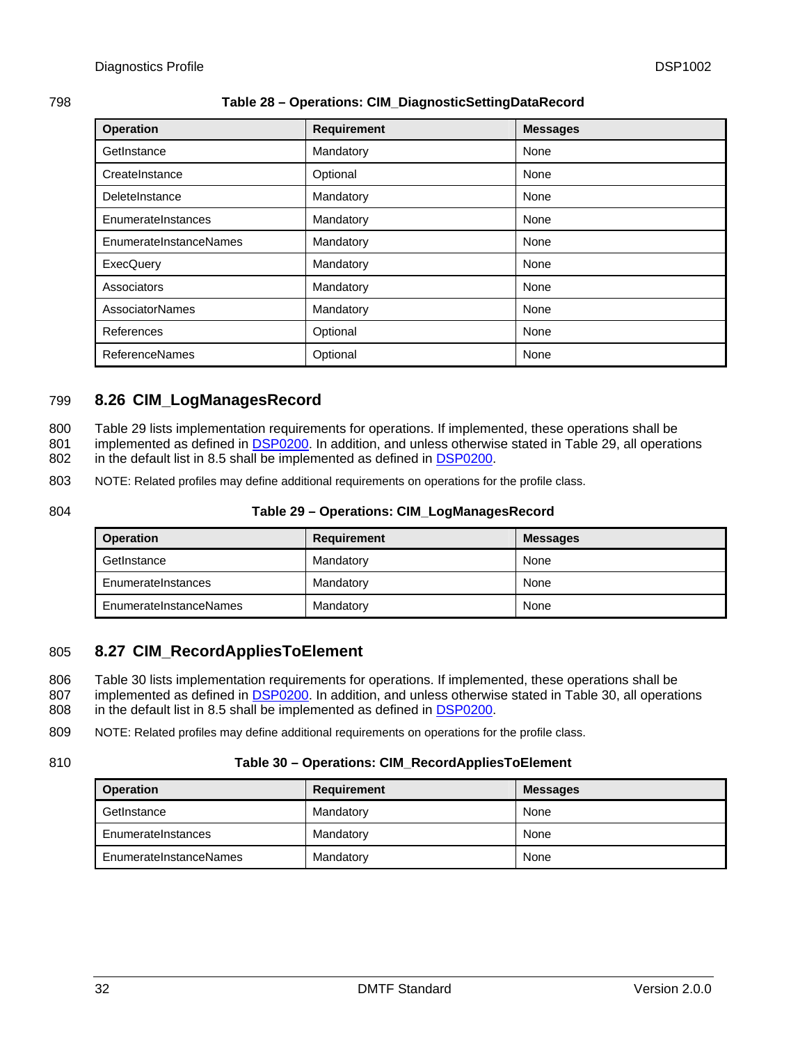<span id="page-31-3"></span><span id="page-31-0"></span>

| 798 | Table 28 - Operations: CIM_DiagnosticSettingDataRecord |
|-----|--------------------------------------------------------|
|     |                                                        |
|     |                                                        |

| <b>Operation</b>       | <b>Requirement</b> | <b>Messages</b> |
|------------------------|--------------------|-----------------|
| GetInstance            | Mandatory          | None            |
| CreateInstance         | Optional           | None            |
| DeleteInstance         | Mandatory          | None            |
| EnumerateInstances     | Mandatory          | None            |
| EnumerateInstanceNames | Mandatory          | None            |
| ExecQuery              | Mandatory          | None            |
| Associators            | Mandatory          | None            |
| <b>AssociatorNames</b> | Mandatory          | None            |
| References             | Optional           | None            |
| <b>ReferenceNames</b>  | Optional           | None            |

# <span id="page-31-1"></span>799 **8.26 CIM\_LogManagesRecord**

800 [Table 29](#page-31-4) lists implementation requirements for operations. If implemented, these operations shall be

801 implemented as defined in [DSP0200](#page-8-0). In addition, and unless otherwise stated in [Table 29,](#page-31-4) all operations 802 in the default list in [8.5](#page-22-1) shall be implemented as defined in [DSP0200.](#page-8-0)

803 NOTE: Related profiles may define additional requirements on operations for the profile class.

<span id="page-31-4"></span>

### 804 **Table 29 – Operations: CIM\_LogManagesRecord**

| <b>Operation</b>       | Requirement | <b>Messages</b> |
|------------------------|-------------|-----------------|
| GetInstance            | Mandatory   | None            |
| EnumerateInstances     | Mandatory   | None            |
| EnumerateInstanceNames | Mandatory   | None            |

# <span id="page-31-2"></span>805 **8.27 CIM\_RecordAppliesToElement**

806 [Table 30](#page-31-5) lists implementation requirements for operations. If implemented, these operations shall be

807 implemented as defined in [DSP0200](#page-8-0). In addition, and unless otherwise stated in [Table 30,](#page-31-5) all operations

808 in the default list in [8.5](#page-22-1) shall be implemented as defined in [DSP0200.](#page-8-0)

- 809 NOTE: Related profiles may define additional requirements on operations for the profile class.
- 

<span id="page-31-5"></span>810 **Table 30 – Operations: CIM\_RecordAppliesToElement** 

| <b>Operation</b>       | Requirement | <b>Messages</b> |
|------------------------|-------------|-----------------|
| GetInstance            | Mandatory   | None            |
| EnumerateInstances     | Mandatory   | None            |
| EnumerateInstanceNames | Mandatory   | None            |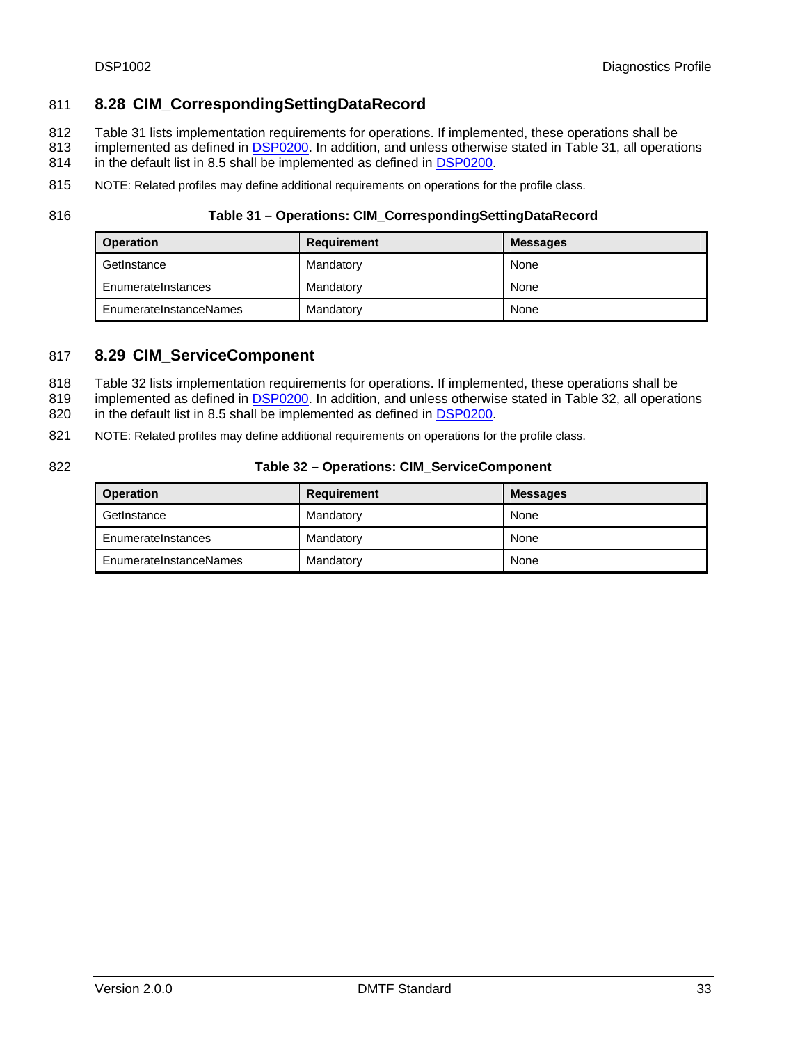# <span id="page-32-1"></span><span id="page-32-0"></span>811 **8.28 CIM\_CorrespondingSettingDataRecord**

- 812 [Table 31](#page-32-3) lists implementation requirements for operations. If implemented, these operations shall be
- 813 implemented as defined in **DSP0200**. In addition, and unless otherwise stated in [Table 31,](#page-32-3) all operations
- 814 in the default list in [8.5](#page-22-1) shall be implemented as defined in [DSP0200.](#page-8-0)
- 815 NOTE: Related profiles may define additional requirements on operations for the profile class.
- <span id="page-32-3"></span>

816 **Table 31 – Operations: CIM\_CorrespondingSettingDataRecord** 

| <b>Operation</b>       | Requirement | <b>Messages</b> |
|------------------------|-------------|-----------------|
| GetInstance            | Mandatory   | None            |
| EnumerateInstances     | Mandatory   | None            |
| EnumerateInstanceNames | Mandatory   | None            |

# <span id="page-32-2"></span>817 **8.29 CIM\_ServiceComponent**

818 [Table 32](#page-32-4) lists implementation requirements for operations. If implemented, these operations shall be 819 implemented as defined in **DSP0200**. In addition, and unless otherwise stated in [Table 32,](#page-32-4) all operations 820 in the default list in [8.5](#page-22-1) shall be implemented as defined in [DSP0200.](#page-8-0)

821 NOTE: Related profiles may define additional requirements on operations for the profile class.

### <span id="page-32-4"></span>822 **Table 32 – Operations: CIM\_ServiceComponent**

| <b>Operation</b>       | <b>Requirement</b> | <b>Messages</b> |
|------------------------|--------------------|-----------------|
| GetInstance            | Mandatory          | None            |
| EnumerateInstances     | Mandatory          | None            |
| EnumerateInstanceNames | Mandatory          | None            |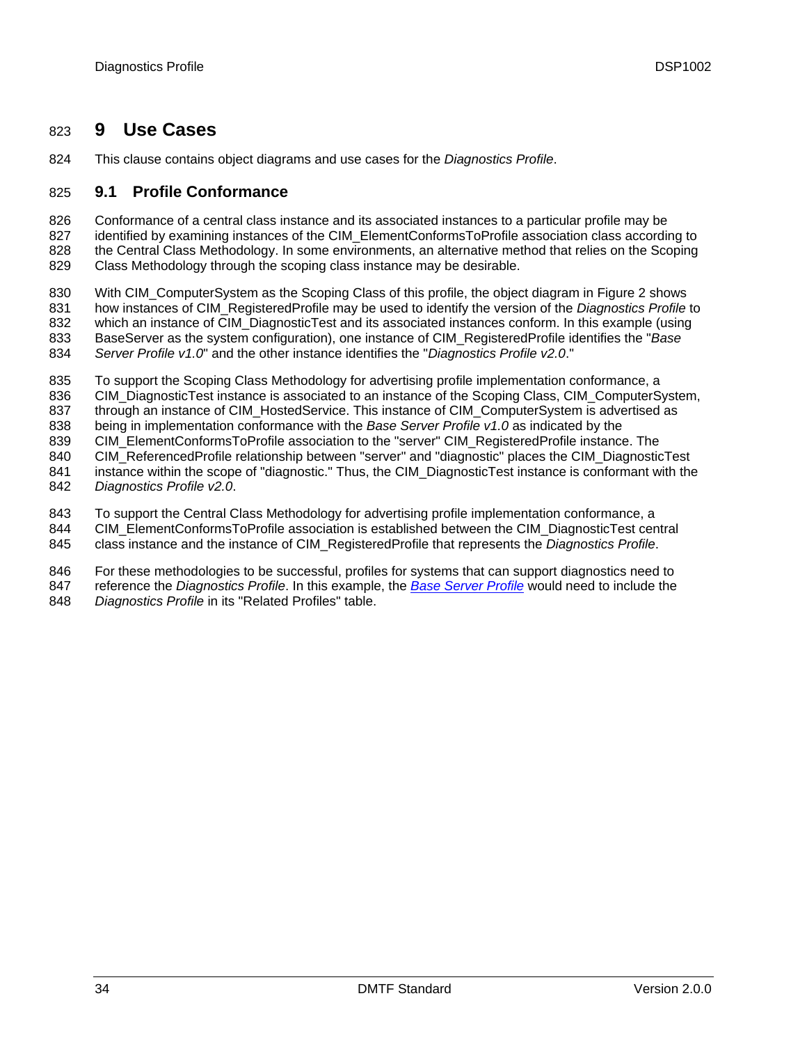# <span id="page-33-1"></span><span id="page-33-0"></span>823 **9 Use Cases**

824 This clause contains object diagrams and use cases for the *Diagnostics Profile*.

# <span id="page-33-2"></span>825 **9.1 Profile Conformance**

826 Conformance of a central class instance and its associated instances to a particular profile may be 827 identified by examining instances of the CIM\_ElementConformsToProfile association class according to 828 the Central Class Methodology. In some environments, an alternative method that relies on the Scoping 829 Class Methodology through the scoping class instance may be desirable.

830 With CIM ComputerSystem as the Scoping Class of this profile, the object diagram in [Figure 2](#page-34-2) shows 831 how instances of CIM\_RegisteredProfile may be used to identify the version of the *Diagnostics Profile* to 832 which an instance of CIM\_DiagnosticTest and its associated instances conform. In this example (using 833 BaseServer as the system configuration), one instance of CIM\_RegisteredProfile identifies the "*Base*  834 *Server Profile v1.0*" and the other instance identifies the "*Diagnostics Profile v2.0*."

835 To support the Scoping Class Methodology for advertising profile implementation conformance, a 836 CIM DiagnosticTest instance is associated to an instance of the Scoping Class, CIM ComputerSystem, 837 through an instance of CIM HostedService. This instance of CIM ComputerSystem is advertised as 838 being in implementation conformance with the *Base Server Profile v1.0* as indicated by the 839 CIM\_ElementConformsToProfile association to the "server" CIM\_RegisteredProfile instance. The 840 CIM\_ReferencedProfile relationship between "server" and "diagnostic" places the CIM\_DiagnosticTest 841 instance within the scope of "diagnostic." Thus, the CIM\_DiagnosticTest instance is conformant with the 842 *Diagnostics Profile v2.0*.

843 To support the Central Class Methodology for advertising profile implementation conformance, a 844 CIM\_ElementConformsToProfile association is established between the CIM\_DiagnosticTest central 845 class instance and the instance of CIM\_RegisteredProfile that represents the *Diagnostics Profile*.

846 For these methodologies to be successful, profiles for systems that can support diagnostics need to 847 reference the *Diagnostics Profile*. In this example, the *[Base Server Profile](#page-8-0)* would need to include the 848 *Diagnostics Profile* in its "Related Profiles" table.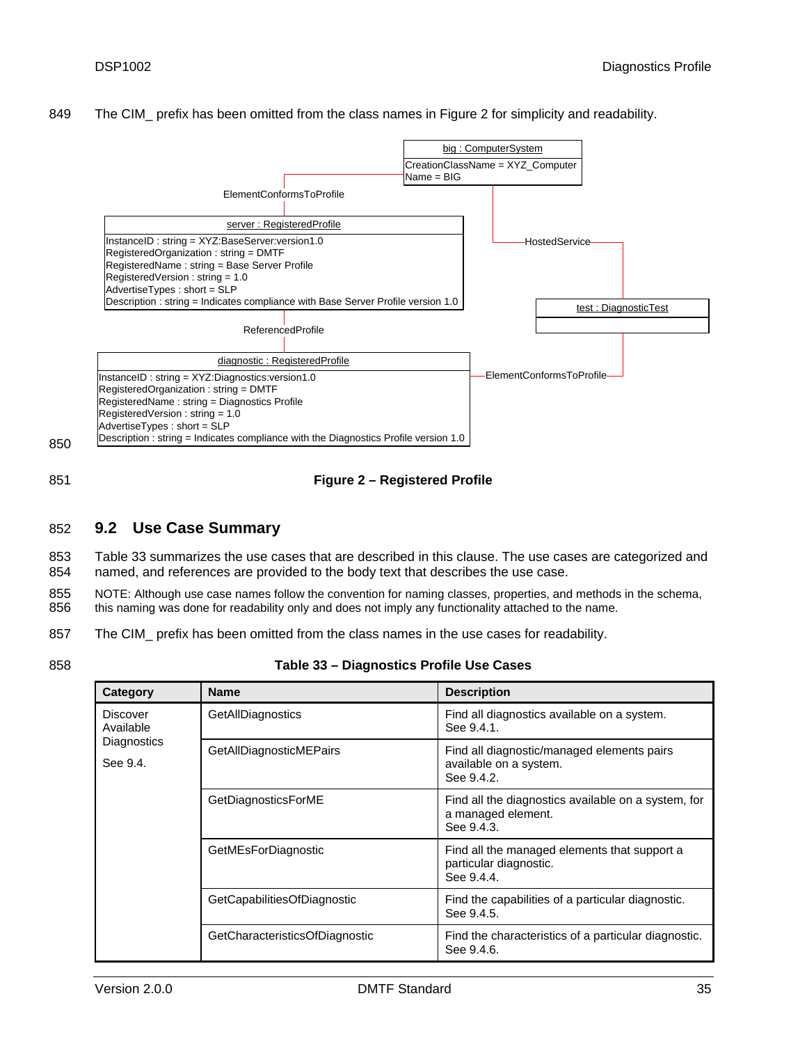### <span id="page-34-0"></span>849 The CIM\_ prefix has been omitted from the class names in [Figure 2](#page-34-2) for simplicity and readability.



850

## <span id="page-34-2"></span>851 **Figure 2 – Registered Profile**

# <span id="page-34-1"></span>852 **9.2 Use Case Summary**

853 [Table 33](#page-34-3) summarizes the use cases that are described in this clause. The use cases are categorized and 854 named, and references are provided to the body text that describes the use case.

855 NOTE: Although use case names follow the convention for naming classes, properties, and methods in the schema, 856 this naming was done for readability only and does not imply any functionality attached to the name.

857 The CIM\_ prefix has been omitted from the class names in the use cases for readability.

<span id="page-34-3"></span>

| 858 | Table 33 - Diagnostics Profile Use Cases |
|-----|------------------------------------------|
|-----|------------------------------------------|

| Category                                         | <b>Name</b>                    | <b>Description</b>                                                                      |
|--------------------------------------------------|--------------------------------|-----------------------------------------------------------------------------------------|
| Discover<br>Available<br>Diagnostics<br>See 9.4. | GetAllDiagnostics              | Find all diagnostics available on a system.<br>See 9.4.1.                               |
|                                                  | GetAllDiagnosticMEPairs        | Find all diagnostic/managed elements pairs<br>available on a system.<br>See 9.4.2.      |
|                                                  | GetDiagnosticsForME            | Find all the diagnostics available on a system, for<br>a managed element.<br>See 9.4.3. |
|                                                  | <b>GetMEsForDiagnostic</b>     | Find all the managed elements that support a<br>particular diagnostic.<br>See 9.4.4.    |
|                                                  | GetCapabilitiesOfDiagnostic    | Find the capabilities of a particular diagnostic.<br>See 9.4.5.                         |
|                                                  | GetCharacteristicsOfDiagnostic | Find the characteristics of a particular diagnostic.<br>See 9.4.6.                      |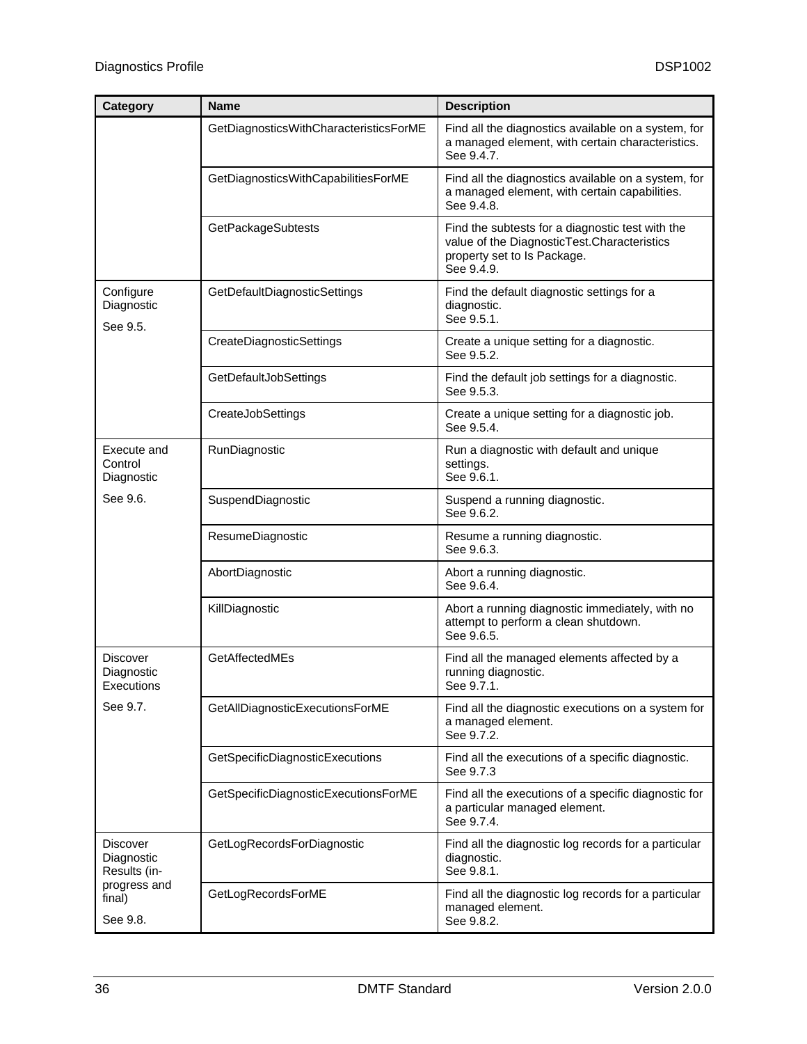| Category                               | <b>Name</b>                            | <b>Description</b>                                                                                                                           |
|----------------------------------------|----------------------------------------|----------------------------------------------------------------------------------------------------------------------------------------------|
|                                        | GetDiagnosticsWithCharacteristicsForME | Find all the diagnostics available on a system, for<br>a managed element, with certain characteristics.<br>See 9.4.7.                        |
|                                        | GetDiagnosticsWithCapabilitiesForME    | Find all the diagnostics available on a system, for<br>a managed element, with certain capabilities.<br>See 9.4.8.                           |
|                                        | <b>GetPackageSubtests</b>              | Find the subtests for a diagnostic test with the<br>value of the DiagnosticTest.Characteristics<br>property set to Is Package.<br>See 9.4.9. |
| Configure<br>Diagnostic<br>See 9.5.    | GetDefaultDiagnosticSettings           | Find the default diagnostic settings for a<br>diagnostic.<br>See 9.5.1.                                                                      |
|                                        | CreateDiagnosticSettings               | Create a unique setting for a diagnostic.<br>See 9.5.2.                                                                                      |
|                                        | GetDefaultJobSettings                  | Find the default job settings for a diagnostic.<br>See 9.5.3.                                                                                |
|                                        | CreateJobSettings                      | Create a unique setting for a diagnostic job.<br>See 9.5.4.                                                                                  |
| Execute and<br>Control<br>Diagnostic   | RunDiagnostic                          | Run a diagnostic with default and unique<br>settings.<br>See 9.6.1.                                                                          |
| See 9.6.                               | SuspendDiagnostic                      | Suspend a running diagnostic.<br>See 9.6.2.                                                                                                  |
|                                        | ResumeDiagnostic                       | Resume a running diagnostic.<br>See 9.6.3.                                                                                                   |
|                                        | AbortDiagnostic                        | Abort a running diagnostic.<br>See 9.6.4.                                                                                                    |
|                                        | KillDiagnostic                         | Abort a running diagnostic immediately, with no<br>attempt to perform a clean shutdown.<br>See 9.6.5.                                        |
| Discover<br>Diagnostic<br>Executions   | GetAffectedMEs                         | Find all the managed elements affected by a<br>running diagnostic.<br>See 9.7.1.                                                             |
| See 9.7.                               | GetAllDiagnosticExecutionsForME        | Find all the diagnostic executions on a system for<br>a managed element.<br>See 9.7.2.                                                       |
|                                        | GetSpecificDiagnosticExecutions        | Find all the executions of a specific diagnostic.<br>See 9.7.3                                                                               |
|                                        | GetSpecificDiagnosticExecutionsForME   | Find all the executions of a specific diagnostic for<br>a particular managed element.<br>See 9.7.4.                                          |
| Discover<br>Diagnostic<br>Results (in- | GetLogRecordsForDiagnostic             | Find all the diagnostic log records for a particular<br>diagnostic.<br>See 9.8.1.                                                            |
| progress and<br>final)<br>See 9.8.     | GetLogRecordsForME                     | Find all the diagnostic log records for a particular<br>managed element.<br>See 9.8.2.                                                       |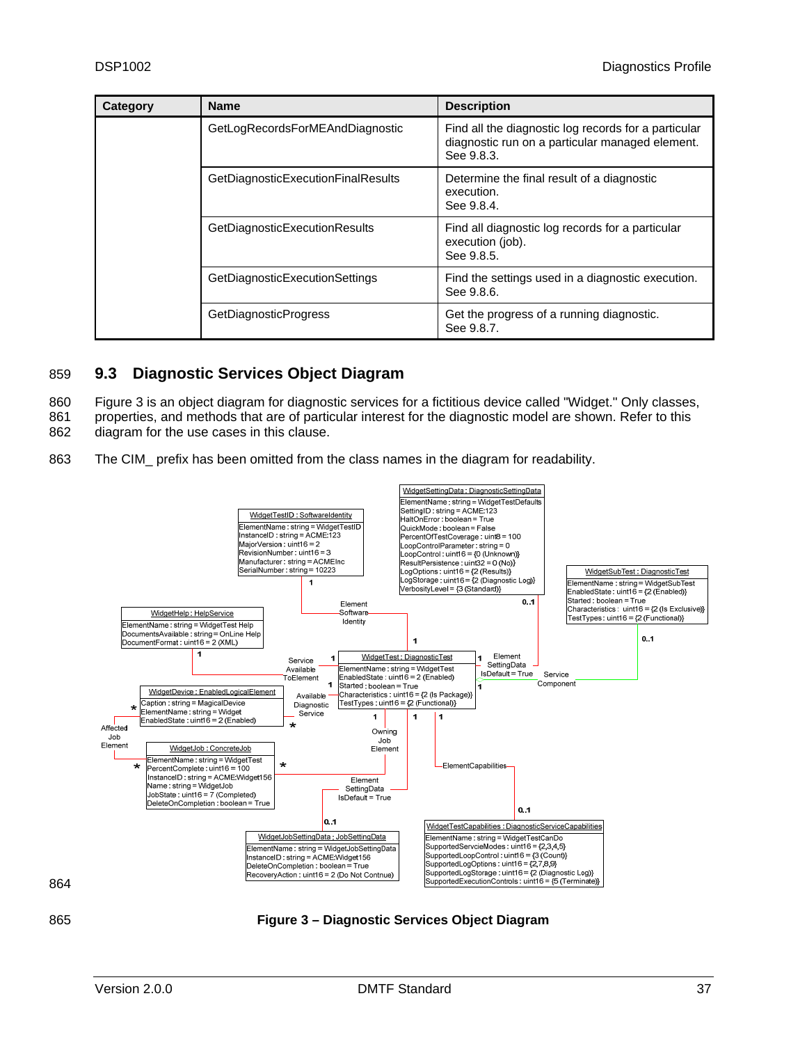| <b>Category</b> | <b>Name</b>                          | <b>Description</b>                                                                                                    |
|-----------------|--------------------------------------|-----------------------------------------------------------------------------------------------------------------------|
|                 | GetLogRecordsForMEAndDiagnostic      | Find all the diagnostic log records for a particular<br>diagnostic run on a particular managed element.<br>See 9.8.3. |
|                 | GetDiagnosticExecutionFinalResults   | Determine the final result of a diagnostic<br>execution.<br>See 9.8.4.                                                |
|                 | <b>GetDiagnosticExecutionResults</b> | Find all diagnostic log records for a particular<br>execution (job).<br>See 9.8.5.                                    |
|                 | GetDiagnosticExecutionSettings       | Find the settings used in a diagnostic execution.<br>See 9.8.6.                                                       |
|                 | <b>GetDiagnosticProgress</b>         | Get the progress of a running diagnostic.<br>See 9.8.7.                                                               |

## 859 **9.3 Diagnostic Services Object Diagram**

860 [Figure 3](#page-36-0) is an object diagram for diagnostic services for a fictitious device called "Widget." Only classes, 861 properties, and methods that are of particular interest for the diagnostic model are shown. Refer to this 862 diagram for the use cases in this clause.

863 The CIM\_ prefix has been omitted from the class names in the diagram for readability.



864

<span id="page-36-0"></span>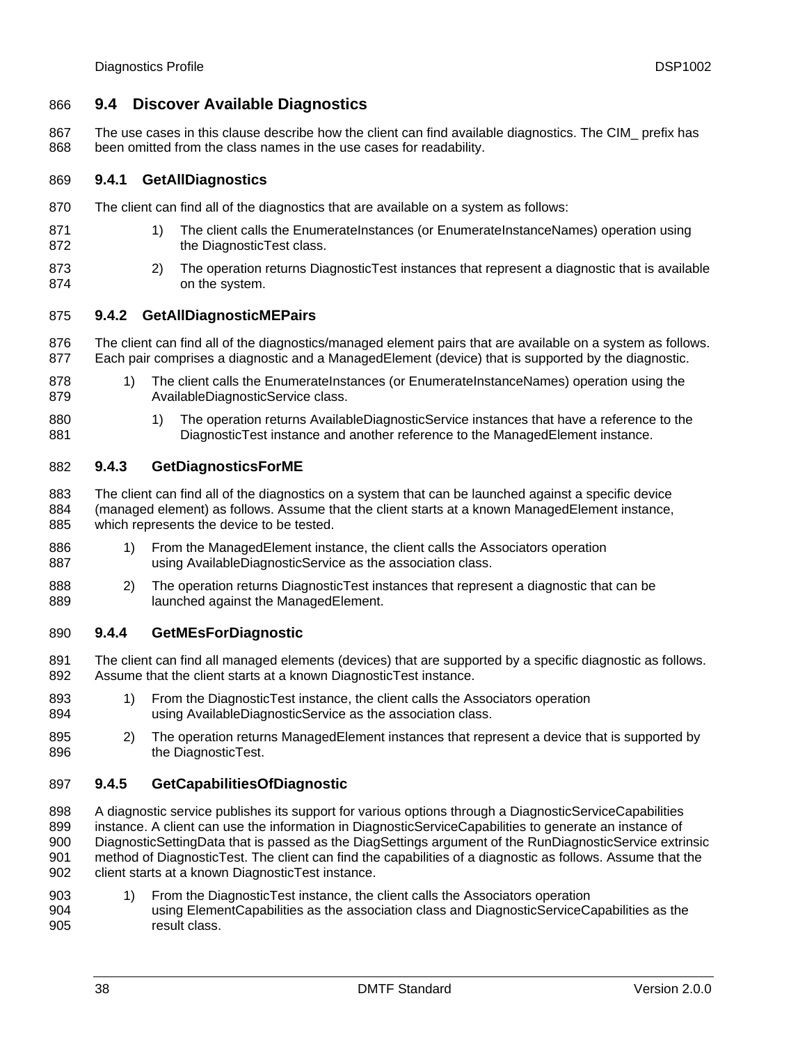## <span id="page-37-2"></span>866 **9.4 Discover Available Diagnostics**

867 The use cases in this clause describe how the client can find available diagnostics. The CIM\_ prefix has 868 been omitted from the class names in the use cases for readability.

#### 869 **9.4.1 GetAllDiagnostics**

- 870 The client can find all of the diagnostics that are available on a system as follows:
- 871 1) The client calls the EnumerateInstances (or EnumerateInstanceNames) operation using 872 the DiagnosticTest class.
- 873 2) The operation returns DiagnosticTest instances that represent a diagnostic that is available 874 on the system.

## 875 **9.4.2 GetAllDiagnosticMEPairs**

- 876 The client can find all of the diagnostics/managed element pairs that are available on a system as follows. 877 Each pair comprises a diagnostic and a ManagedElement (device) that is supported by the diagnostic.
- 878 1) The client calls the EnumerateInstances (or EnumerateInstanceNames) operation using the 879 AvailableDiagnosticService class.
- 880 1) The operation returns AvailableDiagnosticService instances that have a reference to the 881 DiagnosticTest instance and another reference to the ManagedElement instance.

## <span id="page-37-0"></span>882 **9.4.3 GetDiagnosticsForME**

883 The client can find all of the diagnostics on a system that can be launched against a specific device 884 (managed element) as follows. Assume that the client starts at a known ManagedElement instance, 885 which represents the device to be tested.

- 886 1) From the ManagedElement instance, the client calls the Associators operation 887 using AvailableDiagnosticService as the association class.
- 888 2) The operation returns DiagnosticTest instances that represent a diagnostic that can be 889 launched against the ManagedElement.

## 890 **9.4.4 GetMEsForDiagnostic**

- 891 The client can find all managed elements (devices) that are supported by a specific diagnostic as follows. 892 Assume that the client starts at a known DiagnosticTest instance.
- 893 1) From the DiagnosticTest instance, the client calls the Associators operation 894 **using AvailableDiagnosticService as the association class.**
- 895 2) The operation returns ManagedElement instances that represent a device that is supported by 896 the DiagnosticTest.

## <span id="page-37-1"></span>897 **9.4.5 GetCapabilitiesOfDiagnostic**

898 A diagnostic service publishes its support for various options through a DiagnosticServiceCapabilities 899 instance. A client can use the information in DiagnosticServiceCapabilities to generate an instance of 900 DiagnosticSettingData that is passed as the DiagSettings argument of the RunDiagnosticService extrinsic 901 method of DiagnosticTest. The client can find the capabilities of a diagnostic as follows. Assume that the 902 client starts at a known DiagnosticTest instance.

903 1) From the DiagnosticTest instance, the client calls the Associators operation 904 using ElementCapabilities as the association class and DiagnosticServiceCapabilities as the 905 result class.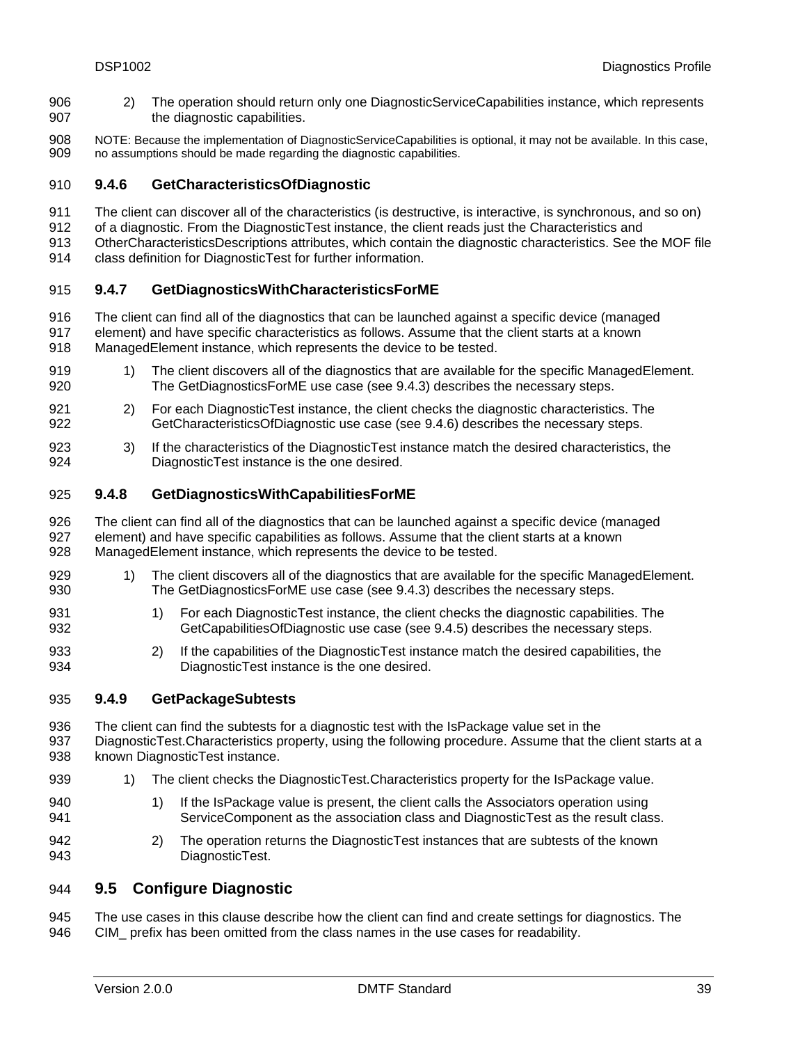- 906 2) The operation should return only one DiagnosticServiceCapabilities instance, which represents 907 the diagnostic capabilities.
- 908 NOTE: Because the implementation of DiagnosticServiceCapabilities is optional, it may not be available. In this case, 909 no assumptions should be made regarding the diagnostic capabilities. no assumptions should be made regarding the diagnostic capabilities.

## <span id="page-38-0"></span>910 **9.4.6 GetCharacteristicsOfDiagnostic**

- 911 The client can discover all of the characteristics (is destructive, is interactive, is synchronous, and so on)
- 912 of a diagnostic. From the DiagnosticTest instance, the client reads just the Characteristics and
- 913 OtherCharacteristicsDescriptions attributes, which contain the diagnostic characteristics. See the MOF file 914 class definition for DiagnosticTest for further information.
- 

## 915 **9.4.7 GetDiagnosticsWithCharacteristicsForME**

- 916 The client can find all of the diagnostics that can be launched against a specific device (managed 917 element) and have specific characteristics as follows. Assume that the client starts at a known 918 ManagedElement instance, which represents the device to be tested.
- 919 19 19 10 10 11 The client discovers all of the diagnostics that are available for the specific ManagedElement. 920 The GetDiagnosticsForME use case (see [9.4.3](#page-37-0)) describes the necessary steps.
- 921 2) For each DiagnosticTest instance, the client checks the diagnostic characteristics. The 922 GetCharacteristicsOfDiagnostic use case (see [9.4.6\)](#page-38-0) describes the necessary steps.
- 923 3) If the characteristics of the DiagnosticTest instance match the desired characteristics, the 924 DiagnosticTest instance is the one desired.

#### 925 **9.4.8 GetDiagnosticsWithCapabilitiesForME**

- 926 The client can find all of the diagnostics that can be launched against a specific device (managed 927 element) and have specific capabilities as follows. Assume that the client starts at a known 928 ManagedElement instance, which represents the device to be tested.
- 929 1) The client discovers all of the diagnostics that are available for the specific ManagedElement. 930 The GetDiagnosticsForME use case (see [9.4.3](#page-37-0)) describes the necessary steps.
- 931 1) For each DiagnosticTest instance, the client checks the diagnostic capabilities. The 932 GetCapabilitiesOfDiagnostic use case (see [9.4.5\)](#page-37-1) describes the necessary steps.
- 933 2) If the capabilities of the DiagnosticTest instance match the desired capabilities, the 934 DiagnosticTest instance is the one desired.

#### 935 **9.4.9 GetPackageSubtests**

- 936 The client can find the subtests for a diagnostic test with the IsPackage value set in the
- 937 DiagnosticTest.Characteristics property, using the following procedure. Assume that the client starts at a 938 known DiagnosticTest instance.
- 939 1) The client checks the DiagnosticTest.Characteristics property for the IsPackage value.
- 940 1) If the IsPackage value is present, the client calls the Associators operation using 941 ServiceComponent as the association class and DiagnosticTest as the result class.
- 942 2) The operation returns the DiagnosticTest instances that are subtests of the known 943 DiagnosticTest.

## <span id="page-38-1"></span>944 **9.5 Configure Diagnostic**

945 The use cases in this clause describe how the client can find and create settings for diagnostics. The 946 CIM prefix has been omitted from the class names in the use cases for readability.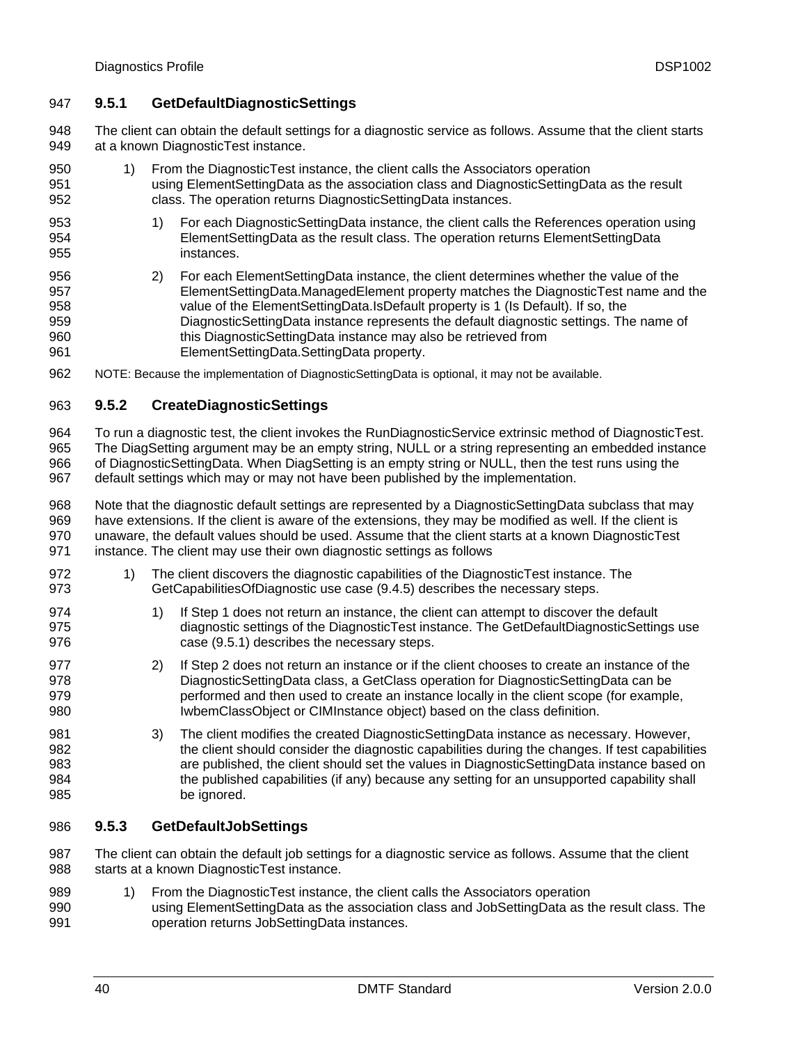## <span id="page-39-0"></span>947 **9.5.1 GetDefaultDiagnosticSettings**

948 The client can obtain the default settings for a diagnostic service as follows. Assume that the client starts 949 at a known DiagnosticTest instance.

- 950 1) From the DiagnosticTest instance, the client calls the Associators operation 951 using ElementSettingData as the association class and DiagnosticSettingData as the result 952 class. The operation returns DiagnosticSettingData instances.
- 953 1) For each DiagnosticSettingData instance, the client calls the References operation using 954 ElementSettingData as the result class. The operation returns ElementSettingData 955 instances.
- 956 2) For each ElementSettingData instance, the client determines whether the value of the 957 ElementSettingData.ManagedElement property matches the DiagnosticTest name and the 958 value of the ElementSettingData.IsDefault property is 1 (Is Default). If so, the 959 DiagnosticSettingData instance represents the default diagnostic settings. The name of 960 **this DiagnosticSettingData instance may also be retrieved from** 961 ElementSettingData.SettingData property.
- 962 NOTE: Because the implementation of DiagnosticSettingData is optional, it may not be available.

## 963 **9.5.2 CreateDiagnosticSettings**

964 To run a diagnostic test, the client invokes the RunDiagnosticService extrinsic method of DiagnosticTest. 965 The DiagSetting argument may be an empty string, NULL or a string representing an embedded instance 966 of DiagnosticSettingData. When DiagSetting is an empty string or NULL, then the test runs using the 967 default settings which may or may not have been published by the implementation.

968 Note that the diagnostic default settings are represented by a DiagnosticSettingData subclass that may 969 have extensions. If the client is aware of the extensions, they may be modified as well. If the client is 970 unaware, the default values should be used. Assume that the client starts at a known DiagnosticTest 971 instance. The client may use their own diagnostic settings as follows

- 972 1) The client discovers the diagnostic capabilities of the DiagnosticTest instance. The 973 GetCapabilitiesOfDiagnostic use case [\(9.4.5\)](#page-37-1) describes the necessary steps.
- 974 1) If Step 1 does not return an instance, the client can attempt to discover the default 975 diagnostic settings of the DiagnosticTest instance. The GetDefaultDiagnosticSettings use 976 case [\(9.5.1](#page-39-0)) describes the necessary steps.
- 977 2) If Step 2 does not return an instance or if the client chooses to create an instance of the 978 DiagnosticSettingData class, a GetClass operation for DiagnosticSettingData can be 979 **performed and then used to create an instance locally in the client scope (for example,** 980 **IWbemClassObject or CIMInstance object)** based on the class definition.
- 981 3) The client modifies the created DiagnosticSettingData instance as necessary. However, 982 the client should consider the diagnostic capabilities during the changes. If test capabilities 983 are published, the client should set the values in DiagnosticSettingData instance based on 984 the published capabilities (if any) because any setting for an unsupported capability shall 985 be ignored.

## <span id="page-39-1"></span>986 **9.5.3 GetDefaultJobSettings**

987 The client can obtain the default job settings for a diagnostic service as follows. Assume that the client 988 starts at a known DiagnosticTest instance.

- 989 1) From the DiagnosticTest instance, the client calls the Associators operation
- 990 using ElementSettingData as the association class and JobSettingData as the result class. The 991 operation returns JobSettingData instances.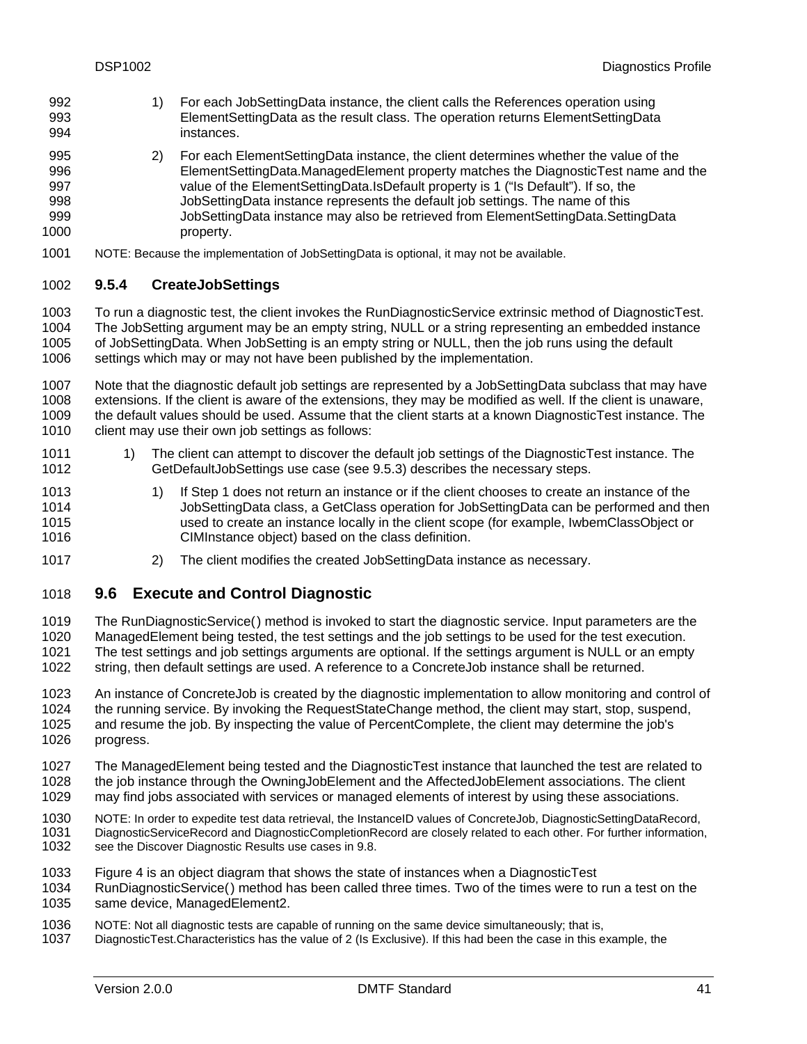- 992 1) For each JobSettingData instance, the client calls the References operation using 993 ElementSettingData as the result class. The operation returns ElementSettingData 994 instances.
- 995 2) For each ElementSettingData instance, the client determines whether the value of the 996 ElementSettingData.ManagedElement property matches the DiagnosticTest name and the 997 value of the ElementSettingData.IsDefault property is 1 ("Is Default"). If so, the 998 JobSettingData instance represents the default job settings. The name of this 999 JobSettingData instance may also be retrieved from ElementSettingData.SettingData property.
- 1001 NOTE: Because the implementation of JobSettingData is optional, it may not be available.

## 1002 **9.5.4 CreateJobSettings**

1003 To run a diagnostic test, the client invokes the RunDiagnosticService extrinsic method of DiagnosticTest. 1004 The JobSetting argument may be an empty string, NULL or a string representing an embedded instance 1005 of JobSettingData. When JobSetting is an empty string or NULL, then the job runs using the default 1006 settings which may or may not have been published by the implementation.

1007 Note that the diagnostic default job settings are represented by a JobSettingData subclass that may have 1008 extensions. If the client is aware of the extensions, they may be modified as well. If the client is unaware, 1009 the default values should be used. Assume that the client starts at a known DiagnosticTest instance. The 1010 client may use their own job settings as follows:

- 1011 1) The client can attempt to discover the default job settings of the DiagnosticTest instance. The 1012 GetDefaultJobSettings use case (see [9.5.3](#page-39-1)) describes the necessary steps.
- 1013 1) If Step 1 does not return an instance or if the client chooses to create an instance of the 1014 JobSettingData class, a GetClass operation for JobSettingData can be performed and then 1015 used to create an instance locally in the client scope (for example, IwbemClassObject or 1016 CIMInstance object) based on the class definition.
- 1017 2) The client modifies the created JobSettingData instance as necessary.

## 1018 **9.6 Execute and Control Diagnostic**

1019 The RunDiagnosticService() method is invoked to start the diagnostic service. Input parameters are the 1020 ManagedElement being tested, the test settings and the job settings to be used for the test execution.<br>1021 The test settings and job settings arguments are optional. If the settings argument is NULL or an empt 1021 The test settings and job settings arguments are optional. If the settings argument is NULL or an empty 1022 string. then default settings are used. A reference to a ConcreteJob instance shall be returned. string, then default settings are used. A reference to a ConcreteJob instance shall be returned.

1023 An instance of ConcreteJob is created by the diagnostic implementation to allow monitoring and control of 1024 the running service. By invoking the RequestStateChange method, the client may start, stop, suspend, 1025 and resume the job. By inspecting the value of PercentComplete, the client may determine the job's 1026 progress.

1027 The ManagedElement being tested and the DiagnosticTest instance that launched the test are related to 1028 the job instance through the OwningJobElement and the AffectedJobElement associations. The client 1029 may find jobs associated with services or managed elements of interest by using these associations.

- 
- 1030 NOTE: In order to expedite test data retrieval, the InstanceID values of ConcreteJob, DiagnosticSettingDataRecord,<br>1031 DiagnosticServiceRecord and DiagnosticCompletionRecord are closely related to each other. For fur 1031 DiagnosticServiceRecord and DiagnosticCompletionRecord are closely related to each other. For further information,<br>1032 see the Discover Diagnostic Results use cases in 9.8. see the Discover Diagnostic Results use cases in [9.8.](#page-45-0)
- 1033 [Figure 4](#page-41-0) is an object diagram that shows the state of instances when a DiagnosticTest
- 1034 RunDiagnosticService() method has been called three times. Two of the times were to run a test on the 1035 same device, ManagedElement2.
- 1036 NOTE: Not all diagnostic tests are capable of running on the same device simultaneously; that is, 1037 Diagnostic Test. Characteristics has the value of 2 (Is Exclusive). If this had been the case in this e
- DiagnosticTest.Characteristics has the value of 2 (Is Exclusive). If this had been the case in this example, the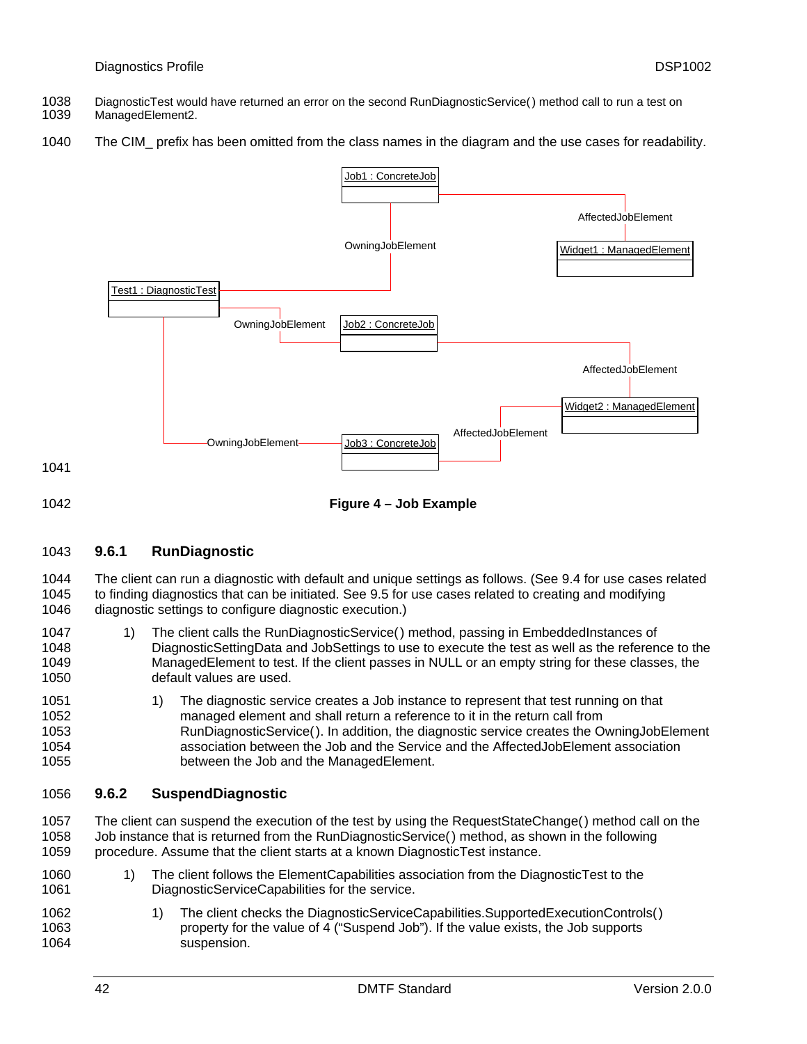- 1038 DiagnosticTest would have returned an error on the second RunDiagnosticService() method call to run a test on<br>1039 ManagedElement2. ManagedElement2.
- 1040 The CIM\_ prefix has been omitted from the class names in the diagram and the use cases for readability.



1041

<span id="page-41-0"></span>1042 **Figure 4 – Job Example** 

## 1043 **9.6.1 RunDiagnostic**

1044 The client can run a diagnostic with default and unique settings as follows. (See [9.4](#page-37-2) for use cases related 1045 to finding diagnostics that can be initiated. See [9.5](#page-38-1) for use cases related to creating and modifying 1046 diagnostic settings to configure diagnostic execution.)

- 1047 1) The client calls the RunDiagnosticService() method, passing in EmbeddedInstances of 1048 DiagnosticSettingData and JobSettings to use to execute the test as well as the reference to the 1049 ManagedElement to test. If the client passes in NULL or an empty string for these classes, the 1050 default values are used.
- 1051 1) The diagnostic service creates a Job instance to represent that test running on that 1052 managed element and shall return a reference to it in the return call from 1053 RunDiagnosticService(). In addition, the diagnostic service creates the OwningJobElement 1054 association between the Job and the Service and the AffectedJobElement association 1055 between the Job and the ManagedElement.

## 1056 **9.6.2 SuspendDiagnostic**

1057 The client can suspend the execution of the test by using the RequestStateChange() method call on the 1058 Job instance that is returned from the RunDiagnosticService() method, as shown in the following 1059 procedure. Assume that the client starts at a known DiagnosticTest instance.

- 1060 1) The client follows the ElementCapabilities association from the DiagnosticTest to the 1061 DiagnosticServiceCapabilities for the service.
- 1062 1) The client checks the DiagnosticServiceCapabilities.SupportedExecutionControls()<br>1063 the value of 4 ("Suspend Job"). If the value exists, the Job supports property for the value of 4 ("Suspend Job"). If the value exists, the Job supports 1064 suspension.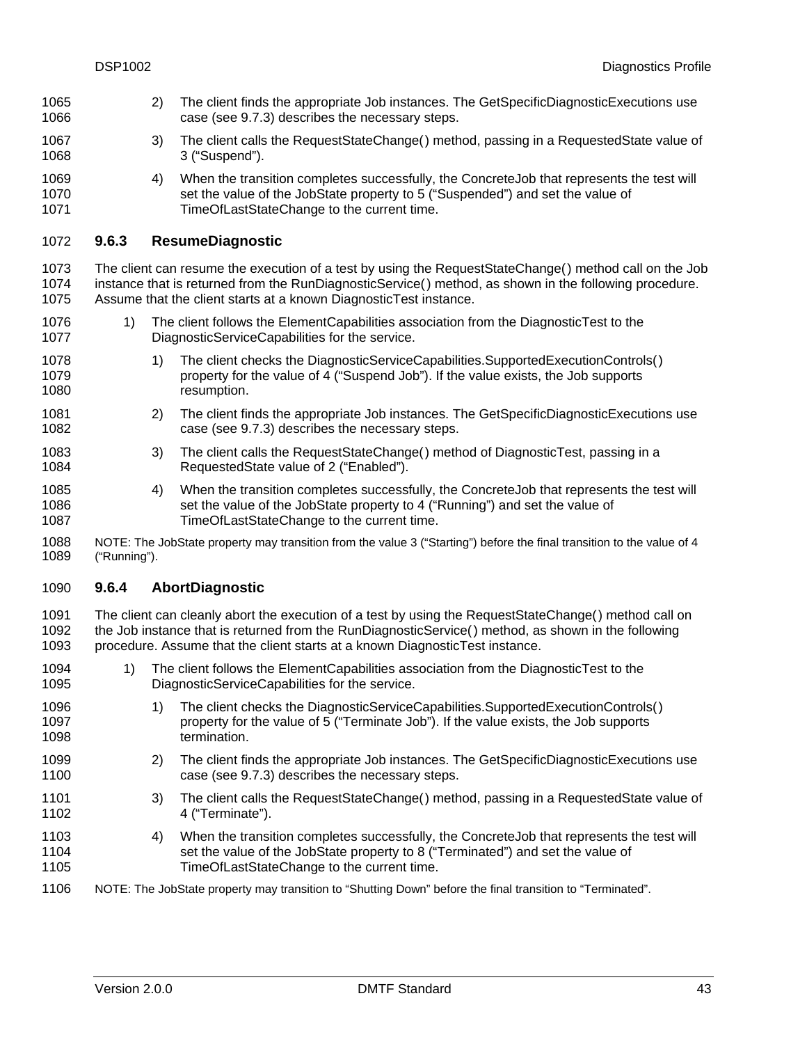- 1065 2) The client finds the appropriate Job instances. The GetSpecificDiagnosticExecutions use 1066 case (see [9.7.3](#page-44-0)) describes the necessary steps.
- 1067 3) The client calls the RequestStateChange() method, passing in a RequestedState value of 1068 3 ("Suspend").
- 1069 4) When the transition completes successfully, the ConcreteJob that represents the test will 1070 set the value of the JobState property to 5 ("Suspended") and set the value of 1071 TimeOfLastStateChange to the current time.

#### 1072 **9.6.3 ResumeDiagnostic**

1073 The client can resume the execution of a test by using the RequestStateChange() method call on the Job<br>1074 instance that is returned from the RunDiagnosticService() method, as shown in the following procedure. instance that is returned from the RunDiagnosticService() method, as shown in the following procedure. 1075 Assume that the client starts at a known DiagnosticTest instance.

- 1076 1076 1) The client follows the ElementCapabilities association from the DiagnosticTest to the 1077 DiagnosticServiceCapabilities for the service.
- 1078 1) The client checks the DiagnosticServiceCapabilities.SupportedExecutionControls() 1079 property for the value of 4 ("Suspend Job"). If the value exists, the Job supports 1080 resumption.
- 1081 2) The client finds the appropriate Job instances. The GetSpecificDiagnosticExecutions use 1082 case (see [9.7.3](#page-44-0)) describes the necessary steps.
- 1083 3) The client calls the RequestStateChange() method of DiagnosticTest, passing in a 1084 RequestedState value of 2 ("Enabled").
- 1085 4) When the transition completes successfully, the ConcreteJob that represents the test will 1086 set the value of the JobState property to 4 ("Running") and set the value of 1087 TimeOfLastStateChange to the current time.

1088 NOTE: The JobState property may transition from the value 3 ("Starting") before the final transition to the value of 4 1089 ("Running").

## 1090 **9.6.4 AbortDiagnostic**

1091 The client can cleanly abort the execution of a test by using the RequestStateChange() method call on 1092 the Job instance that is returned from the RunDiagnosticService() method, as shown in the following 1093 procedure. Assume that the client starts at a known DiagnosticTest instance.

- 1094 1) The client follows the ElementCapabilities association from the DiagnosticTest to the 1095 DiagnosticServiceCapabilities for the service.
- 1096 1) The client checks the DiagnosticServiceCapabilities.SupportedExecutionControls() 1097 property for the value of 5 ("Terminate Job"). If the value exists, the Job supports 1098 termination.
- 1099 2) The client finds the appropriate Job instances. The GetSpecificDiagnosticExecutions use 1100 case (see [9.7.3](#page-44-0)) describes the necessary steps.
- 1101 3) The client calls the RequestStateChange() method, passing in a RequestedState value of 1102 **4** ("Terminate").
- 1103 4) When the transition completes successfully, the ConcreteJob that represents the test will 1104 set the value of the JobState property to 8 ("Terminated") and set the value of 1105 TimeOfLastStateChange to the current time.
- 1106 NOTE: The JobState property may transition to "Shutting Down" before the final transition to "Terminated".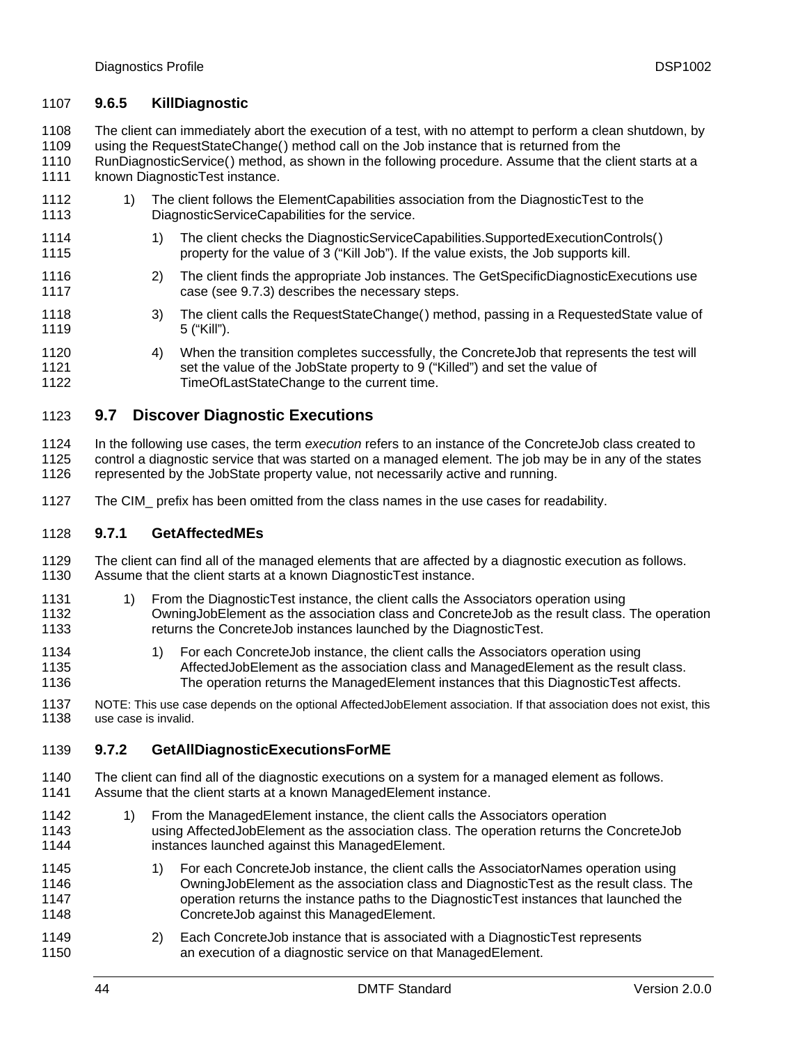## 1107 **9.6.5 KillDiagnostic**

1108 The client can immediately abort the execution of a test, with no attempt to perform a clean shutdown, by 1109 using the RequestStateChange() method call on the Job instance that is returned from the

- 1110 RunDiagnosticService() method, as shown in the following procedure. Assume that the client starts at a 1111 known DiagnosticTest instance.
- 1112 10 1) The client follows the ElementCapabilities association from the DiagnosticTest to the 1113 DiagnosticServiceCapabilities for the service.
- 1114 1) The client checks the DiagnosticServiceCapabilities.SupportedExecutionControls() 1115 property for the value of 3 ("Kill Job"). If the value exists, the Job supports kill.
- 1116 2) The client finds the appropriate Job instances. The GetSpecificDiagnosticExecutions use 1117 case (see [9.7.3](#page-44-0)) describes the necessary steps.
- 1118 3) The client calls the RequestStateChange() method, passing in a RequestedState value of 1119 5 ("Kill").
- 1120 4) When the transition completes successfully, the ConcreteJob that represents the test will 1121 set the value of the JobState property to 9 ("Killed") and set the value of 1122 TimeOfLastStateChange to the current time.
- <span id="page-43-0"></span>1123 **9.7 Discover Diagnostic Executions**

1124 In the following use cases, the term *execution* refers to an instance of the ConcreteJob class created to 1125 control a diagnostic service that was started on a managed element. The job may be in any of the states 1126 represented by the JobState property value, not necessarily active and running.

1127 The CIM\_ prefix has been omitted from the class names in the use cases for readability.

## 1128 **9.7.1 GetAffectedMEs**

- 1129 The client can find all of the managed elements that are affected by a diagnostic execution as follows. 1130 Assume that the client starts at a known DiagnosticTest instance.
- 1131 1) From the DiagnosticTest instance, the client calls the Associators operation using 1132 OwningJobElement as the association class and ConcreteJob as the result class. The operation 1133 returns the ConcreteJob instances launched by the DiagnosticTest.
- 1134 10 1) For each ConcreteJob instance, the client calls the Associators operation using 1135 AffectedJobElement as the association class and ManagedElement as the result class. 1136 The operation returns the ManagedElement instances that this DiagnosticTest affects.

1137 NOTE: This use case depends on the optional AffectedJobElement association. If that association does not exist, this 1138 use case is invalid. use case is invalid.

## 1139 **9.7.2 GetAllDiagnosticExecutionsForME**

- 1140 The client can find all of the diagnostic executions on a system for a managed element as follows.<br>1141 Assume that the client starts at a known ManagedElement instance. Assume that the client starts at a known ManagedElement instance.
- 1142 1) From the ManagedElement instance, the client calls the Associators operation 1143 using AffectedJobElement as the association class. The operation returns the ConcreteJob 1144 instances launched against this ManagedElement.
- 1145 1145 1) For each ConcreteJob instance, the client calls the AssociatorNames operation using 1146 OwningJobElement as the association class and DiagnosticTest as the result class. The 1147 operation returns the instance paths to the DiagnosticTest instances that launched the 1148 ConcreteJob against this ManagedElement.
- 1149 2) Each ConcreteJob instance that is associated with a DiagnosticTest represents<br>1150 150 an execution of a diagnostic service on that ManagedElement. an execution of a diagnostic service on that ManagedElement.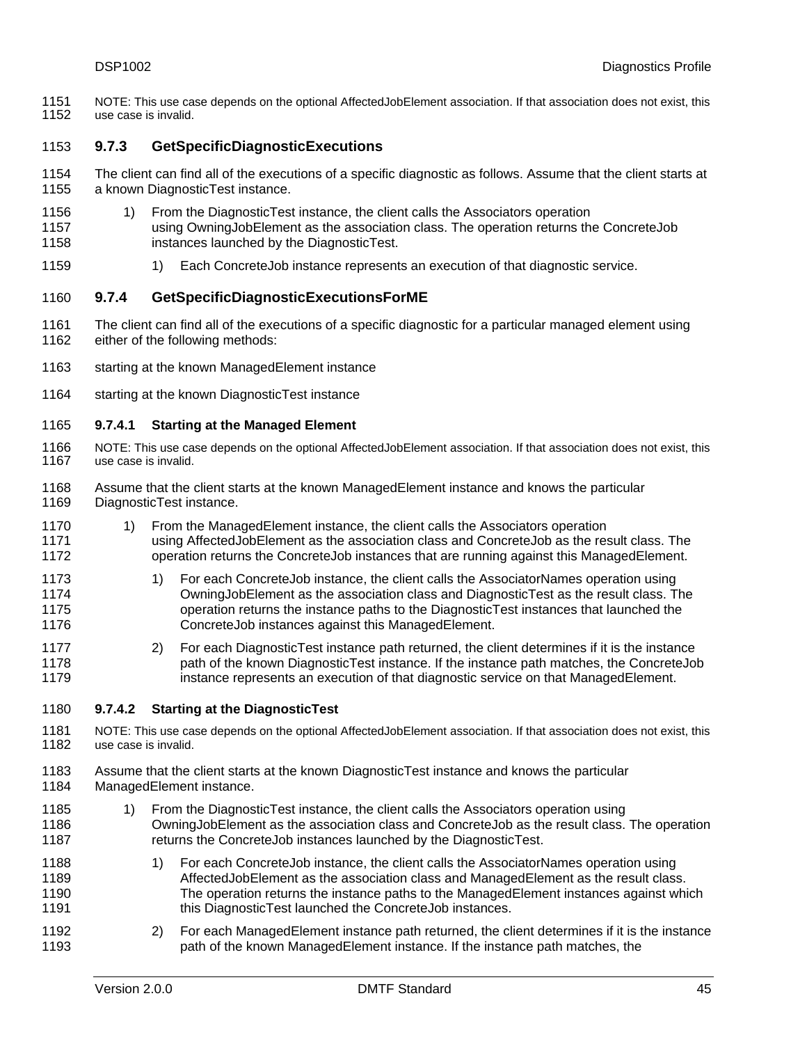1151 NOTE: This use case depends on the optional AffectedJobElement association. If that association does not exist, this 1152 use case is invalid. use case is invalid.

#### <span id="page-44-0"></span>1153 **9.7.3 GetSpecificDiagnosticExecutions**

- 1154 The client can find all of the executions of a specific diagnostic as follows. Assume that the client starts at 1155 a known DiagnosticTest instance.
- 1156 1) From the DiagnosticTest instance, the client calls the Associators operation
- 1157 using OwningJobElement as the association class. The operation returns the ConcreteJob 1158 instances launched by the DiagnosticTest.
- 1159 1) Each ConcreteJob instance represents an execution of that diagnostic service.

## 1160 **9.7.4 GetSpecificDiagnosticExecutionsForME**

- 1161 The client can find all of the executions of a specific diagnostic for a particular managed element using 1162 either of the following methods:
- 1163 starting at the known ManagedElement instance
- 1164 starting at the known DiagnosticTest instance

#### 1165 **9.7.4.1 Starting at the Managed Element**

- 1166 NOTE: This use case depends on the optional AffectedJobElement association. If that association does not exist, this 167 use case is invalid. use case is invalid.
- 1168 Assume that the client starts at the known ManagedElement instance and knows the particular 1169 DiagnosticTest instance.
- 1170 1) From the ManagedElement instance, the client calls the Associators operation 1171 using AffectedJobElement as the association class and ConcreteJob as the result class. The 1172 operation returns the ConcreteJob instances that are running against this ManagedElement.
- 1173 1173 1) For each ConcreteJob instance, the client calls the AssociatorNames operation using 1174 OwningJobElement as the association class and DiagnosticTest as the result class. The 1175 operation returns the instance paths to the DiagnosticTest instances that launched the 1176 ConcreteJob instances against this ManagedElement.
- 1177 2) For each DiagnosticTest instance path returned, the client determines if it is the instance 1178 path of the known DiagnosticTest instance. If the instance path matches, the ConcreteJob 1179 instance represents an execution of that diagnostic service on that ManagedElement.

#### 1180 **9.7.4.2 Starting at the DiagnosticTest**

- 1181 NOTE: This use case depends on the optional AffectedJobElement association. If that association does not exist, this 1182 use case is invalid.
- 1183 Assume that the client starts at the known DiagnosticTest instance and knows the particular 1184 ManagedElement instance.
- 1185 1) From the DiagnosticTest instance, the client calls the Associators operation using 1186 OwningJobElement as the association class and ConcreteJob as the result class. The operation 1187 returns the ConcreteJob instances launched by the DiagnosticTest.
- 1188 1999 1) For each ConcreteJob instance, the client calls the AssociatorNames operation using 1189 AffectedJobElement as the association class and ManagedElement as the result class. 1190 The operation returns the instance paths to the ManagedElement instances against which 1191 this DiagnosticTest launched the ConcreteJob instances.
- 1192 2) For each ManagedElement instance path returned, the client determines if it is the instance 1193 path of the known ManagedElement instance. If the instance path matches, the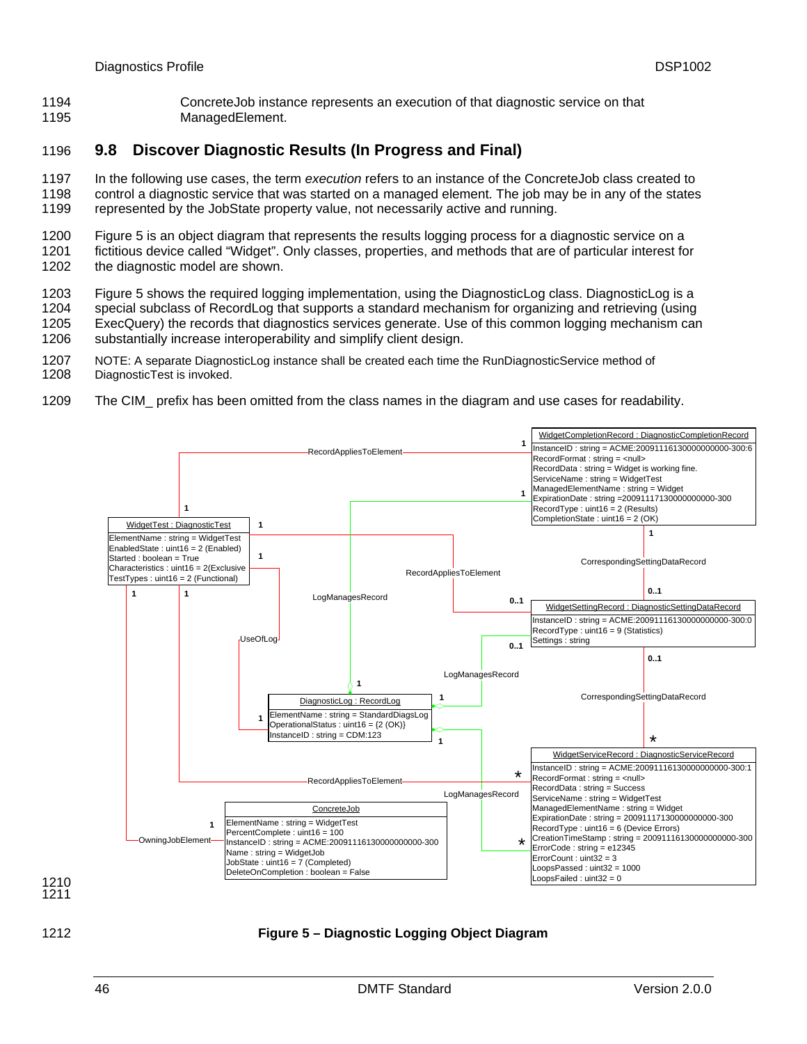1194 ConcreteJob instance represents an execution of that diagnostic service on that 1195 ManagedElement.

## <span id="page-45-0"></span>1196 **9.8 Discover Diagnostic Results (In Progress and Final)**

1197 In the following use cases, the term *execution* refers to an instance of the ConcreteJob class created to 1198 control a diagnostic service that was started on a managed element. The job may be in any of the states 1199 represented by the JobState property value, not necessarily active and running.

1200 [Figure 5](#page-45-1) is an object diagram that represents the results logging process for a diagnostic service on a 1201 fictitious device called "Widget". Only classes, properties, and methods that are of particular interest for 1202 the diagnostic model are shown.

1203 [Figure 5](#page-45-1) shows the required logging implementation, using the DiagnosticLog class. DiagnosticLog is a 1204 special subclass of RecordLog that supports a standard mechanism for organizing and retrieving (using 1205 ExecQuery) the records that diagnostics services generate. Use of this common logging mechanism can 1206 substantially increase interoperability and simplify client design.

1207 NOTE: A separate DiagnosticLog instance shall be created each time the RunDiagnosticService method of 1208<br>1208 DiagnosticTest is invoked. DiagnosticTest is invoked.

1209 The CIM prefix has been omitted from the class names in the diagram and use cases for readability.



1210 1211

## <span id="page-45-1"></span>1212 **Figure 5 – Diagnostic Logging Object Diagram**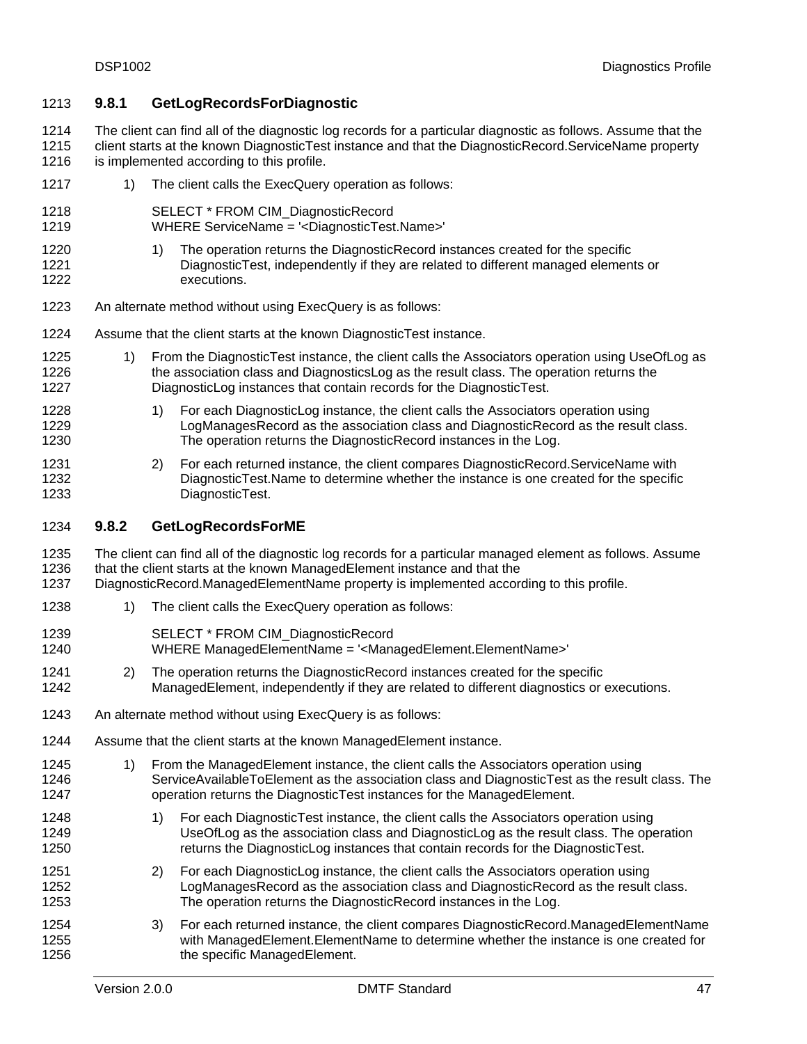## 1213 **9.8.1 GetLogRecordsForDiagnostic**

1214 The client can find all of the diagnostic log records for a particular diagnostic as follows. Assume that the 1215 client starts at the known Diagnostic Test instance and that the Diagnostic Record. Service Name prope client starts at the known DiagnosticTest instance and that the DiagnosticRecord.ServiceName property 1216 is implemented according to this profile.

- 1217 1) The client calls the ExecQuery operation as follows:
- 1218 SELECT \* FROM CIM\_DiagnosticRecord
- 1219 WHERE ServiceName = '<DiagnosticTest.Name>'
- 1220 1) The operation returns the DiagnosticRecord instances created for the specific 1221 DiagnosticTest, independently if they are related to different managed elements or 1222 executions.
- 1223 An alternate method without using ExecQuery is as follows:
- 1224 Assume that the client starts at the known DiagnosticTest instance.
- 1225 1) From the DiagnosticTest instance, the client calls the Associators operation using UseOfLog as 1226 the association class and DiagnosticsLog as the result class. The operation returns the 1227 DiagnosticLog instances that contain records for the DiagnosticTest.
- 1228 1) For each DiagnosticLog instance, the client calls the Associators operation using 1229 LogManagesRecord as the association class and DiagnosticRecord as the result class. 1230 The operation returns the DiagnosticRecord instances in the Log.
- 1231 2) For each returned instance, the client compares DiagnosticRecord.ServiceName with<br>1232 **1232** DiagnosticTest.Name to determine whether the instance is one created for the specific 1232 DiagnosticTest.Name to determine whether the instance is one created for the specific<br>1233 DiagnosticTest. DiagnosticTest.

#### 1234 **9.8.2 GetLogRecordsForME**

1235 The client can find all of the diagnostic log records for a particular managed element as follows. Assume 1236 that the client starts at the known ManagedElement instance and that the

- 1237 DiagnosticRecord.ManagedElementName property is implemented according to this profile.
- 1238 1) The client calls the ExecQuery operation as follows:
- 1239 **SELECT \* FROM CIM DiagnosticRecord**
- 1240 WHERE ManagedElementName = '<ManagedElement.ElementName>'
- 1241 2) The operation returns the DiagnosticRecord instances created for the specific 1242 ManagedElement, independently if they are related to different diagnostics or executions.
- 1243 An alternate method without using ExecQuery is as follows:
- 1244 Assume that the client starts at the known ManagedElement instance.
- 1245 1) From the ManagedElement instance, the client calls the Associators operation using 1246 ServiceAvailableToElement as the association class and DiagnosticTest as the result class. The 1247 operation returns the DiagnosticTest instances for the ManagedElement.
- 1248 1999 1) For each DiagnosticTest instance, the client calls the Associators operation using 1249 UseOfLog as the association class and DiagnosticLog as the result class. The operation 1250 returns the DiagnosticLog instances that contain records for the DiagnosticTest.
- 1251 2) For each DiagnosticLog instance, the client calls the Associators operation using 1252 LogManagesRecord as the association class and DiagnosticRecord as the result class. 1253 The operation returns the DiagnosticRecord instances in the Log.
- 1254 3) For each returned instance, the client compares DiagnosticRecord.ManagedElementName 1255 with ManagedElement.ElementName to determine whether the instance is one created for 1256 the specific ManagedElement.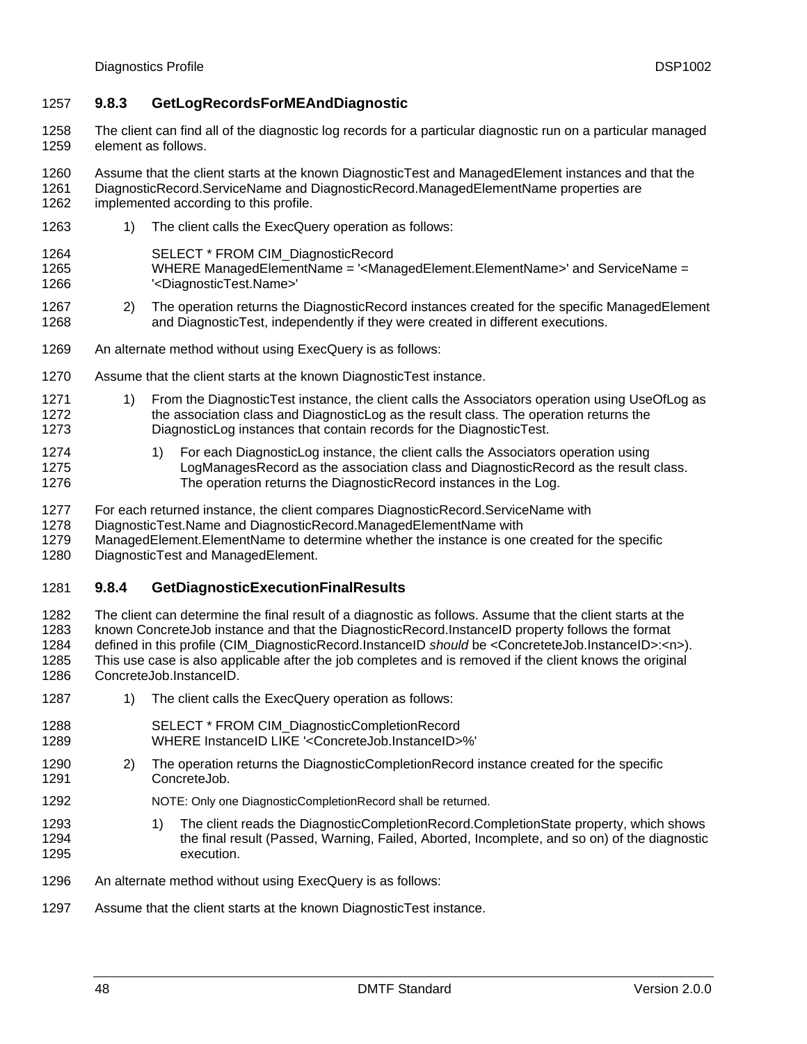## <span id="page-47-0"></span>1257 **9.8.3 GetLogRecordsForMEAndDiagnostic**

- 1258 The client can find all of the diagnostic log records for a particular diagnostic run on a particular managed 1259 element as follows.
- 1260 Assume that the client starts at the known DiagnosticTest and ManagedElement instances and that the 1261 DiagnosticRecord.ServiceName and DiagnosticRecord.ManagedElementName properties are 1262 implemented according to this profile.
- 1263 1990 1) The client calls the ExecQuery operation as follows:
- 1264 SELECT \* FROM CIM\_DiagnosticRecord
- 1265 WHERE ManagedElementName = '<ManagedElement.ElementName>' and ServiceName = 1266 '<DiagnosticTest.Name>'
- 1267 2) The operation returns the DiagnosticRecord instances created for the specific ManagedElement 1268 and DiagnosticTest, independently if they were created in different executions.
- 1269 An alternate method without using ExecQuery is as follows:
- 1270 Assume that the client starts at the known DiagnosticTest instance.
- 1271 1) From the DiagnosticTest instance, the client calls the Associators operation using UseOfLog as 1272 the association class and DiagnosticLog as the result class. The operation returns the 1273 DiagnosticLog instances that contain records for the DiagnosticTest.
- 1274 1) For each DiagnosticLog instance, the client calls the Associators operation using 1275 LogManagesRecord as the association class and DiagnosticRecord as the result class. 1276 The operation returns the DiagnosticRecord instances in the Log.
- 1277 For each returned instance, the client compares DiagnosticRecord.ServiceName with
- 1278 DiagnosticTest.Name and DiagnosticRecord.ManagedElementName with
- 1279 ManagedElement.ElementName to determine whether the instance is one created for the specific
- 1280 DiagnosticTest and ManagedElement.

## <span id="page-47-1"></span>1281 **9.8.4 GetDiagnosticExecutionFinalResults**

- 1282 The client can determine the final result of a diagnostic as follows. Assume that the client starts at the 1283 known ConcreteJob instance and that the DiagnosticRecord.InstanceID property follows the format 1284 defined in this profile (CIM\_DiagnosticRecord.InstanceID *should* be <ConcreteteJob.InstanceID>:<n>). 1285 This use case is also applicable after the job completes and is removed if the client knows the original 1286 ConcreteJob.InstanceID.
- 1287 10 1) The client calls the ExecQuery operation as follows:
- 1288 SELECT \* FROM CIM\_DiagnosticCompletionRecord
- 1289 WHERE InstanceID LIKE '<ConcreteJob.InstanceID>%'
- 1290 2) The operation returns the DiagnosticCompletionRecord instance created for the specific 1291 ConcreteJob.
- 1292 NOTE: Only one DiagnosticCompletionRecord shall be returned.
- 1293 1993 1) The client reads the DiagnosticCompletionRecord.CompletionState property, which shows 1294 the final result (Passed, Warning, Failed, Aborted, Incomplete, and so on) of the diagnostic 1295 execution.
- 1296 An alternate method without using ExecQuery is as follows:
- 1297 Assume that the client starts at the known DiagnosticTest instance.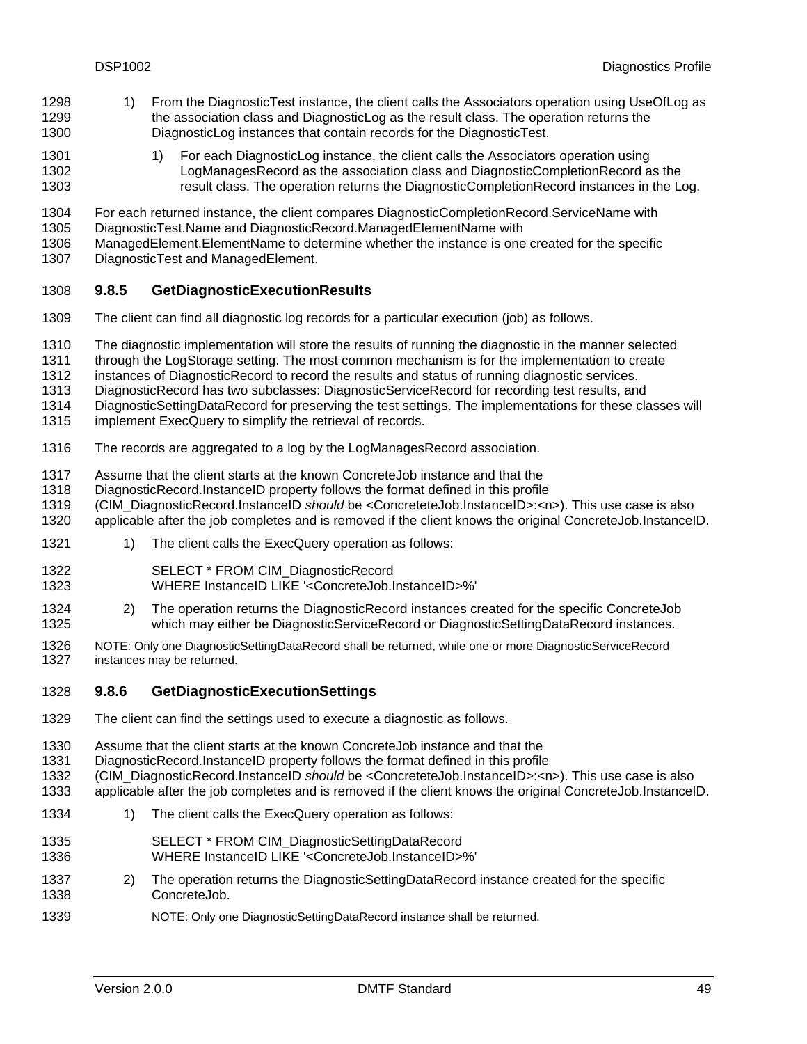- 1298 1) From the DiagnosticTest instance, the client calls the Associators operation using UseOfLog as 1299 the association class and DiagnosticLog as the result class. The operation returns the 1300 DiagnosticLog instances that contain records for the DiagnosticTest.
- 1301 1) For each DiagnosticLog instance, the client calls the Associators operation using 1302 LogManagesRecord as the association class and DiagnosticCompletionRecord as the 1303 result class. The operation returns the DiagnosticCompletionRecord instances in the Log.
- 1304 For each returned instance, the client compares DiagnosticCompletionRecord.ServiceName with
- 1305 DiagnosticTest.Name and DiagnosticRecord.ManagedElementName with
- 1306 ManagedElement.ElementName to determine whether the instance is one created for the specific
- 1307 DiagnosticTest and ManagedElement.

#### <span id="page-48-0"></span>1308 **9.8.5 GetDiagnosticExecutionResults**

- 1309 The client can find all diagnostic log records for a particular execution (job) as follows.
- 1310 The diagnostic implementation will store the results of running the diagnostic in the manner selected
- 1311 through the LogStorage setting. The most common mechanism is for the implementation to create
- 1312 instances of DiagnosticRecord to record the results and status of running diagnostic services.
- 1313 DiagnosticRecord has two subclasses: DiagnosticServiceRecord for recording test results, and<br>1314 DiagnosticSettingDataRecord for preserving the test settings. The implementations for these cla
- DiagnosticSettingDataRecord for preserving the test settings. The implementations for these classes will
- 1315 implement ExecQuery to simplify the retrieval of records.
- 1316 The records are aggregated to a log by the LogManagesRecord association.
- 1317 Assume that the client starts at the known ConcreteJob instance and that the
- 1318 DiagnosticRecord.InstanceID property follows the format defined in this profile
- 1319 (CIM\_DiagnosticRecord.InstanceID *should* be <ConcreteteJob.InstanceID>:<n>). This use case is also
- 1320 applicable after the job completes and is removed if the client knows the original ConcreteJob.InstanceID.
- 1321 1) The client calls the ExecQuery operation as follows:
- 1322 SELECT \* FROM CIM\_DiagnosticRecord
- 1323 WHERE InstanceID LIKE '<ConcreteJob.InstanceID>%'
- 1324 2) The operation returns the DiagnosticRecord instances created for the specific ConcreteJob 1325 which may either be DiagnosticServiceRecord or DiagnosticSettingDataRecord instances.
- 1326 NOTE: Only one DiagnosticSettingDataRecord shall be returned, while one or more DiagnosticServiceRecord<br>1327 instances may be returned. instances may be returned.
- <span id="page-48-1"></span>1328 **9.8.6 GetDiagnosticExecutionSettings**
- 1329 The client can find the settings used to execute a diagnostic as follows.
- 1330 Assume that the client starts at the known ConcreteJob instance and that the<br>1331 DiagnosticRecord.InstanceID property follows the format defined in this profile
- DiagnosticRecord.InstanceID property follows the format defined in this profile
- 1332 (CIM\_DiagnosticRecord.InstanceID *should* be <ConcreteteJob.InstanceID>:<n>). This use case is also
- 1333 applicable after the job completes and is removed if the client knows the original ConcreteJob.InstanceID.
- 1334 10 10 1 The client calls the ExecQuery operation as follows:
- 1335 SELECT \* FROM CIM\_DiagnosticSettingDataRecord
- 1336 WHERE InstanceID LIKE '<ConcreteJob.InstanceID>%'
- 1337 2) The operation returns the DiagnosticSettingDataRecord instance created for the specific 1338 ConcreteJob.
- 1339 NOTE: Only one DiagnosticSettingDataRecord instance shall be returned.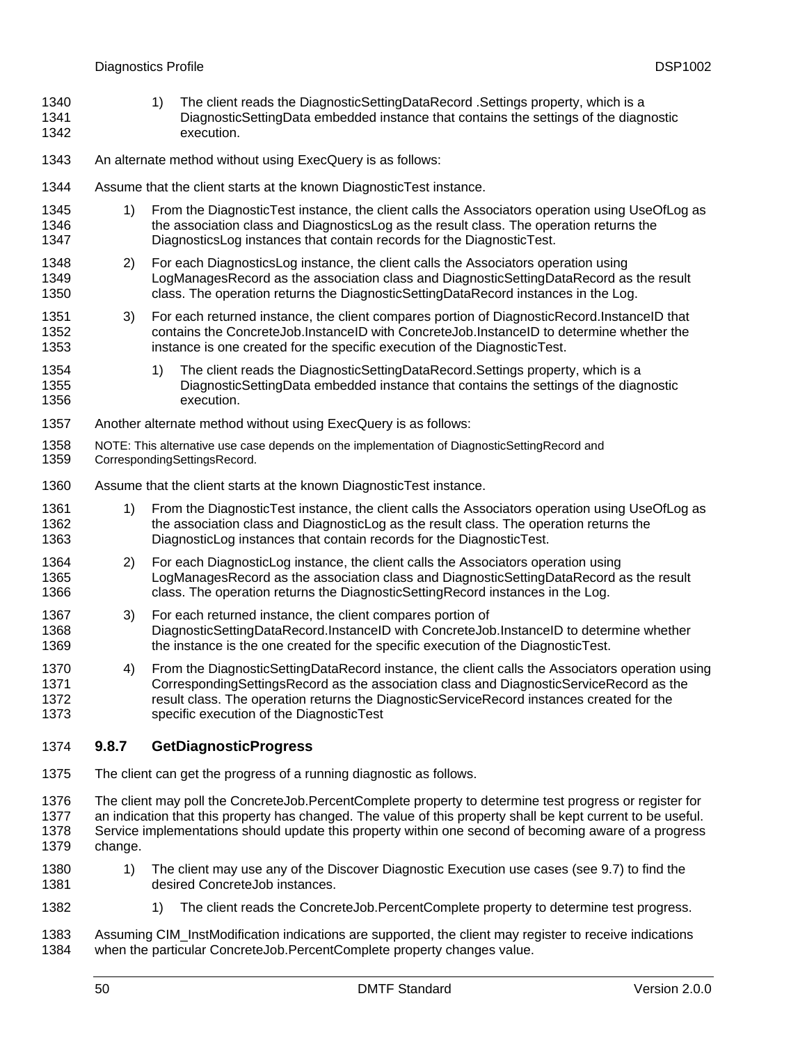- 1340 10 1) The client reads the DiagnosticSettingDataRecord . Settings property, which is a 1341 DiagnosticSettingData embedded instance that contains the settings of the diagnostic 1342 execution.
- 1343 An alternate method without using ExecQuery is as follows:
- 1344 Assume that the client starts at the known DiagnosticTest instance.
- 1345 1345 1) From the DiagnosticTest instance, the client calls the Associators operation using UseOfLog as 1346 the association class and DiagnosticsLog as the result class. The operation returns the 1347 DiagnosticsLog instances that contain records for the DiagnosticTest.
- 1348 2) For each DiagnosticsLog instance, the client calls the Associators operation using 1349 LogManagesRecord as the association class and DiagnosticSettingDataRecord as the result 1350 class. The operation returns the DiagnosticSettingDataRecord instances in the Log.
- 1351 3) For each returned instance, the client compares portion of DiagnosticRecord.InstanceID that 1352 contains the ConcreteJob.InstanceID with ConcreteJob.InstanceID to determine whether the 1353 instance is one created for the specific execution of the DiagnosticTest.
- 1354 1354 1) The client reads the DiagnosticSettingDataRecord.Settings property, which is a 1355 DiagnosticSettingData embedded instance that contains the settings of the diagnostic 1356 execution.
- 1357 Another alternate method without using ExecQuery is as follows:
- 1358 NOTE: This alternative use case depends on the implementation of DiagnosticSettingRecord and<br>1359 CorrespondingSettingsRecord. CorrespondingSettingsRecord.
- 1360 Assume that the client starts at the known DiagnosticTest instance.
- 1361 1) From the DiagnosticTest instance, the client calls the Associators operation using UseOfLog as 1362 the association class and DiagnosticLog as the result class. The operation returns the 1363 DiagnosticLog instances that contain records for the DiagnosticTest.
- 1364 2) For each DiagnosticLog instance, the client calls the Associators operation using 1365 LogManagesRecord as the association class and DiagnosticSettingDataRecord as the result 1366 class. The operation returns the DiagnosticSettingRecord instances in the Log.
- 1367 3) For each returned instance, the client compares portion of 1368 DiagnosticSettingDataRecord.InstanceID with ConcreteJob.InstanceID to determine whether 1369 the instance is the one created for the specific execution of the DiagnosticTest.
- 1370 4) From the DiagnosticSettingDataRecord instance, the client calls the Associators operation using 1371 CorrespondingSettingsRecord as the association class and DiagnosticServiceRecord as the 1372 result class. The operation returns the DiagnosticServiceRecord instances created for the 1373 specific execution of the DiagnosticTest

## <span id="page-49-0"></span>1374 **9.8.7 GetDiagnosticProgress**

- 1375 The client can get the progress of a running diagnostic as follows.
- 1376 The client may poll the ConcreteJob.PercentComplete property to determine test progress or register for 1377 an indication that this property has changed. The value of this property shall be kept current to be useful. 1378 Service implementations should update this property within one second of becoming aware of a progress 1379 change.
- 1380 1) The client may use any of the Discover Diagnostic Execution use cases (see [9.7](#page-43-0)) to find the 1381 desired ConcreteJob instances.
- 1382 1) The client reads the ConcreteJob.PercentComplete property to determine test progress.
- 1383 Assuming CIM\_InstModification indications are supported, the client may register to receive indications 1<br>1384 When the particular ConcreteJob.PercentComplete property changes value. when the particular ConcreteJob.PercentComplete property changes value.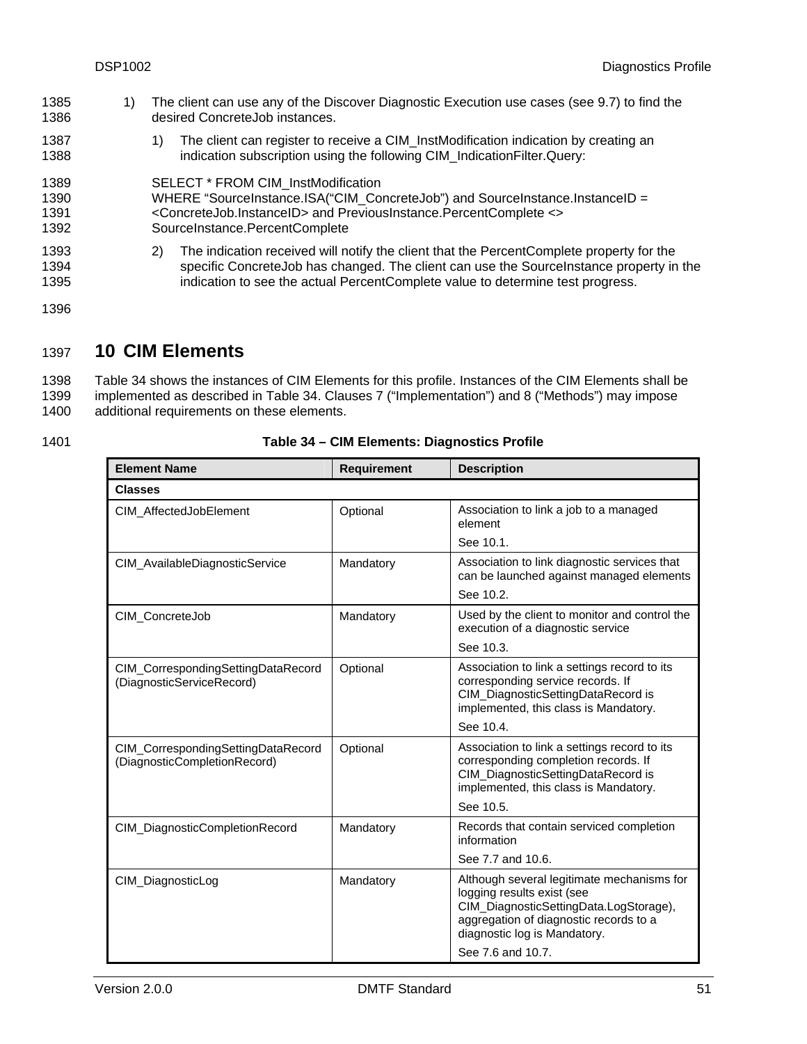1385 1385 1385 1) The client can use any of the Discover Diagnostic Execution use cases (see [9.7\)](#page-43-0) to find the 1386 desired ConcreteJob instances. 1387 1387 1) The client can register to receive a CIM InstModification indication by creating an 1388 indication subscription using the following CIM\_IndicationFilter.Query: 1389 SELECT \* FROM CIM\_InstModification 1390 WHERE "SourceInstance.ISA("CIM\_ConcreteJob") and SourceInstance.InstanceID = 1391 <ConcreteJob.InstanceID> and PreviousInstance.PercentComplete <> 1392 SourceInstance.PercentComplete 1393 2) The indication received will notify the client that the PercentComplete property for the 1394 specific ConcreteJob has changed. The client can use the SourceInstance property in the 1395 indication to see the actual PercentComplete value to determine test progress. 1396

## 1397 **10 CIM Elements**

1398 [Table 34](#page-50-0) shows the instances of CIM Elements for this profile. Instances of the CIM Elements shall be<br>1399 implemented as described in Table 34. Clauses 7 ("Implementation") and 8 ("Methods") may impose implemented as described in [Table 34](#page-50-0). Clauses [7](#page-13-0) ("Implementation") and 8 ("Methods") may impose 1400 additional requirements on these elements.

## <span id="page-50-0"></span>1401 **Table 34 – CIM Elements: Diagnostics Profile**

| <b>Element Name</b>                                                | <b>Requirement</b> | <b>Description</b>                                                                                                                                                                           |
|--------------------------------------------------------------------|--------------------|----------------------------------------------------------------------------------------------------------------------------------------------------------------------------------------------|
| <b>Classes</b>                                                     |                    |                                                                                                                                                                                              |
| CIM_AffectedJobElement                                             | Optional           | Association to link a job to a managed<br>element                                                                                                                                            |
|                                                                    |                    | See 10.1.                                                                                                                                                                                    |
| CIM_AvailableDiagnosticService                                     | Mandatory          | Association to link diagnostic services that<br>can be launched against managed elements                                                                                                     |
|                                                                    |                    | See 10.2.                                                                                                                                                                                    |
| CIM_ConcreteJob                                                    | Mandatory          | Used by the client to monitor and control the<br>execution of a diagnostic service                                                                                                           |
|                                                                    |                    | See 10.3.                                                                                                                                                                                    |
| CIM_CorrespondingSettingDataRecord<br>(DiagnosticServiceRecord)    | Optional           | Association to link a settings record to its<br>corresponding service records. If<br>CIM_DiagnosticSettingDataRecord is<br>implemented, this class is Mandatory.                             |
|                                                                    |                    | See 10.4.                                                                                                                                                                                    |
| CIM_CorrespondingSettingDataRecord<br>(DiagnosticCompletionRecord) | Optional           | Association to link a settings record to its<br>corresponding completion records. If<br>CIM_DiagnosticSettingDataRecord is<br>implemented, this class is Mandatory.                          |
|                                                                    |                    | See 10.5.                                                                                                                                                                                    |
| CIM_DiagnosticCompletionRecord                                     | Mandatory          | Records that contain serviced completion<br>information                                                                                                                                      |
|                                                                    |                    | See 7.7 and 10.6.                                                                                                                                                                            |
| CIM_DiagnosticLog                                                  | Mandatory          | Although several legitimate mechanisms for<br>logging results exist (see<br>CIM_DiagnosticSettingData.LogStorage),<br>aggregation of diagnostic records to a<br>diagnostic log is Mandatory. |
|                                                                    |                    | See 7.6 and 10.7.                                                                                                                                                                            |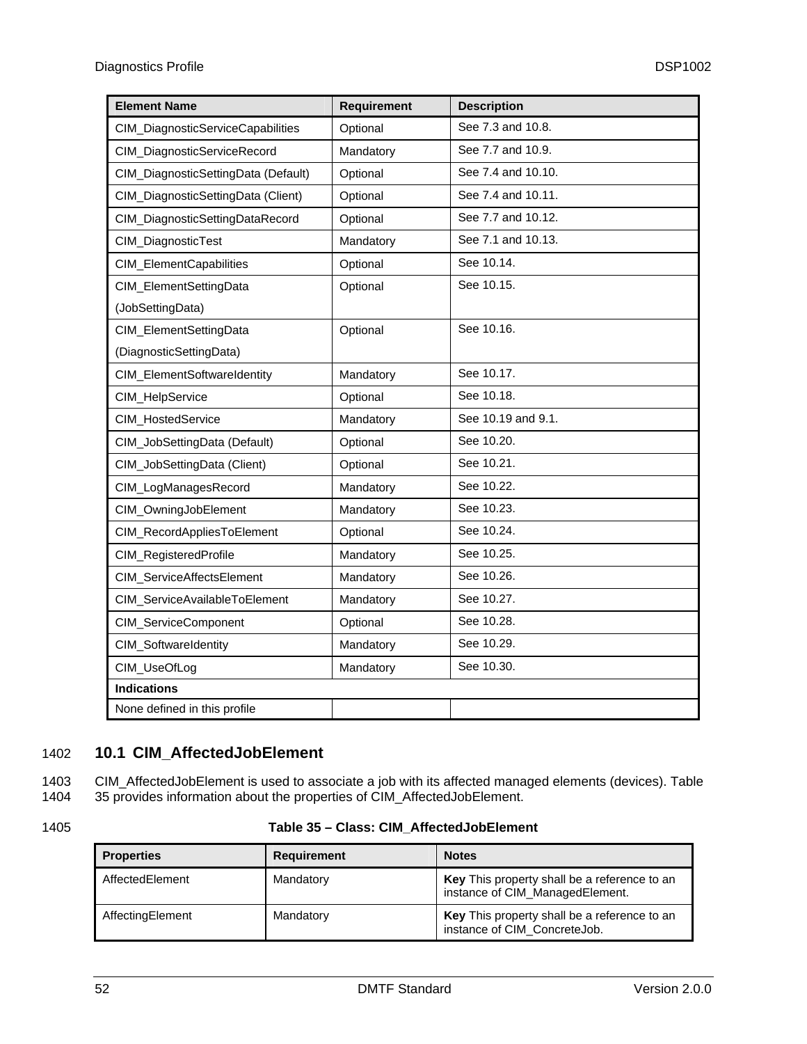| <b>Element Name</b>                 | Requirement | <b>Description</b> |
|-------------------------------------|-------------|--------------------|
| CIM_DiagnosticServiceCapabilities   | Optional    | See 7.3 and 10.8.  |
| CIM_DiagnosticServiceRecord         | Mandatory   | See 7.7 and 10.9.  |
| CIM_DiagnosticSettingData (Default) | Optional    | See 7.4 and 10.10. |
| CIM_DiagnosticSettingData (Client)  | Optional    | See 7.4 and 10.11. |
| CIM_DiagnosticSettingDataRecord     | Optional    | See 7.7 and 10.12. |
| CIM_DiagnosticTest                  | Mandatory   | See 7.1 and 10.13. |
| CIM_ElementCapabilities             | Optional    | See 10.14.         |
| CIM_ElementSettingData              | Optional    | See 10.15.         |
| (JobSettingData)                    |             |                    |
| CIM_ElementSettingData              | Optional    | See 10.16.         |
| (DiagnosticSettingData)             |             |                    |
| CIM_ElementSoftwareIdentity         | Mandatory   | See 10.17.         |
| CIM_HelpService                     | Optional    | See 10.18.         |
| CIM_HostedService                   | Mandatory   | See 10.19 and 9.1. |
| CIM_JobSettingData (Default)        | Optional    | See 10.20.         |
| CIM_JobSettingData (Client)         | Optional    | See 10.21.         |
| CIM_LogManagesRecord                | Mandatory   | See 10.22.         |
| CIM_OwningJobElement                | Mandatory   | See 10.23.         |
| CIM_RecordAppliesToElement          | Optional    | See 10.24.         |
| CIM_RegisteredProfile               | Mandatory   | See 10.25.         |
| CIM_ServiceAffectsElement           | Mandatory   | See 10.26.         |
| CIM_ServiceAvailableToElement       | Mandatory   | See 10.27.         |
| CIM_ServiceComponent                | Optional    | See 10.28.         |
| CIM_SoftwareIdentity                | Mandatory   | See 10.29.         |
| CIM_UseOfLog                        | Mandatory   | See 10.30.         |
| <b>Indications</b>                  |             |                    |
| None defined in this profile        |             |                    |

## <span id="page-51-0"></span>1402 **10.1 CIM\_AffectedJobElement**

[1403 CIM\\_AffectedJobElement is used to associate a job with its affected managed elements \(devices\). Table](#page-51-1)  1404 35 provides information about the properties of CIM\_AffectedJobElement.

<span id="page-51-1"></span>

| 1405 | Table 35 – Class: CIM AffectedJobElement |
|------|------------------------------------------|
|------|------------------------------------------|

| <b>Properties</b> | <b>Requirement</b> | <b>Notes</b>                                                                    |
|-------------------|--------------------|---------------------------------------------------------------------------------|
| AffectedElement   | Mandatory          | Key This property shall be a reference to an<br>instance of CIM_ManagedElement. |
| AffectingElement  | Mandatory          | Key This property shall be a reference to an<br>instance of CIM_ConcreteJob.    |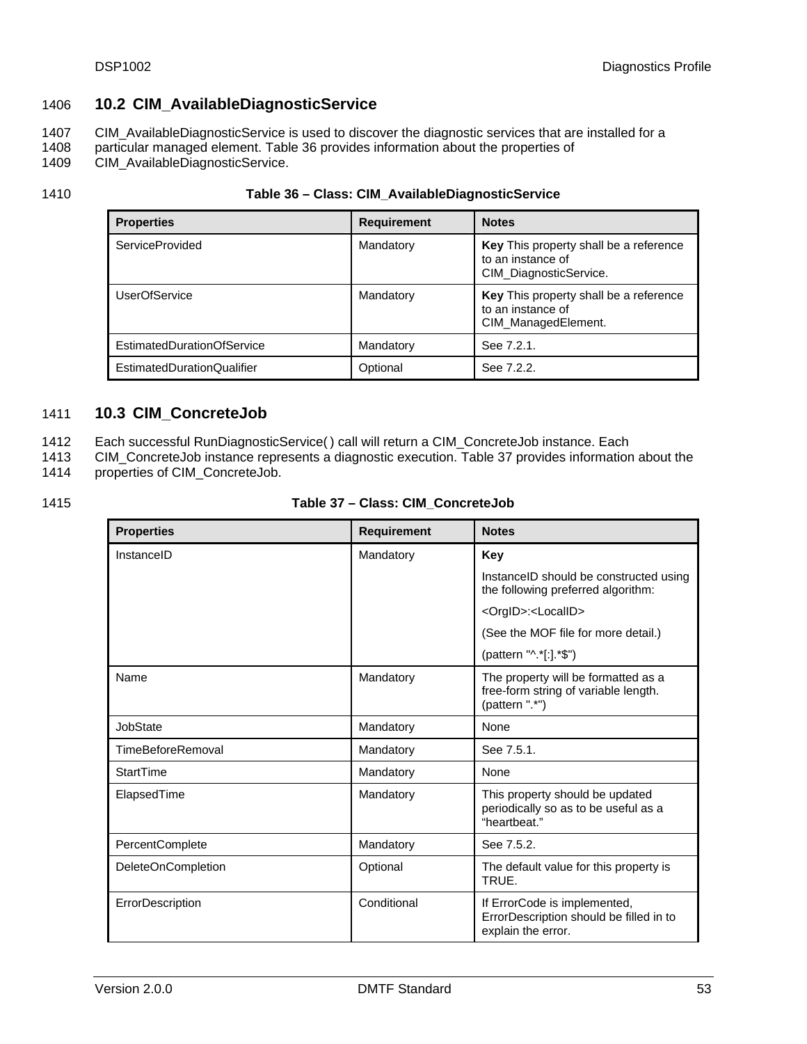## <span id="page-52-0"></span>1406 **10.2 CIM\_AvailableDiagnosticService**

- 1407 CIM\_AvailableDiagnosticService is used to discover the diagnostic services that are installed for a<br>1408 particular managed element. Table 36 provides information about the properties of
- 1408 particular managed element. [Table 36](#page-52-2) provides information about the properties of 1409 CIM AvailableDiagnosticService.
- 1409 CIM\_AvailableDiagnosticService.
- 

<span id="page-52-2"></span>

| <b>Properties</b>                 | <b>Requirement</b> | <b>Notes</b>                                                                              |
|-----------------------------------|--------------------|-------------------------------------------------------------------------------------------|
| <b>ServiceProvided</b>            | Mandatory          | Key This property shall be a reference<br>to an instance of<br>CIM_DiagnosticService.     |
| <b>UserOfService</b>              | Mandatory          | <b>Key</b> This property shall be a reference<br>to an instance of<br>CIM_ManagedElement. |
| EstimatedDurationOfService        | Mandatory          | See 7.2.1.                                                                                |
| <b>EstimatedDurationQualifier</b> | Optional           | See 7.2.2.                                                                                |

## <span id="page-52-1"></span>1411 **10.3 CIM\_ConcreteJob**

1412 Each successful RunDiagnosticService() call will return a CIM\_ConcreteJob instance. Each<br>1413 CIM ConcreteJob instance represents a diagnostic execution. Table 37 provides information

1413 CIM\_ConcreteJob instance represents a diagnostic execution. [Table 37](#page-52-3) provides information about the 1414 properties of CIM ConcreteJob. properties of CIM\_ConcreteJob.

<span id="page-52-3"></span>

| <b>Properties</b>         | <b>Requirement</b> | <b>Notes</b>                                                                                  |
|---------------------------|--------------------|-----------------------------------------------------------------------------------------------|
| InstanceID                | Mandatory          | Key                                                                                           |
|                           |                    | InstanceID should be constructed using<br>the following preferred algorithm:                  |
|                           |                    | <orgid>:<localid></localid></orgid>                                                           |
|                           |                    | (See the MOF file for more detail.)                                                           |
|                           |                    | (pattern "^.*[:].*\$")                                                                        |
| Name                      | Mandatory          | The property will be formatted as a<br>free-form string of variable length.<br>(pattern ".*") |
| <b>JobState</b>           | Mandatory          | None                                                                                          |
| <b>TimeBeforeRemoval</b>  | Mandatory          | See 7.5.1.                                                                                    |
| StartTime                 | Mandatory          | None                                                                                          |
| ElapsedTime               | Mandatory          | This property should be updated<br>periodically so as to be useful as a<br>"heartheat."       |
| PercentComplete           | Mandatory          | See 7.5.2.                                                                                    |
| <b>DeleteOnCompletion</b> | Optional           | The default value for this property is<br>TRUE.                                               |
| ErrorDescription          | Conditional        | If ErrorCode is implemented,<br>ErrorDescription should be filled in to<br>explain the error. |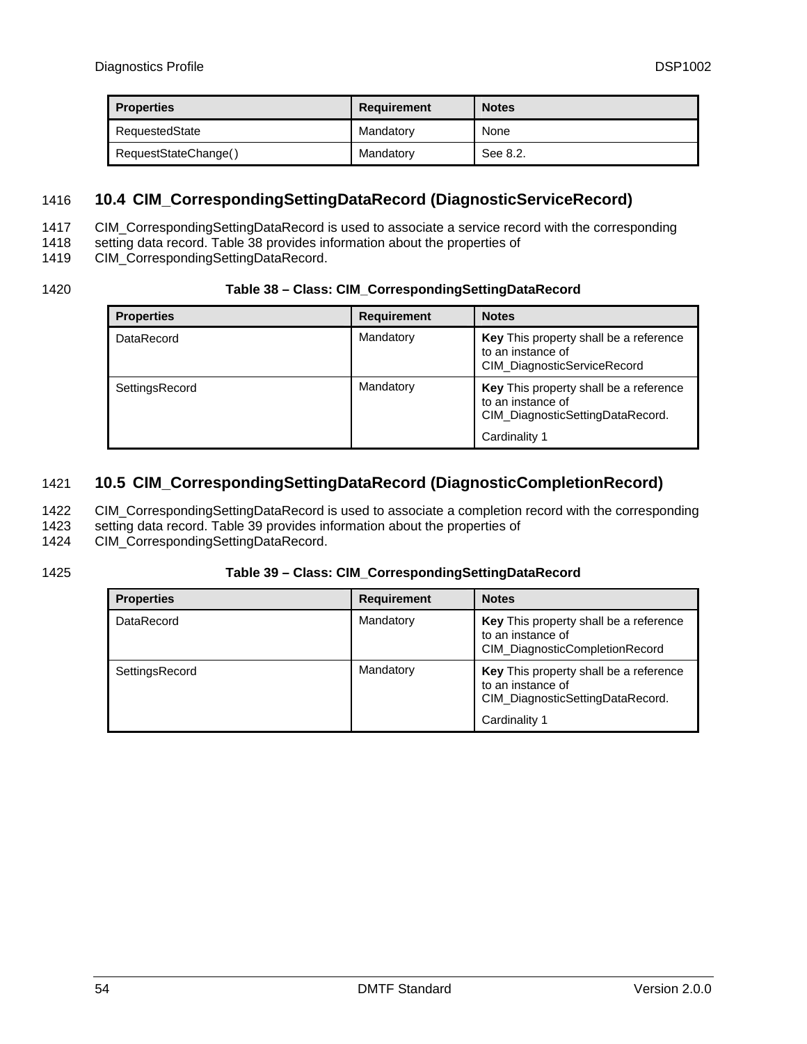| <b>Properties</b>    | Requirement | <b>Notes</b> |
|----------------------|-------------|--------------|
| RequestedState       | Mandatory   | None         |
| RequestStateChange() | Mandatory   | See 8.2.     |

## <span id="page-53-0"></span>1416 **10.4 CIM\_CorrespondingSettingDataRecord (DiagnosticServiceRecord)**

- 1417 CIM\_CorrespondingSettingDataRecord is used to associate a service record with the corresponding<br>1418 Setting data record. Table 38 provides information about the properties of
- setting data record. [Table 38](#page-53-2) provides information about the properties of
- 1419 CIM CorrespondingSettingDataRecord.
- 

#### <span id="page-53-2"></span>1420 **Table 38 – Class: CIM\_CorrespondingSettingDataRecord**

| <b>Properties</b> | <b>Requirement</b> | <b>Notes</b>                                                                                                     |
|-------------------|--------------------|------------------------------------------------------------------------------------------------------------------|
| DataRecord        | Mandatory          | Key This property shall be a reference<br>to an instance of<br>CIM_DiagnosticServiceRecord                       |
| SettingsRecord    | Mandatory          | Key This property shall be a reference<br>to an instance of<br>CIM_DiagnosticSettingDataRecord.<br>Cardinality 1 |

## <span id="page-53-1"></span>1421 **10.5 CIM\_CorrespondingSettingDataRecord (DiagnosticCompletionRecord)**

1422 CIM\_CorrespondingSettingDataRecord is used to associate a completion record with the corresponding

- 1423 setting data record. [Table 39](#page-53-3) provides information about the properties of 1424 CIM CorrespondingSettingDataRecord.
- CIM\_CorrespondingSettingDataRecord.

## <span id="page-53-3"></span>1425 **Table 39 – Class: CIM\_CorrespondingSettingDataRecord**

| <b>Properties</b> | <b>Requirement</b> | <b>Notes</b>                                                                                                     |
|-------------------|--------------------|------------------------------------------------------------------------------------------------------------------|
| DataRecord        | Mandatory          | Key This property shall be a reference<br>to an instance of<br>CIM_DiagnosticCompletionRecord                    |
| SettingsRecord    | Mandatory          | Key This property shall be a reference<br>to an instance of<br>CIM DiagnosticSettingDataRecord.<br>Cardinality 1 |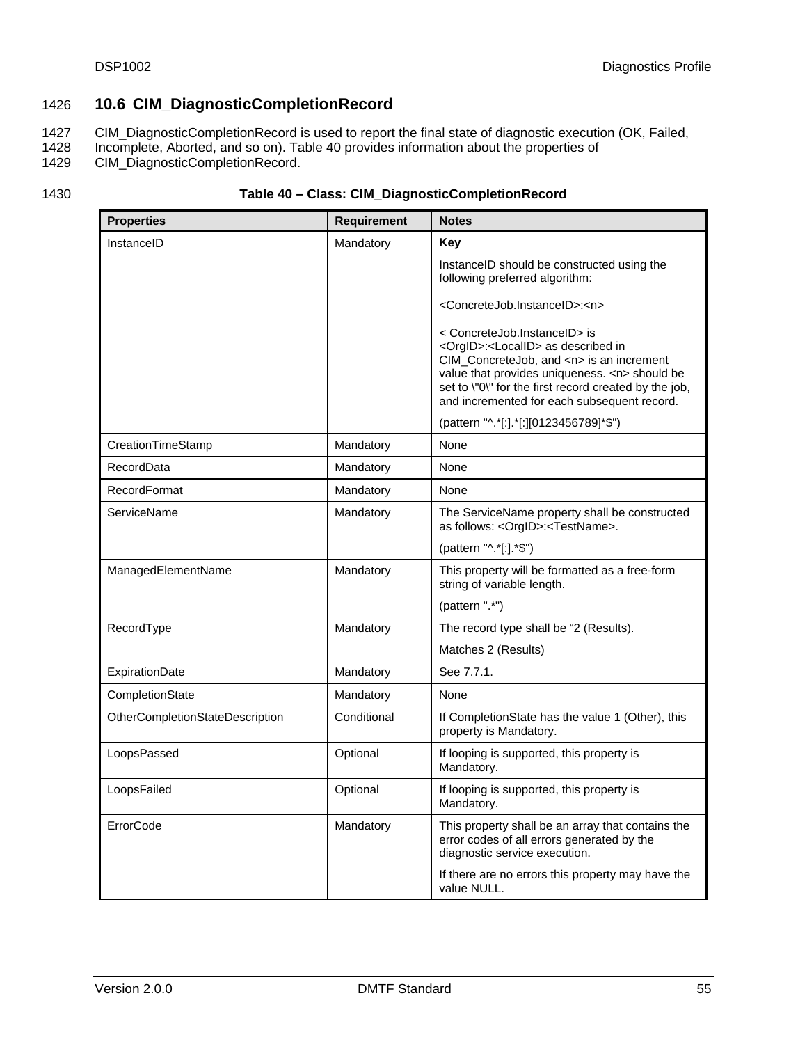## <span id="page-54-0"></span>1426 **10.6 CIM\_DiagnosticCompletionRecord**

1427 CIM\_DiagnosticCompletionRecord is used to report the final state of diagnostic execution (OK, Failed, 1428 Incomplete, Aborted, and so on). Table 40 provides information about the properties of

- 1428 Incomplete, Aborted, and so on). [Table 40](#page-54-1) provides information about the properties of 1429 CIM DiagnosticCompletionRecord.
- CIM\_DiagnosticCompletionRecord.
- 

## <span id="page-54-1"></span>1430 **Table 40 – Class: CIM\_DiagnosticCompletionRecord**

| <b>Properties</b>               | Requirement | <b>Notes</b>                                                                                                                                                                                                                                                                                         |
|---------------------------------|-------------|------------------------------------------------------------------------------------------------------------------------------------------------------------------------------------------------------------------------------------------------------------------------------------------------------|
| InstanceID                      | Mandatory   | Key                                                                                                                                                                                                                                                                                                  |
|                                 |             | InstanceID should be constructed using the<br>following preferred algorithm:                                                                                                                                                                                                                         |
|                                 |             | <concretejob.instanceid>:<n></n></concretejob.instanceid>                                                                                                                                                                                                                                            |
|                                 |             | < ConcreteJob.InstanceID> is<br><orgid>:<localid> as described in<br/>CIM_ConcreteJob, and <n> is an increment<br/>value that provides uniqueness. <n> should be<br/>set to \"0\" for the first record created by the job,<br/>and incremented for each subsequent record.</n></n></localid></orgid> |
|                                 |             | (pattern "^.*[:].*[:][0123456789]*\$")                                                                                                                                                                                                                                                               |
| CreationTimeStamp               | Mandatory   | None                                                                                                                                                                                                                                                                                                 |
| RecordData                      | Mandatory   | None                                                                                                                                                                                                                                                                                                 |
| RecordFormat                    | Mandatory   | None                                                                                                                                                                                                                                                                                                 |
| ServiceName                     | Mandatory   | The ServiceName property shall be constructed<br>as follows: < OrgID>: <testname>.</testname>                                                                                                                                                                                                        |
|                                 |             | (pattern "^.*[:].*\$")                                                                                                                                                                                                                                                                               |
| ManagedElementName              | Mandatory   | This property will be formatted as a free-form<br>string of variable length.                                                                                                                                                                                                                         |
|                                 |             | (pattern ".*")                                                                                                                                                                                                                                                                                       |
| RecordType                      | Mandatory   | The record type shall be "2 (Results).                                                                                                                                                                                                                                                               |
|                                 |             | Matches 2 (Results)                                                                                                                                                                                                                                                                                  |
| <b>ExpirationDate</b>           | Mandatory   | See 7.7.1.                                                                                                                                                                                                                                                                                           |
| CompletionState                 | Mandatory   | None                                                                                                                                                                                                                                                                                                 |
| OtherCompletionStateDescription | Conditional | If CompletionState has the value 1 (Other), this<br>property is Mandatory.                                                                                                                                                                                                                           |
| LoopsPassed                     | Optional    | If looping is supported, this property is<br>Mandatory.                                                                                                                                                                                                                                              |
| LoopsFailed                     | Optional    | If looping is supported, this property is<br>Mandatory.                                                                                                                                                                                                                                              |
| ErrorCode                       | Mandatory   | This property shall be an array that contains the<br>error codes of all errors generated by the<br>diagnostic service execution.                                                                                                                                                                     |
|                                 |             | If there are no errors this property may have the<br>value NULL.                                                                                                                                                                                                                                     |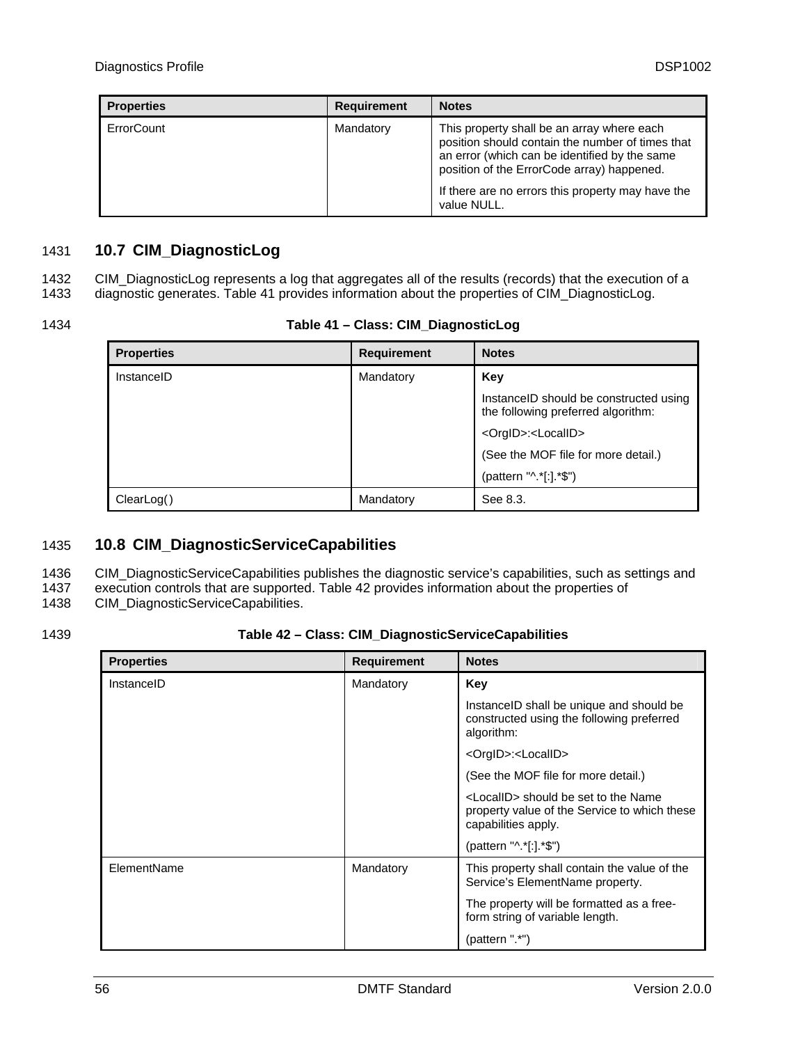| <b>Properties</b> | <b>Requirement</b> | <b>Notes</b>                                                                                                                                                                                                                                                      |
|-------------------|--------------------|-------------------------------------------------------------------------------------------------------------------------------------------------------------------------------------------------------------------------------------------------------------------|
| ErrorCount        | Mandatory          | This property shall be an array where each<br>position should contain the number of times that<br>an error (which can be identified by the same<br>position of the ErrorCode array) happened.<br>If there are no errors this property may have the<br>value NULL. |

## <span id="page-55-0"></span>1431 **10.7 CIM\_DiagnosticLog**

1432 CIM\_DiagnosticLog represents a log that aggregates all of the results (records) that the execution of a<br>1433 diagnostic generates. Table 41 provides information about the properties of CIM DiagnosticLog. diagnostic generates. [Table 41](#page-55-2) provides information about the properties of CIM\_DiagnosticLog.

<span id="page-55-2"></span>

| <b>Properties</b> | <b>Requirement</b> | <b>Notes</b>                                                                 |
|-------------------|--------------------|------------------------------------------------------------------------------|
| InstanceID        | Mandatory          | Key                                                                          |
|                   |                    | InstanceID should be constructed using<br>the following preferred algorithm: |
|                   |                    | <orgid>:<localid></localid></orgid>                                          |
|                   |                    | (See the MOF file for more detail.)                                          |
|                   |                    | (pattern "^.*[:].*\$")                                                       |
| ClearLog()        | Mandatory          | See 8.3.                                                                     |

## <span id="page-55-1"></span>1435 **10.8 CIM\_DiagnosticServiceCapabilities**

1436 CIM\_DiagnosticServiceCapabilities publishes the diagnostic service's capabilities, such as settings and

1437 execution controls that are supported. [Table 42](#page-55-3) provides information about the properties of 1438 CIM DiagnosticServiceCapabilities.

CIM\_DiagnosticServiceCapabilities.

## <span id="page-55-3"></span>1439 **Table 42 – Class: CIM\_DiagnosticServiceCapabilities**

| <b>Properties</b> | <b>Requirement</b> | <b>Notes</b>                                                                                                           |
|-------------------|--------------------|------------------------------------------------------------------------------------------------------------------------|
| InstanceID        | Mandatory          | Key                                                                                                                    |
|                   |                    | InstanceID shall be unique and should be<br>constructed using the following preferred<br>algorithm:                    |
|                   |                    | <orgid>:<localid></localid></orgid>                                                                                    |
|                   |                    | (See the MOF file for more detail.)                                                                                    |
|                   |                    | <localid> should be set to the Name<br/>property value of the Service to which these<br/>capabilities apply.</localid> |
|                   |                    | (pattern "^.*[:].*\$")                                                                                                 |
| ElementName       | Mandatory          | This property shall contain the value of the<br>Service's ElementName property.                                        |
|                   |                    | The property will be formatted as a free-<br>form string of variable length.                                           |
|                   |                    | (pattern ".*")                                                                                                         |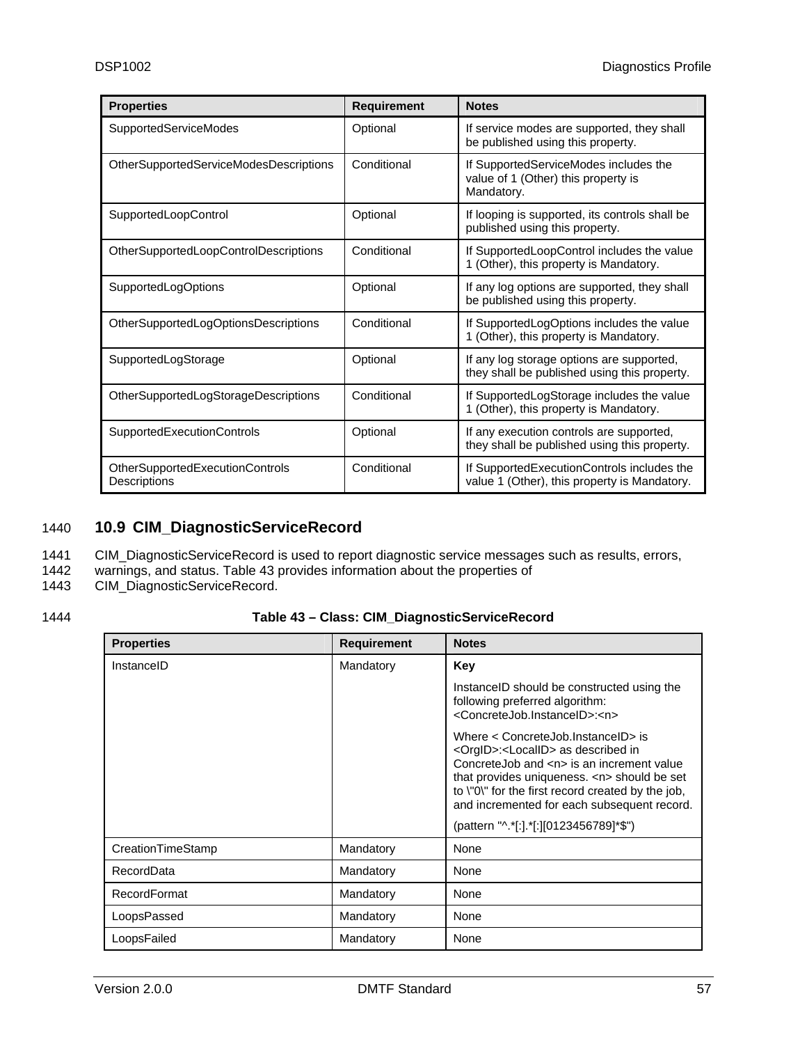| <b>Properties</b>                               | <b>Requirement</b> | <b>Notes</b>                                                                               |
|-------------------------------------------------|--------------------|--------------------------------------------------------------------------------------------|
| <b>SupportedServiceModes</b>                    | Optional           | If service modes are supported, they shall<br>be published using this property.            |
| OtherSupportedServiceModesDescriptions          | Conditional        | If SupportedServiceModes includes the<br>value of 1 (Other) this property is<br>Mandatory. |
| SupportedLoopControl                            | Optional           | If looping is supported, its controls shall be<br>published using this property.           |
| OtherSupportedLoopControlDescriptions           | Conditional        | If SupportedLoopControl includes the value<br>1 (Other), this property is Mandatory.       |
| SupportedLogOptions                             | Optional           | If any log options are supported, they shall<br>be published using this property.          |
| OtherSupportedLogOptionsDescriptions            | Conditional        | If SupportedLogOptions includes the value<br>1 (Other), this property is Mandatory.        |
| SupportedLogStorage                             | Optional           | If any log storage options are supported,<br>they shall be published using this property.  |
| OtherSupportedLogStorageDescriptions            | Conditional        | If SupportedLogStorage includes the value<br>1 (Other), this property is Mandatory.        |
| SupportedExecutionControls                      | Optional           | If any execution controls are supported,<br>they shall be published using this property.   |
| OtherSupportedExecutionControls<br>Descriptions | Conditional        | If SupportedExecutionControls includes the<br>value 1 (Other), this property is Mandatory. |

## <span id="page-56-0"></span>1440 **10.9 CIM\_DiagnosticServiceRecord**

1441 CIM\_DiagnosticServiceRecord is used to report diagnostic service messages such as results, errors,

1442 warnings, and status. [Table 43](#page-56-1) provides information about the properties of

1443 CIM\_DiagnosticServiceRecord.

<span id="page-56-1"></span>

|--|--|

## 1444 **Table 43 – Class: CIM\_DiagnosticServiceRecord**

| <b>Properties</b> | <b>Requirement</b> | <b>Notes</b>                                                                                                                                                                                                                                                                                                      |
|-------------------|--------------------|-------------------------------------------------------------------------------------------------------------------------------------------------------------------------------------------------------------------------------------------------------------------------------------------------------------------|
| InstanceID        | Mandatory          | Key                                                                                                                                                                                                                                                                                                               |
|                   |                    | Instance ID should be constructed using the<br>following preferred algorithm:<br><concretejob.instanceid>:<n></n></concretejob.instanceid>                                                                                                                                                                        |
|                   |                    | Where < ConcreteJob.InstanceID> is<br><orgid>:<localid> as described in<br/>ConcreteJob and <math>\leq n</math> is an increment value<br/>that provides uniqueness. <n> should be set<br/>to \"0\" for the first record created by the job,<br/>and incremented for each subsequent record.</n></localid></orgid> |
|                   |                    | (pattern "^.*[:].*[:][0123456789]*\$")                                                                                                                                                                                                                                                                            |
| CreationTimeStamp | Mandatory          | None                                                                                                                                                                                                                                                                                                              |
| RecordData        | Mandatory          | None                                                                                                                                                                                                                                                                                                              |
| RecordFormat      | Mandatory          | None                                                                                                                                                                                                                                                                                                              |
| LoopsPassed       | Mandatory          | None                                                                                                                                                                                                                                                                                                              |
| LoopsFailed       | Mandatory          | None                                                                                                                                                                                                                                                                                                              |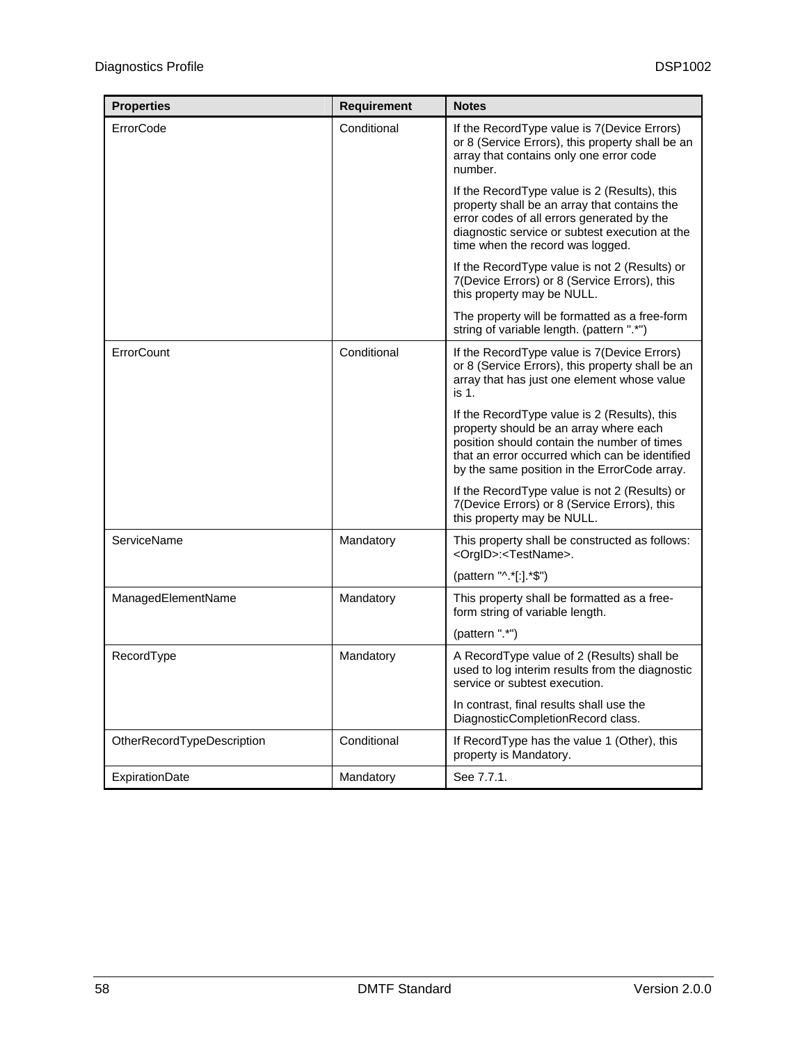| <b>Properties</b>          | <b>Requirement</b> | <b>Notes</b>                                                                                                                                                                                                                            |
|----------------------------|--------------------|-----------------------------------------------------------------------------------------------------------------------------------------------------------------------------------------------------------------------------------------|
| ErrorCode                  | Conditional        | If the RecordType value is 7(Device Errors)<br>or 8 (Service Errors), this property shall be an<br>array that contains only one error code<br>number.                                                                                   |
|                            |                    | If the RecordType value is 2 (Results), this<br>property shall be an array that contains the<br>error codes of all errors generated by the<br>diagnostic service or subtest execution at the<br>time when the record was logged.        |
|                            |                    | If the RecordType value is not 2 (Results) or<br>7(Device Errors) or 8 (Service Errors), this<br>this property may be NULL.                                                                                                             |
|                            |                    | The property will be formatted as a free-form<br>string of variable length. (pattern ".*")                                                                                                                                              |
| ErrorCount                 | Conditional        | If the RecordType value is 7(Device Errors)<br>or 8 (Service Errors), this property shall be an<br>array that has just one element whose value<br>is 1.                                                                                 |
|                            |                    | If the RecordType value is 2 (Results), this<br>property should be an array where each<br>position should contain the number of times<br>that an error occurred which can be identified<br>by the same position in the ErrorCode array. |
|                            |                    | If the RecordType value is not 2 (Results) or<br>7(Device Errors) or 8 (Service Errors), this<br>this property may be NULL.                                                                                                             |
| ServiceName                | Mandatory          | This property shall be constructed as follows:<br><orgid>:<testname>.</testname></orgid>                                                                                                                                                |
|                            |                    | (pattern "^.*[:].*\$")                                                                                                                                                                                                                  |
| ManagedElementName         | Mandatory          | This property shall be formatted as a free-<br>form string of variable length.                                                                                                                                                          |
|                            |                    | (pattern ".*")                                                                                                                                                                                                                          |
| RecordType                 | Mandatory          | A RecordType value of 2 (Results) shall be<br>used to log interim results from the diagnostic<br>service or subtest execution.                                                                                                          |
|                            |                    | In contrast, final results shall use the<br>DiagnosticCompletionRecord class.                                                                                                                                                           |
| OtherRecordTypeDescription | Conditional        | If RecordType has the value 1 (Other), this<br>property is Mandatory.                                                                                                                                                                   |
| <b>ExpirationDate</b>      | Mandatory          | See 7.7.1.                                                                                                                                                                                                                              |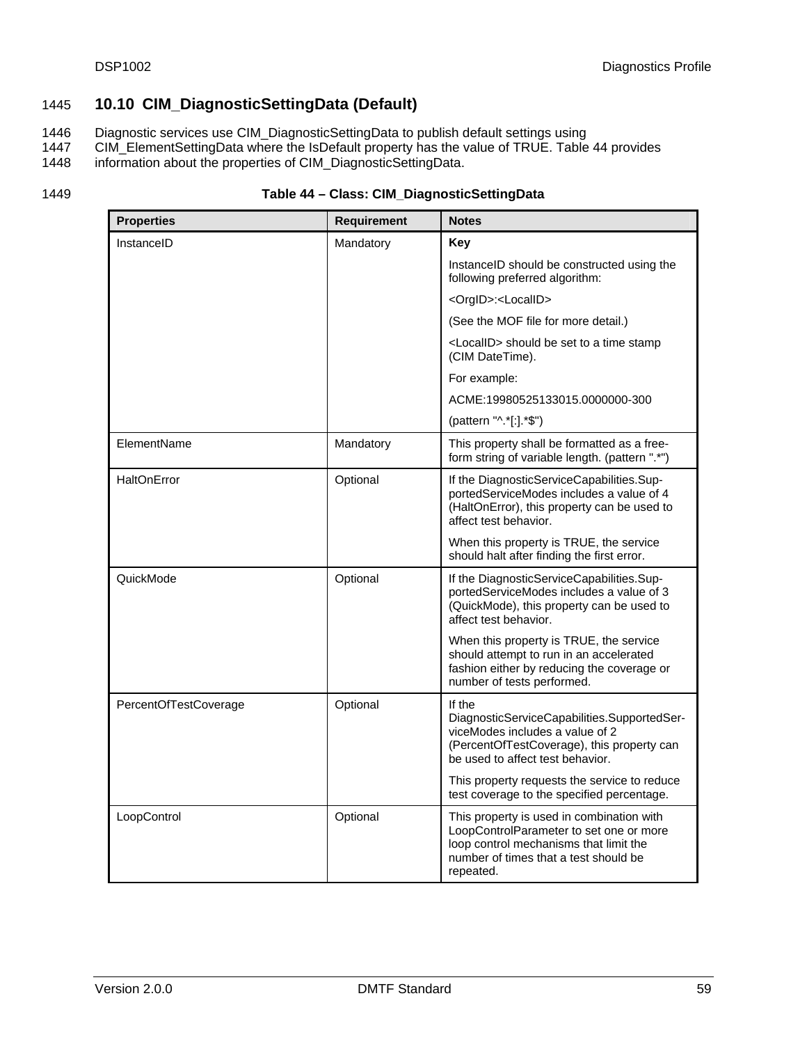## <span id="page-58-0"></span>1445 **10.10 CIM\_DiagnosticSettingData (Default)**

1446 Diagnostic services use CIM\_DiagnosticSettingData to publish default settings using<br>1447 CIM ElementSettingData where the IsDefault property has the value of TRUE. Table

1447 CIM\_ElementSettingData where the IsDefault property has the value of TRUE. [Table 44](#page-58-1) provides<br>1448 information about the properties of CIM DiagnosticSettingData.

information about the properties of CIM\_DiagnosticSettingData.

## <span id="page-58-1"></span>1449 **Table 44 – Class: CIM\_DiagnosticSettingData**

| <b>Properties</b>     | Requirement | <b>Notes</b>                                                                                                                                                                         |
|-----------------------|-------------|--------------------------------------------------------------------------------------------------------------------------------------------------------------------------------------|
| InstanceID            | Mandatory   | Key                                                                                                                                                                                  |
|                       |             | InstanceID should be constructed using the<br>following preferred algorithm:                                                                                                         |
|                       |             | <orgid>:<localid></localid></orgid>                                                                                                                                                  |
|                       |             | (See the MOF file for more detail.)                                                                                                                                                  |
|                       |             | <localid> should be set to a time stamp<br/>(CIM DateTime).</localid>                                                                                                                |
|                       |             | For example:                                                                                                                                                                         |
|                       |             | ACME:19980525133015.0000000-300                                                                                                                                                      |
|                       |             | (pattern "^.*[:].*\$")                                                                                                                                                               |
| ElementName           | Mandatory   | This property shall be formatted as a free-<br>form string of variable length. (pattern ".*")                                                                                        |
| <b>HaltOnError</b>    | Optional    | If the DiagnosticServiceCapabilities.Sup-<br>portedServiceModes includes a value of 4<br>(HaltOnError), this property can be used to<br>affect test behavior.                        |
|                       |             | When this property is TRUE, the service<br>should halt after finding the first error.                                                                                                |
| QuickMode             | Optional    | If the DiagnosticServiceCapabilities.Sup-<br>portedServiceModes includes a value of 3<br>(QuickMode), this property can be used to<br>affect test behavior.                          |
|                       |             | When this property is TRUE, the service<br>should attempt to run in an accelerated<br>fashion either by reducing the coverage or<br>number of tests performed.                       |
| PercentOfTestCoverage | Optional    | If the<br>DiagnosticServiceCapabilities.SupportedSer-<br>viceModes includes a value of 2<br>(PercentOfTestCoverage), this property can<br>be used to affect test behavior.           |
|                       |             | This property requests the service to reduce<br>test coverage to the specified percentage.                                                                                           |
| LoopControl           | Optional    | This property is used in combination with<br>LoopControlParameter to set one or more<br>loop control mechanisms that limit the<br>number of times that a test should be<br>repeated. |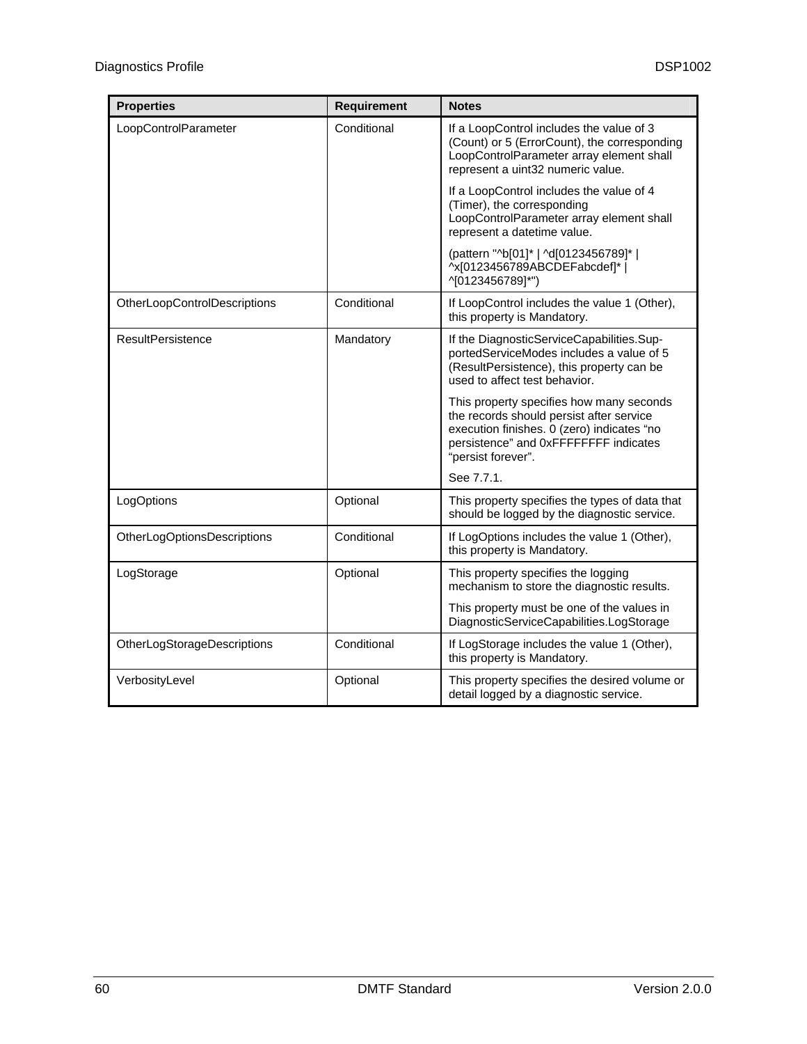| <b>Properties</b>            | <b>Requirement</b> | <b>Notes</b>                                                                                                                                                                                      |
|------------------------------|--------------------|---------------------------------------------------------------------------------------------------------------------------------------------------------------------------------------------------|
| LoopControlParameter         | Conditional        | If a LoopControl includes the value of 3<br>(Count) or 5 (ErrorCount), the corresponding<br>LoopControlParameter array element shall<br>represent a uint32 numeric value.                         |
|                              |                    | If a LoopControl includes the value of 4<br>(Timer), the corresponding<br>LoopControlParameter array element shall<br>represent a datetime value.                                                 |
|                              |                    | (pattern "^b[01]*   ^d[0123456789]*  <br>^x[0123456789ABCDEFabcdef]*  <br>^[0123456789]*")                                                                                                        |
| OtherLoopControlDescriptions | Conditional        | If LoopControl includes the value 1 (Other),<br>this property is Mandatory.                                                                                                                       |
| <b>ResultPersistence</b>     | Mandatory          | If the DiagnosticServiceCapabilities.Sup-<br>portedServiceModes includes a value of 5<br>(ResultPersistence), this property can be<br>used to affect test behavior.                               |
|                              |                    | This property specifies how many seconds<br>the records should persist after service<br>execution finishes. 0 (zero) indicates "no<br>persistence" and 0xFFFFFFFF indicates<br>"persist forever". |
|                              |                    | See 7.7.1.                                                                                                                                                                                        |
| LogOptions                   | Optional           | This property specifies the types of data that<br>should be logged by the diagnostic service.                                                                                                     |
| OtherLogOptionsDescriptions  | Conditional        | If LogOptions includes the value 1 (Other),<br>this property is Mandatory.                                                                                                                        |
| LogStorage                   | Optional           | This property specifies the logging<br>mechanism to store the diagnostic results.                                                                                                                 |
|                              |                    | This property must be one of the values in<br>DiagnosticServiceCapabilities.LogStorage                                                                                                            |
| OtherLogStorageDescriptions  | Conditional        | If LogStorage includes the value 1 (Other),<br>this property is Mandatory.                                                                                                                        |
| VerbosityLevel               | Optional           | This property specifies the desired volume or<br>detail logged by a diagnostic service.                                                                                                           |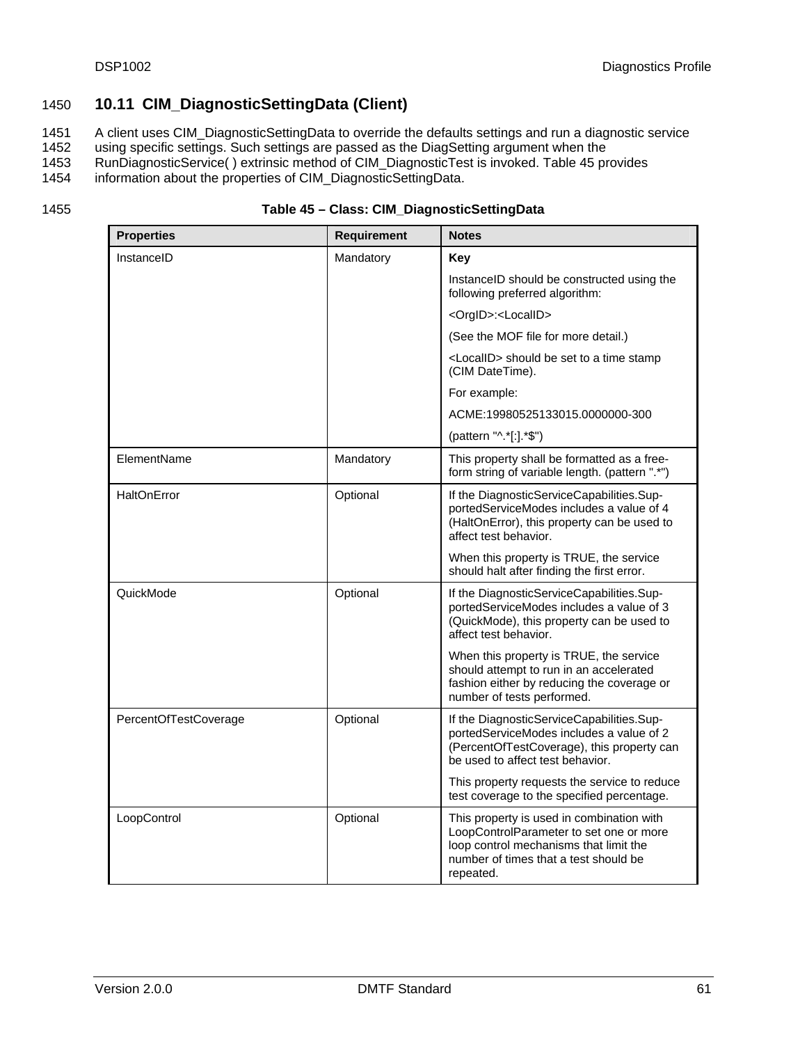## <span id="page-60-0"></span>1450 **10.11 CIM\_DiagnosticSettingData (Client)**

1451 A client uses CIM\_DiagnosticSettingData to override the defaults settings and run a diagnostic service<br>1452 using specific settings. Such settings are passed as the DiagSetting argument when the

1452 using specific settings. Such settings are passed as the DiagSetting argument when the<br>1453 RunDiagnosticService() extrinsic method of CIM DiagnosticTest is invoked. Table 45 pro

1453 RunDiagnosticService( ) extrinsic method of CIM\_DiagnosticTest is invoked. [Table 45](#page-60-1) provides

1454 information about the properties of CIM\_DiagnosticSettingData.

#### <span id="page-60-1"></span>1455 **Table 45 – Class: CIM\_DiagnosticSettingData**

| <b>Properties</b>     | <b>Requirement</b> | <b>Notes</b>                                                                                                                                                                         |
|-----------------------|--------------------|--------------------------------------------------------------------------------------------------------------------------------------------------------------------------------------|
| InstanceID            | Mandatory          | <b>Key</b>                                                                                                                                                                           |
|                       |                    | InstanceID should be constructed using the<br>following preferred algorithm:                                                                                                         |
|                       |                    | <orgid>:<localid></localid></orgid>                                                                                                                                                  |
|                       |                    | (See the MOF file for more detail.)                                                                                                                                                  |
|                       |                    | <localid> should be set to a time stamp<br/>(CIM DateTime).</localid>                                                                                                                |
|                       |                    | For example:                                                                                                                                                                         |
|                       |                    | ACME:19980525133015.0000000-300                                                                                                                                                      |
|                       |                    | (pattern "^.*[:].*\$")                                                                                                                                                               |
| ElementName           | Mandatory          | This property shall be formatted as a free-<br>form string of variable length. (pattern ".*")                                                                                        |
| HaltOnError           | Optional           | If the DiagnosticServiceCapabilities.Sup-<br>portedServiceModes includes a value of 4<br>(HaltOnError), this property can be used to<br>affect test behavior.                        |
|                       |                    | When this property is TRUE, the service<br>should halt after finding the first error.                                                                                                |
| QuickMode             | Optional           | If the DiagnosticServiceCapabilities.Sup-<br>portedServiceModes includes a value of 3<br>(QuickMode), this property can be used to<br>affect test behavior.                          |
|                       |                    | When this property is TRUE, the service<br>should attempt to run in an accelerated<br>fashion either by reducing the coverage or<br>number of tests performed.                       |
| PercentOfTestCoverage | Optional           | If the DiagnosticServiceCapabilities.Sup-<br>portedServiceModes includes a value of 2<br>(PercentOfTestCoverage), this property can<br>be used to affect test behavior.              |
|                       |                    | This property requests the service to reduce<br>test coverage to the specified percentage.                                                                                           |
| LoopControl           | Optional           | This property is used in combination with<br>LoopControlParameter to set one or more<br>loop control mechanisms that limit the<br>number of times that a test should be<br>repeated. |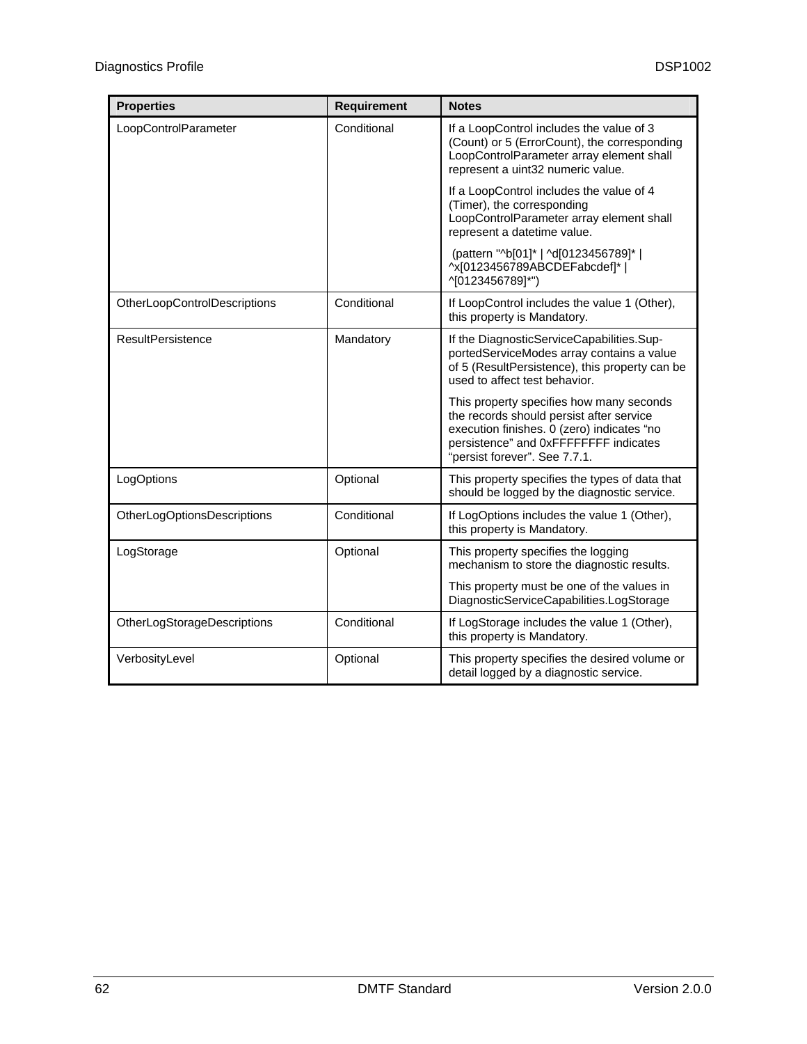| <b>Properties</b>            | <b>Requirement</b> | <b>Notes</b>                                                                                                                                                                                                 |
|------------------------------|--------------------|--------------------------------------------------------------------------------------------------------------------------------------------------------------------------------------------------------------|
| LoopControlParameter         | Conditional        | If a LoopControl includes the value of 3<br>(Count) or 5 (ErrorCount), the corresponding<br>LoopControlParameter array element shall<br>represent a uint32 numeric value.                                    |
|                              |                    | If a LoopControl includes the value of 4<br>(Timer), the corresponding<br>LoopControlParameter array element shall<br>represent a datetime value.                                                            |
|                              |                    | (pattern "^b[01]*   ^d[0123456789]*  <br>^x[0123456789ABCDEFabcdef]*  <br>^[0123456789]*")                                                                                                                   |
| OtherLoopControlDescriptions | Conditional        | If LoopControl includes the value 1 (Other),<br>this property is Mandatory.                                                                                                                                  |
| <b>ResultPersistence</b>     | Mandatory          | If the DiagnosticServiceCapabilities.Sup-<br>portedServiceModes array contains a value<br>of 5 (ResultPersistence), this property can be<br>used to affect test behavior.                                    |
|                              |                    | This property specifies how many seconds<br>the records should persist after service<br>execution finishes. 0 (zero) indicates "no<br>persistence" and 0xFFFFFFFF indicates<br>"persist forever". See 7.7.1. |
| LogOptions                   | Optional           | This property specifies the types of data that<br>should be logged by the diagnostic service.                                                                                                                |
| OtherLogOptionsDescriptions  | Conditional        | If LogOptions includes the value 1 (Other),<br>this property is Mandatory.                                                                                                                                   |
| LogStorage                   | Optional           | This property specifies the logging<br>mechanism to store the diagnostic results.                                                                                                                            |
|                              |                    | This property must be one of the values in<br>DiagnosticServiceCapabilities.LogStorage                                                                                                                       |
| OtherLogStorageDescriptions  | Conditional        | If LogStorage includes the value 1 (Other),<br>this property is Mandatory.                                                                                                                                   |
| VerbosityLevel               | Optional           | This property specifies the desired volume or<br>detail logged by a diagnostic service.                                                                                                                      |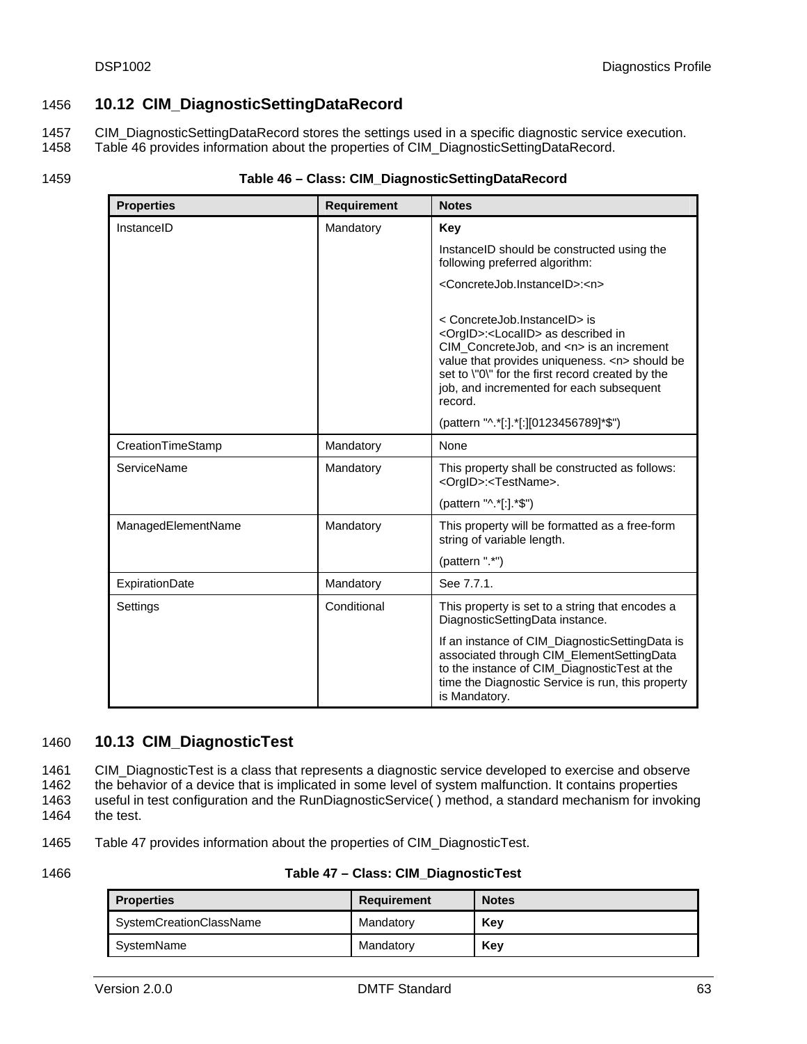## <span id="page-62-0"></span>1456 **10.12 CIM\_DiagnosticSettingDataRecord**

1457 CIM\_DiagnosticSettingDataRecord stores the settings used in a specific diagnostic service execution.<br>1458 Table 46 provides information about the properties of CIM DiagnosticSettingDataRecord. [Table 46](#page-62-2) provides information about the properties of CIM\_DiagnosticSettingDataRecord.

#### <span id="page-62-2"></span>1459 **Table 46 – Class: CIM\_DiagnosticSettingDataRecord**

| <b>Properties</b>  | <b>Requirement</b> | <b>Notes</b>                                                                                                                                                                                                                                                                                             |
|--------------------|--------------------|----------------------------------------------------------------------------------------------------------------------------------------------------------------------------------------------------------------------------------------------------------------------------------------------------------|
| InstanceID         | Mandatory          | Key                                                                                                                                                                                                                                                                                                      |
|                    |                    | Instance ID should be constructed using the<br>following preferred algorithm:                                                                                                                                                                                                                            |
|                    |                    | <concretejob.instanceid>:<n></n></concretejob.instanceid>                                                                                                                                                                                                                                                |
|                    |                    | < ConcreteJob.InstanceID> is<br><orgid>:<localid> as described in<br/>CIM_ConcreteJob, and <n> is an increment<br/>value that provides uniqueness. <n> should be<br/>set to \"0\" for the first record created by the<br/>job, and incremented for each subsequent<br/>record.</n></n></localid></orgid> |
|                    |                    | (pattern "^.*[:].*[:][0123456789]*\$")                                                                                                                                                                                                                                                                   |
| CreationTimeStamp  | Mandatory          | None                                                                                                                                                                                                                                                                                                     |
| ServiceName        | Mandatory          | This property shall be constructed as follows:<br><orgid>:<testname>.</testname></orgid>                                                                                                                                                                                                                 |
|                    |                    | (pattern "^.*[:].*\$")                                                                                                                                                                                                                                                                                   |
| ManagedElementName | Mandatory          | This property will be formatted as a free-form<br>string of variable length.                                                                                                                                                                                                                             |
|                    |                    | (pattern ".*")                                                                                                                                                                                                                                                                                           |
| ExpirationDate     | Mandatory          | See 7.7.1.                                                                                                                                                                                                                                                                                               |
| Settings           | Conditional        | This property is set to a string that encodes a<br>DiagnosticSettingData instance.                                                                                                                                                                                                                       |
|                    |                    | If an instance of CIM_DiagnosticSettingData is<br>associated through CIM_ElementSettingData<br>to the instance of CIM_DiagnosticTest at the<br>time the Diagnostic Service is run, this property<br>is Mandatory.                                                                                        |

## <span id="page-62-1"></span>1460 **10.13 CIM\_DiagnosticTest**

1461 CIM\_DiagnosticTest is a class that represents a diagnostic service developed to exercise and observe<br>1462 the behavior of a device that is implicated in some level of system malfunction. It contains properties the behavior of a device that is implicated in some level of system malfunction. It contains properties 1463 useful in test configuration and the RunDiagnosticService( ) method, a standard mechanism for invoking 1464 the test.

1465 [Table 47](#page-62-3) provides information about the properties of CIM\_DiagnosticTest.

<span id="page-62-3"></span>

| 1466 | Table 47 - Class: CIM_DiagnosticTest |
|------|--------------------------------------|
|      |                                      |

| <b>Properties</b>       | <b>Requirement</b> | <b>Notes</b> |
|-------------------------|--------------------|--------------|
| SystemCreationClassName | Mandatory          | Key          |
| SystemName              | Mandatory          | Key          |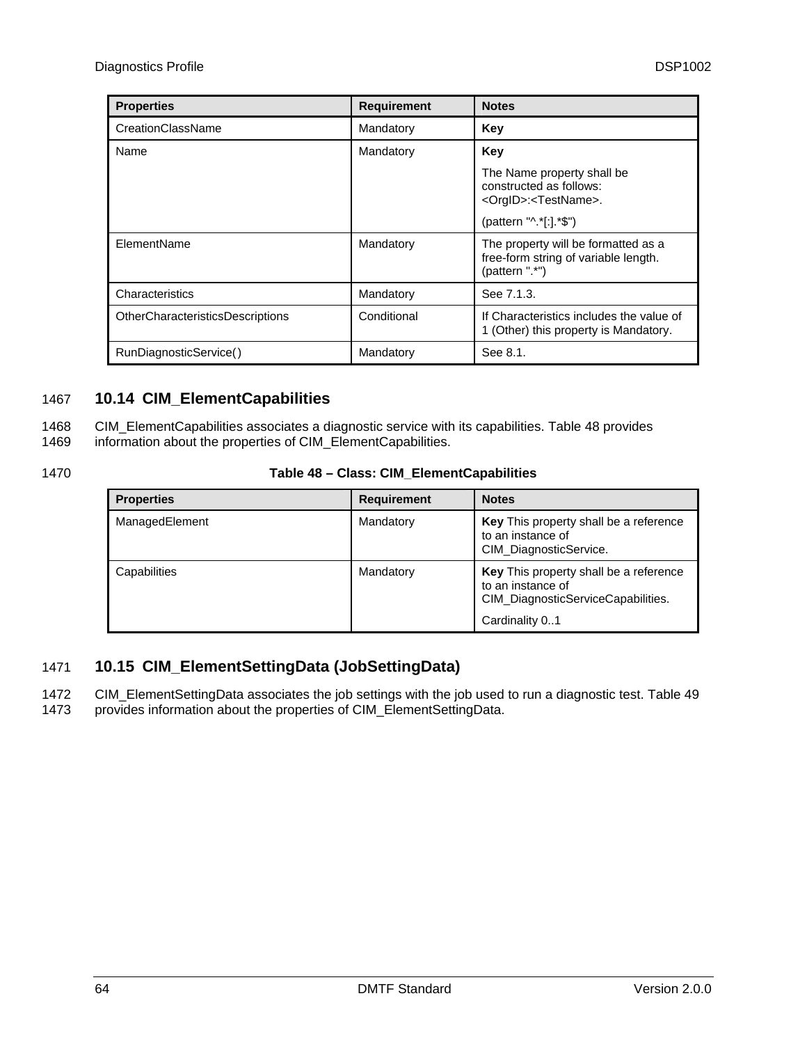| <b>Properties</b>                       | <b>Requirement</b> | <b>Notes</b>                                                                                    |
|-----------------------------------------|--------------------|-------------------------------------------------------------------------------------------------|
| CreationClassName                       | Mandatory          | Key                                                                                             |
| Name                                    | Mandatory          | Key                                                                                             |
|                                         |                    | The Name property shall be<br>constructed as follows:<br><orgid>:<testname>.</testname></orgid> |
|                                         |                    | (pattern "^.*[:].*\$")                                                                          |
| ElementName                             | Mandatory          | The property will be formatted as a<br>free-form string of variable length.<br>(pattern ".*")   |
| Characteristics                         | Mandatory          | See 7.1.3.                                                                                      |
| <b>OtherCharacteristicsDescriptions</b> | Conditional        | If Characteristics includes the value of<br>1 (Other) this property is Mandatory.               |
| RunDiagnosticService()                  | Mandatory          | See 8.1.                                                                                        |

## <span id="page-63-0"></span>1467 **10.14 CIM\_ElementCapabilities**

1468 CIM\_ElementCapabilities associates a diagnostic service with its capabilities. [Table 48](#page-63-2) provides

- 1469 information about the properties of CIM\_ElementCapabilities.
- 

## <span id="page-63-2"></span>1470 **Table 48 – Class: CIM\_ElementCapabilities**

| <b>Properties</b> | <b>Requirement</b> | <b>Notes</b>                                                                                                        |
|-------------------|--------------------|---------------------------------------------------------------------------------------------------------------------|
| ManagedElement    | Mandatory          | Key This property shall be a reference<br>to an instance of<br>CIM_DiagnosticService.                               |
| Capabilities      | Mandatory          | Key This property shall be a reference<br>to an instance of<br>CIM DiagnosticServiceCapabilities.<br>Cardinality 01 |

## <span id="page-63-1"></span>1471 **10.15 CIM\_ElementSettingData (JobSettingData)**

1472 CIM\_ElementSettingData associates the job settings with the job used to run a diagnostic test. [Table 49](#page-64-2) 

1473 provides information about the properties of CIM\_ElementSettingData.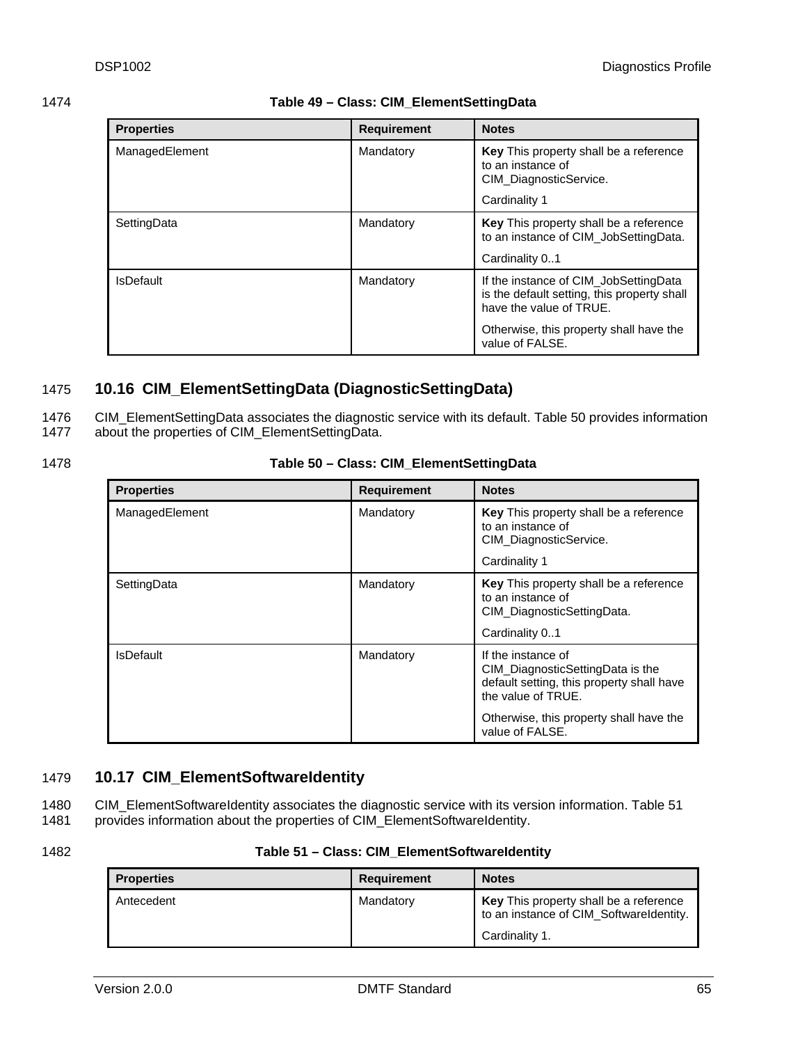## <span id="page-64-2"></span>1474 **Table 49 – Class: CIM\_ElementSettingData**

| <b>Properties</b> | <b>Requirement</b> | <b>Notes</b>                                                                                                    |
|-------------------|--------------------|-----------------------------------------------------------------------------------------------------------------|
| ManagedElement    | Mandatory          | Key This property shall be a reference<br>to an instance of<br>CIM DiagnosticService.<br>Cardinality 1          |
| SettingData       | Mandatory          | <b>Key</b> This property shall be a reference<br>to an instance of CIM_JobSettingData.<br>Cardinality 01        |
| <b>IsDefault</b>  | Mandatory          | If the instance of CIM_JobSettingData<br>is the default setting, this property shall<br>have the value of TRUE. |
|                   |                    | Otherwise, this property shall have the<br>value of FALSE.                                                      |

## <span id="page-64-0"></span>1475 **10.16 CIM\_ElementSettingData (DiagnosticSettingData)**

1476 CIM\_ElementSettingData associates the diagnostic service with its default. [Table 50](#page-64-3) provides information 1477 about the properties of CIM\_ElementSettingData.

### <span id="page-64-3"></span>1478 **Table 50 – Class: CIM\_ElementSettingData**

| <b>Properties</b> | <b>Requirement</b> | <b>Notes</b>                                                                                                                                                                            |
|-------------------|--------------------|-----------------------------------------------------------------------------------------------------------------------------------------------------------------------------------------|
| ManagedElement    | Mandatory          | Key This property shall be a reference<br>to an instance of<br>CIM_DiagnosticService.<br>Cardinality 1                                                                                  |
| SettingData       | Mandatory          | <b>Key</b> This property shall be a reference<br>to an instance of<br>CIM DiagnosticSettingData.<br>Cardinality 01                                                                      |
| <b>IsDefault</b>  | Mandatory          | If the instance of<br>CIM_DiagnosticSettingData is the<br>default setting, this property shall have<br>the value of TRUE.<br>Otherwise, this property shall have the<br>value of FALSE. |

## <span id="page-64-1"></span>1479 **10.17 CIM\_ElementSoftwareIdentity**

1480 CIM\_ElementSoftwareIdentity associates the diagnostic service with its version information. [Table 51](#page-64-4) 1481 provides information about the properties of CIM ElementSoftwareIdentity.

<span id="page-64-4"></span>

| 1482 | Table 51 - Class: CIM_ElementSoftwareIdentity |
|------|-----------------------------------------------|
|------|-----------------------------------------------|

| <b>Properties</b> | Requirement | <b>Notes</b>                                                                      |
|-------------------|-------------|-----------------------------------------------------------------------------------|
| Antecedent        | Mandatory   | Key This property shall be a reference<br>to an instance of CIM_SoftwareIdentity. |
|                   |             | Cardinality 1.                                                                    |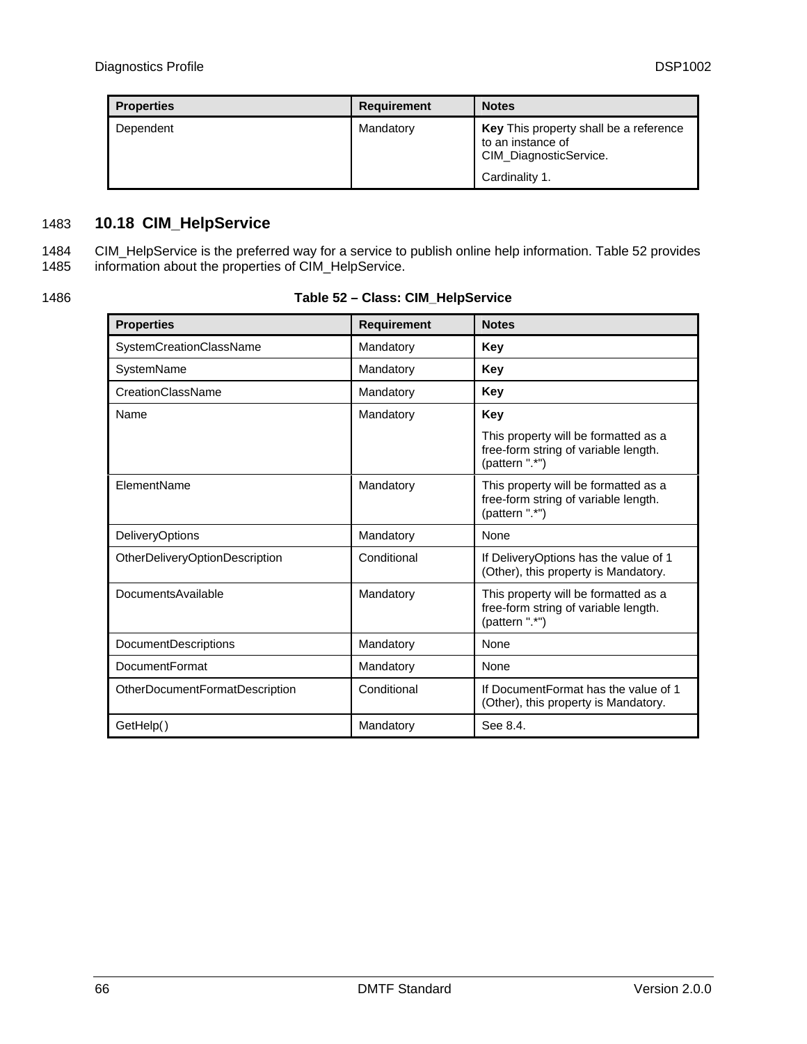| <b>Properties</b> | <b>Requirement</b> | <b>Notes</b>                                                                                 |
|-------------------|--------------------|----------------------------------------------------------------------------------------------|
| Dependent         | Mandatory          | <b>Key</b> This property shall be a reference<br>to an instance of<br>CIM_DiagnosticService. |
|                   |                    | Cardinality 1.                                                                               |

## <span id="page-65-0"></span>1483 **10.18 CIM\_HelpService**

1484 CIM\_HelpService is the preferred way for a service to publish online help information. [Table 52](#page-65-1) provides 1485 information about the properties of CIM\_HelpService.

## <span id="page-65-1"></span>1486 **Table 52 – Class: CIM\_HelpService**

| <b>Properties</b>              | <b>Requirement</b> | <b>Notes</b>                                                                                   |
|--------------------------------|--------------------|------------------------------------------------------------------------------------------------|
| SystemCreationClassName        | Mandatory          | Key                                                                                            |
| SystemName                     | Mandatory          | <b>Key</b>                                                                                     |
| CreationClassName              | Mandatory          | Key                                                                                            |
| Name                           | Mandatory          | Key                                                                                            |
|                                |                    | This property will be formatted as a<br>free-form string of variable length.<br>(pattern ".*") |
| ElementName                    | Mandatory          | This property will be formatted as a<br>free-form string of variable length.<br>(pattern ".*") |
| <b>DeliveryOptions</b>         | Mandatory          | None                                                                                           |
| OtherDeliveryOptionDescription | Conditional        | If DeliveryOptions has the value of 1<br>(Other), this property is Mandatory.                  |
| DocumentsAvailable             | Mandatory          | This property will be formatted as a<br>free-form string of variable length.<br>(pattern ".*") |
| <b>DocumentDescriptions</b>    | Mandatory          | <b>None</b>                                                                                    |
| <b>DocumentFormat</b>          | Mandatory          | None                                                                                           |
| OtherDocumentFormatDescription | Conditional        | If DocumentFormat has the value of 1<br>(Other), this property is Mandatory.                   |
| GetHelp()                      | Mandatory          | See 8.4.                                                                                       |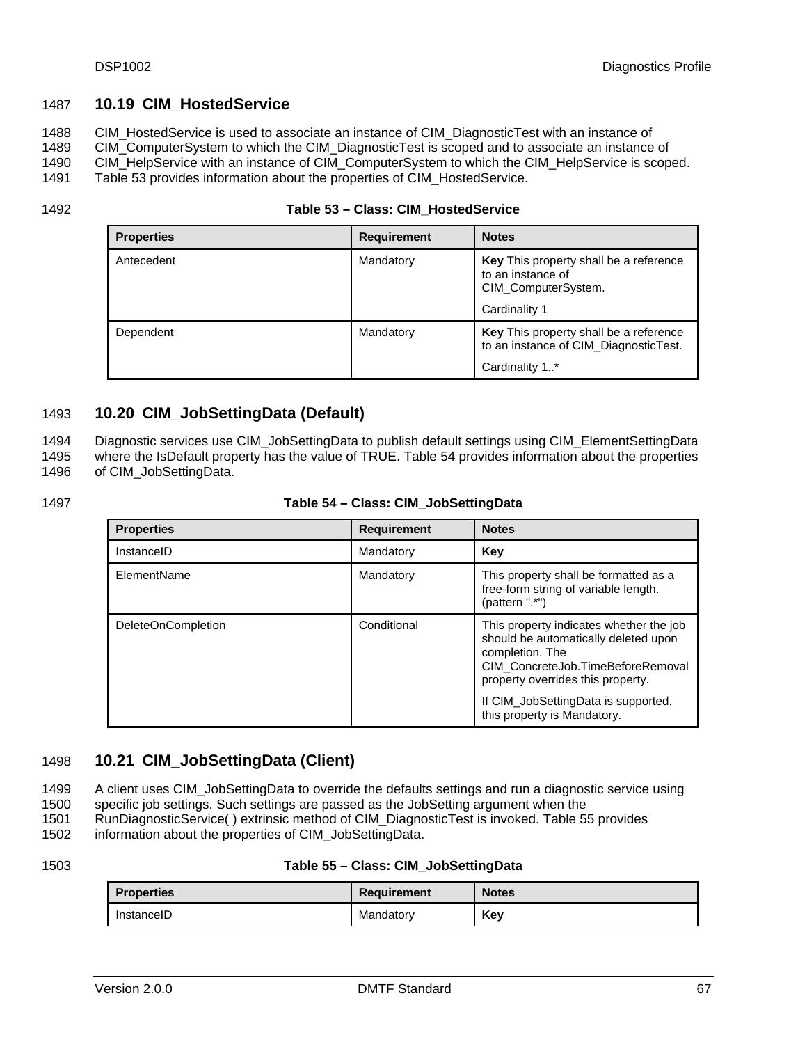## <span id="page-66-0"></span>1487 **10.19 CIM\_HostedService**

1488 CIM\_HostedService is used to associate an instance of CIM\_DiagnosticTest with an instance of

1489 CIM\_ComputerSystem to which the CIM\_DiagnosticTest is scoped and to associate an instance of

1490 CIM HelpService with an instance of CIM ComputerSystem to which the CIM HelpService is scoped.

1491 [Table 53](#page-66-3) provides information about the properties of CIM\_HostedService.

#### <span id="page-66-3"></span>1492 **Table 53 – Class: CIM\_HostedService**

| <b>Properties</b> | <b>Requirement</b> | <b>Notes</b>                                                                                             |
|-------------------|--------------------|----------------------------------------------------------------------------------------------------------|
| Antecedent        | Mandatory          | Key This property shall be a reference<br>to an instance of<br>CIM ComputerSystem.<br>Cardinality 1      |
| Dependent         | Mandatory          | <b>Key</b> This property shall be a reference<br>to an instance of CIM_DiagnosticTest.<br>Cardinality 1* |

## <span id="page-66-1"></span>1493 **10.20 CIM\_JobSettingData (Default)**

1494 Diagnostic services use CIM\_JobSettingData to publish default settings using CIM\_ElementSettingData 1495 where the IsDefault property has the value of TRUE. [Table 54](#page-66-4) provides information about the properties 1496 of CIM JobSettingData. of CIM\_JobSettingData.

<span id="page-66-4"></span>

| 1497 | Table 54 - Class: CIM_JobSettingData |
|------|--------------------------------------|
|------|--------------------------------------|

| <b>Properties</b>         | <b>Requirement</b> | <b>Notes</b>                                                                                                                                                                                                                                       |
|---------------------------|--------------------|----------------------------------------------------------------------------------------------------------------------------------------------------------------------------------------------------------------------------------------------------|
| InstanceID                | Mandatory          | Key                                                                                                                                                                                                                                                |
| ElementName               | Mandatory          | This property shall be formatted as a<br>free-form string of variable length.<br>$(pattern$ ".*")                                                                                                                                                  |
| <b>DeleteOnCompletion</b> | Conditional        | This property indicates whether the job<br>should be automatically deleted upon<br>completion. The<br>CIM ConcreteJob.TimeBeforeRemoval<br>property overrides this property.<br>If CIM JobSettingData is supported.<br>this property is Mandatory. |

## <span id="page-66-2"></span>1498 **10.21 CIM\_JobSettingData (Client)**

- 1499 A client uses CIM JobSettingData to override the defaults settings and run a diagnostic service using
- 1500 specific job settings. Such settings are passed as the JobSetting argument when the<br>1501 RunDiagnosticService() extrinsic method of CIM DiagnosticTest is invoked. Table 5
- RunDiagnosticService() extrinsic method of CIM\_DiagnosticTest is invoked. [Table 55](#page-66-5) provides
- 1502 information about the properties of CIM\_JobSettingData.

#### <span id="page-66-5"></span>1503 **Table 55 – Class: CIM\_JobSettingData**

| <b>Properties</b> | Requirement | <b>Notes</b> |
|-------------------|-------------|--------------|
| InstanceID        | Mandatory   | Kev          |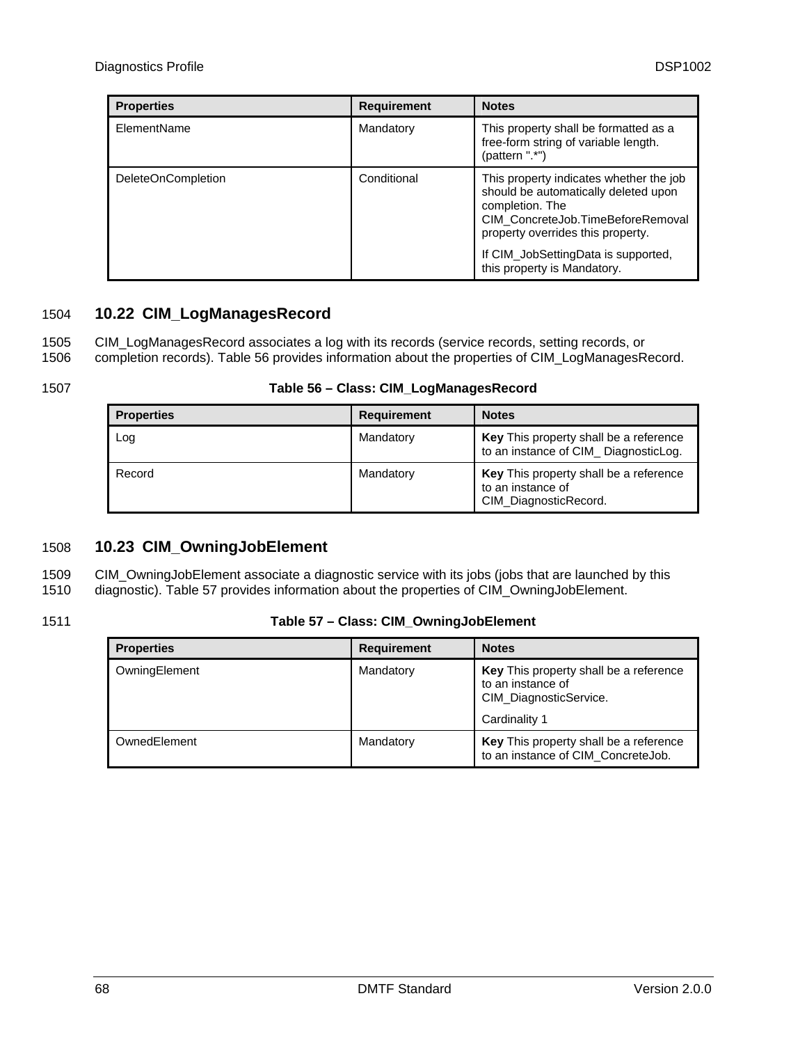| <b>Properties</b>  | <b>Requirement</b> | <b>Notes</b>                                                                                                                                                                 |
|--------------------|--------------------|------------------------------------------------------------------------------------------------------------------------------------------------------------------------------|
| ElementName        | Mandatory          | This property shall be formatted as a<br>free-form string of variable length.<br>(pattern ".*")                                                                              |
| DeleteOnCompletion | Conditional        | This property indicates whether the job<br>should be automatically deleted upon<br>completion. The<br>CIM_ConcreteJob.TimeBeforeRemoval<br>property overrides this property. |
|                    |                    | If CIM_JobSettingData is supported,<br>this property is Mandatory.                                                                                                           |

## <span id="page-67-0"></span>1504 **10.22 CIM\_LogManagesRecord**

1505 CIM\_LogManagesRecord associates a log with its records (service records, setting records, or<br>1506 completion records). Table 56 provides information about the properties of CIM LogManagesR completion records). [Table 56](#page-67-2) provides information about the properties of CIM\_LogManagesRecord.

<span id="page-67-2"></span>

| 1507 | Table 56 - Class: CIM_LogManagesRecord |
|------|----------------------------------------|
|------|----------------------------------------|

| <b>Properties</b> | <b>Requirement</b> | <b>Notes</b>                                                                          |
|-------------------|--------------------|---------------------------------------------------------------------------------------|
| Log               | Mandatory          | <b>Key</b> This property shall be a reference<br>to an instance of CIM_DiagnosticLog. |
| Record            | Mandatory          | Key This property shall be a reference<br>to an instance of<br>CIM DiagnosticRecord.  |

## <span id="page-67-1"></span>1508 **10.23 CIM\_OwningJobElement**

1509 CIM\_OwningJobElement associate a diagnostic service with its jobs (jobs that are launched by this 1510 diagnostic). [Table 57](#page-67-3) provides information about the properties of CIM\_OwningJobElement.

## <span id="page-67-3"></span>1511 **Table 57 – Class: CIM\_OwningJobElement**

| <b>Properties</b> | <b>Requirement</b> | <b>Notes</b>                                                                                                  |
|-------------------|--------------------|---------------------------------------------------------------------------------------------------------------|
| OwningElement     | Mandatory          | <b>Key</b> This property shall be a reference<br>to an instance of<br>CIM_DiagnosticService.<br>Cardinality 1 |
| OwnedElement      | Mandatory          | <b>Key</b> This property shall be a reference<br>to an instance of CIM_ConcreteJob.                           |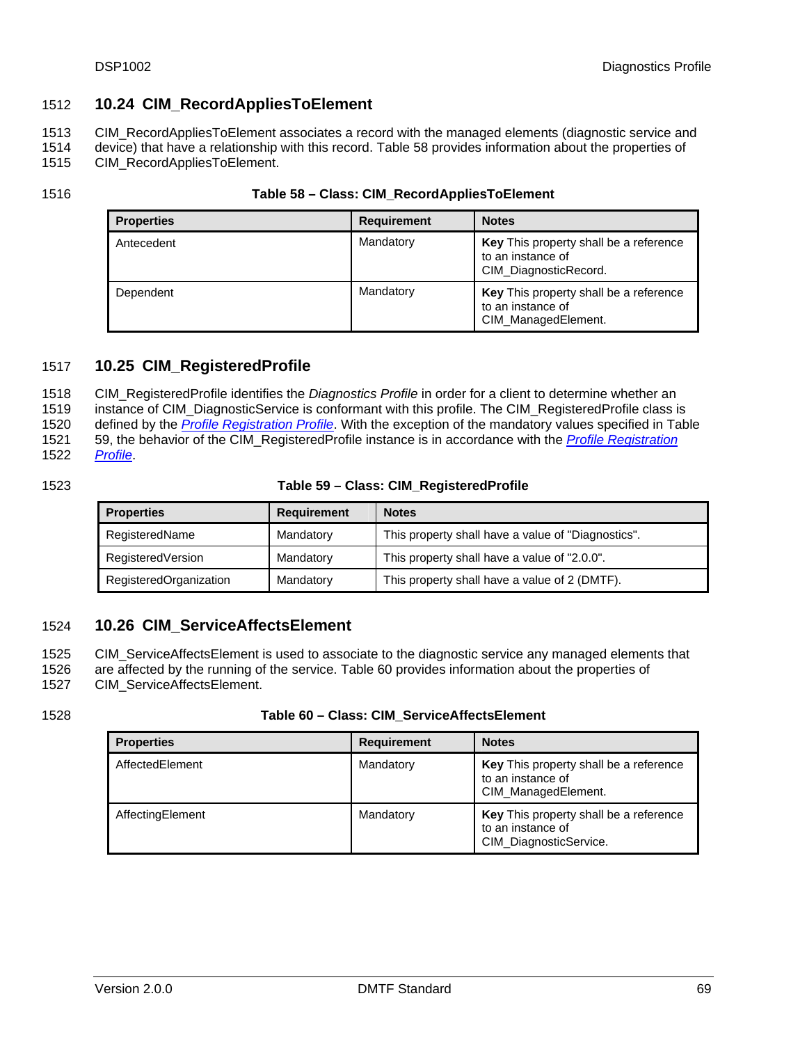## <span id="page-68-0"></span>1512 **10.24 CIM\_RecordAppliesToElement**

1513 CIM\_RecordAppliesToElement associates a record with the managed elements (diagnostic service and

1514 device) that have a relationship with this record. [Table 58](#page-68-3) provides information about the properties of

- 1515 CIM\_RecordAppliesToElement.
- 

#### <span id="page-68-3"></span>1516 **Table 58 – Class: CIM\_RecordAppliesToElement**

| <b>Properties</b> | <b>Requirement</b> | <b>Notes</b>                                                                         |
|-------------------|--------------------|--------------------------------------------------------------------------------------|
| Antecedent        | Mandatory          | Key This property shall be a reference<br>to an instance of<br>CIM_DiagnosticRecord. |
| Dependent         | Mandatory          | Key This property shall be a reference<br>to an instance of<br>CIM_ManagedElement.   |

## <span id="page-68-1"></span>1517 **10.25 CIM\_RegisteredProfile**

1518 CIM\_RegisteredProfile identifies the *Diagnostics Profile* in order for a client to determine whether an 1519 instance of CIM\_DiagnosticService is conformant with this profile. The CIM\_RegisteredProfile class is 1520 defined by the *[Profile Registration Profile](#page-8-0)*[. With the exception of the mandatory values specified in Table](#page-68-4)  [1521 59, the behavior of the CIM\\_RegisteredProfile instance is in accordance with the](#page-8-0) *Profile Registration*  1522 *[Pr](#page-8-0)ofile*.

## <span id="page-68-4"></span>1523 **Table 59 – Class: CIM\_RegisteredProfile**

| <b>Properties</b>      | <b>Requirement</b> | <b>Notes</b>                                       |
|------------------------|--------------------|----------------------------------------------------|
| RegisteredName         | Mandatory          | This property shall have a value of "Diagnostics". |
| RegisteredVersion      | Mandatory          | This property shall have a value of "2.0.0".       |
| RegisteredOrganization | Mandatory          | This property shall have a value of 2 (DMTF).      |

## <span id="page-68-2"></span>1524 **10.26 CIM\_ServiceAffectsElement**

1525 CIM\_ServiceAffectsElement is used to associate to the diagnostic service any managed elements that

1526 are affected by the running of the service. [Table 60](#page-68-5) provides information about the properties of

1527 CIM\_ServiceAffectsElement.

## <span id="page-68-5"></span>1528 **Table 60 – Class: CIM\_ServiceAffectsElement**

| <b>Properties</b> | <b>Requirement</b> | <b>Notes</b>                                                                              |
|-------------------|--------------------|-------------------------------------------------------------------------------------------|
| AffectedElement   | Mandatory          | <b>Key</b> This property shall be a reference<br>to an instance of<br>CIM_ManagedElement. |
| AffectingElement  | Mandatory          | Key This property shall be a reference<br>to an instance of<br>CIM_DiagnosticService.     |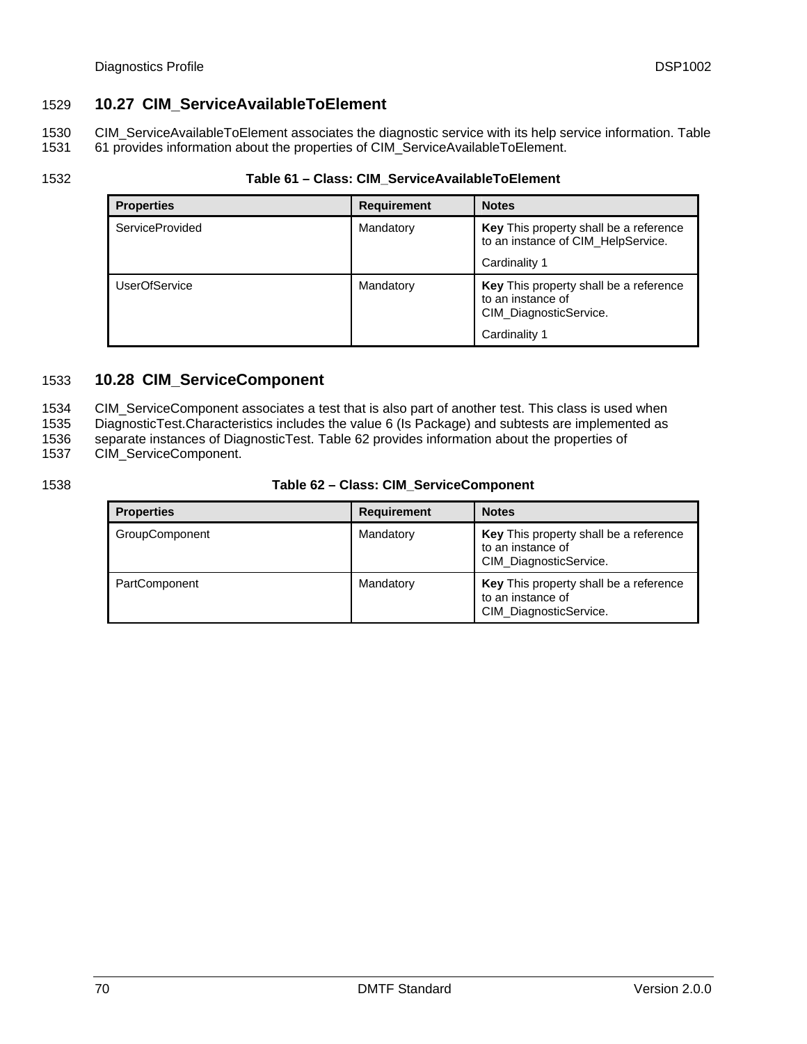## <span id="page-69-0"></span>1529 **10.27 CIM\_ServiceAvailableToElement**

1530 CIM\_ServiceAvailableToElement associates the diagnostic service with its help service information. Table<br>1531 61 provides information about the properties of CIM ServiceAvailableToElement. 61 provides information about the properties of CIM\_ServiceAvailableToElement.

#### <span id="page-69-2"></span>1532 **Table 61 – Class: CIM\_ServiceAvailableToElement**

| <b>Properties</b>      | <b>Requirement</b> | <b>Notes</b>                                                                                           |
|------------------------|--------------------|--------------------------------------------------------------------------------------------------------|
| <b>ServiceProvided</b> | Mandatory          | Key This property shall be a reference<br>to an instance of CIM_HelpService.<br>Cardinality 1          |
| <b>UserOfService</b>   | Mandatory          | Key This property shall be a reference<br>to an instance of<br>CIM_DiagnosticService.<br>Cardinality 1 |

## <span id="page-69-1"></span>1533 **10.28 CIM\_ServiceComponent**

1534 CIM\_ServiceComponent associates a test that is also part of another test. This class is used when

1535 DiagnosticTest.Characteristics includes the value 6 (Is Package) and subtests are implemented as

1536 separate instances of DiagnosticTest. [Table 62](#page-69-3) provides information about the properties of

1537 CIM ServiceComponent.

#### <span id="page-69-3"></span>1538 **Table 62 – Class: CIM\_ServiceComponent**

| <b>Properties</b> | <b>Requirement</b> | <b>Notes</b>                                                                                 |
|-------------------|--------------------|----------------------------------------------------------------------------------------------|
| GroupComponent    | Mandatory          | Key This property shall be a reference<br>to an instance of<br>CIM_DiagnosticService.        |
| PartComponent     | Mandatory          | <b>Key</b> This property shall be a reference<br>to an instance of<br>CIM_DiagnosticService. |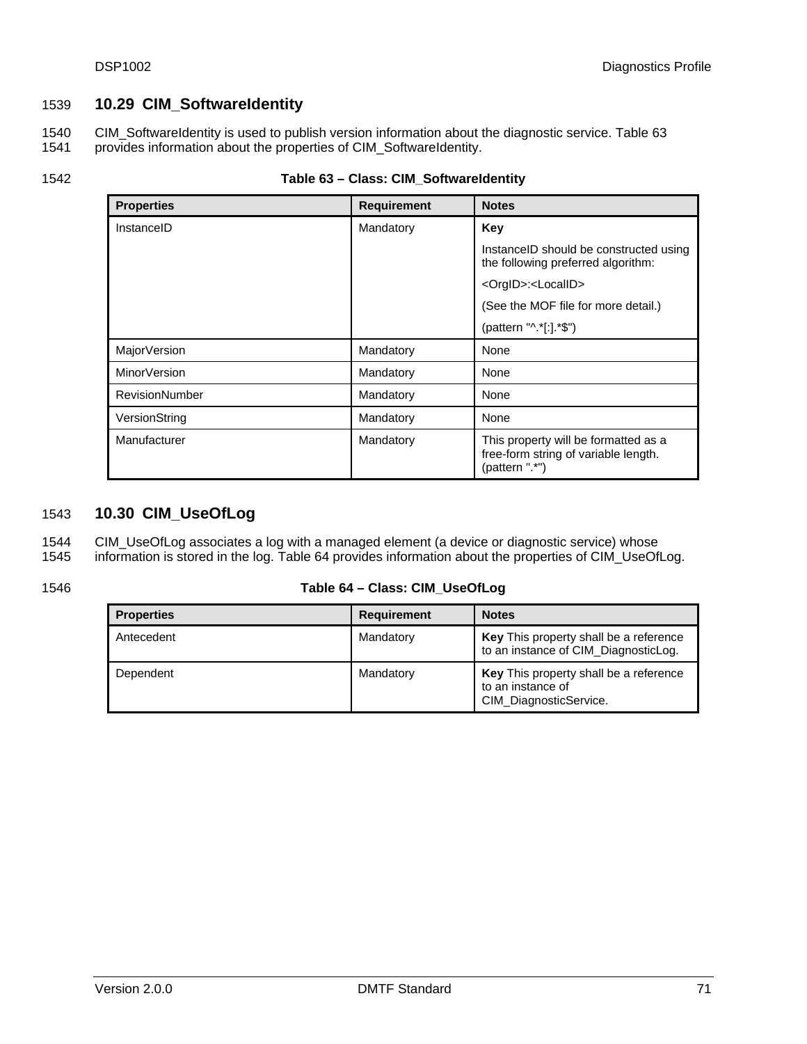## <span id="page-70-0"></span>1539 **10.29 CIM\_SoftwareIdentity**

1540 CIM\_SoftwareIdentity is used to publish version information about the diagnostic service. [Table 63](#page-70-2)<br>1541 provides information about the properties of CIM SoftwareIdentity. provides information about the properties of CIM\_SoftwareIdentity.

### <span id="page-70-2"></span>1542 **Table 63 – Class: CIM\_SoftwareIdentity**

| <b>Properties</b>     | <b>Requirement</b> | <b>Notes</b>                                                                                   |
|-----------------------|--------------------|------------------------------------------------------------------------------------------------|
| InstanceID            | Mandatory          | Key                                                                                            |
|                       |                    | InstanceID should be constructed using<br>the following preferred algorithm:                   |
|                       |                    | <orgid>:<localid></localid></orgid>                                                            |
|                       |                    | (See the MOF file for more detail.)                                                            |
|                       |                    | (pattern "^ *[:] *\$")                                                                         |
| MajorVersion          | Mandatory          | None                                                                                           |
| MinorVersion          | Mandatory          | None                                                                                           |
| <b>RevisionNumber</b> | Mandatory          | None                                                                                           |
| VersionString         | Mandatory          | None                                                                                           |
| Manufacturer          | Mandatory          | This property will be formatted as a<br>free-form string of variable length.<br>(pattern ".*") |

## <span id="page-70-1"></span>1543 **10.30 CIM\_UseOfLog**

1544 CIM\_UseOfLog associates a log with a managed element (a device or diagnostic service) whose

1545 information is stored in the log. [Table 64](#page-70-3) provides information about the properties of CIM\_UseOfLog.

<span id="page-70-3"></span>

| Table 64 - Class: CIM_UseOfLog |
|--------------------------------|
|                                |

| <b>Properties</b> | <b>Requirement</b> | <b>Notes</b>                                                                                 |
|-------------------|--------------------|----------------------------------------------------------------------------------------------|
| Antecedent        | Mandatory          | <b>Key</b> This property shall be a reference<br>to an instance of CIM_DiagnosticLog.        |
| Dependent         | Mandatory          | <b>Key</b> This property shall be a reference<br>to an instance of<br>CIM_DiagnosticService. |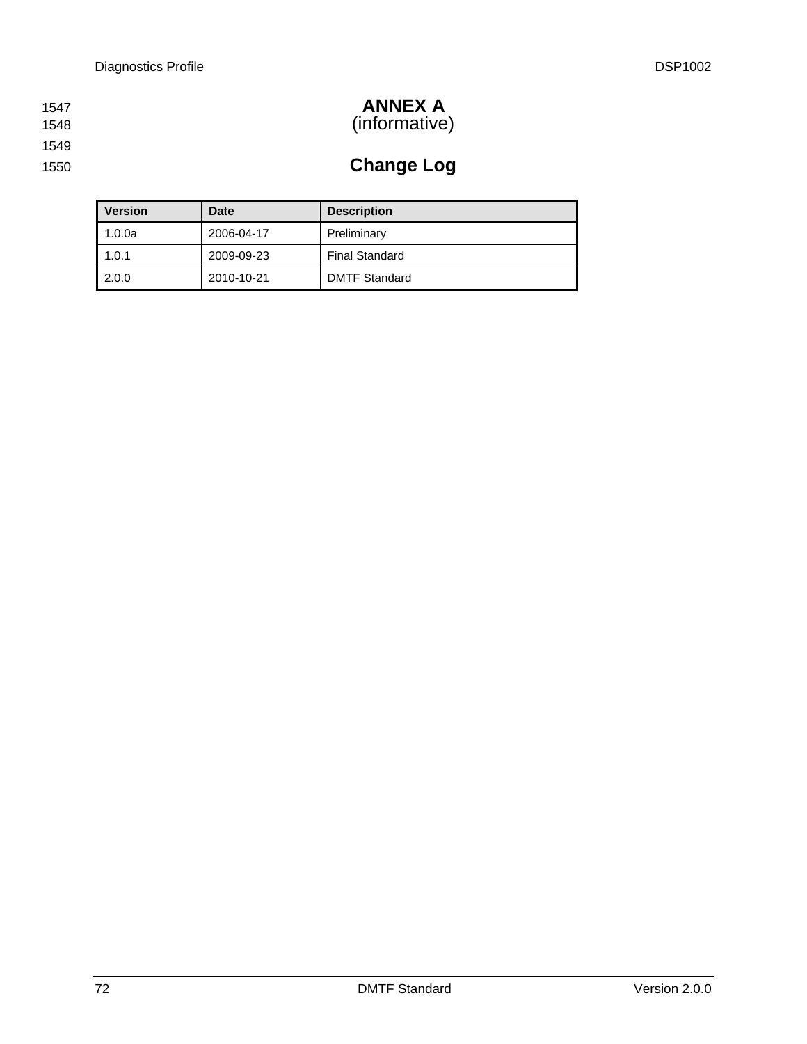1549

## 1547 **ANNEX A** 1548 (informative)

# 1550 **Change Log**

| <b>Version</b> | Date       | <b>Description</b>    |
|----------------|------------|-----------------------|
| 1.0.0a         | 2006-04-17 | Preliminary           |
| 1.0.1          | 2009-09-23 | <b>Final Standard</b> |
| 2.0.0          | 2010-10-21 | <b>DMTF Standard</b>  |